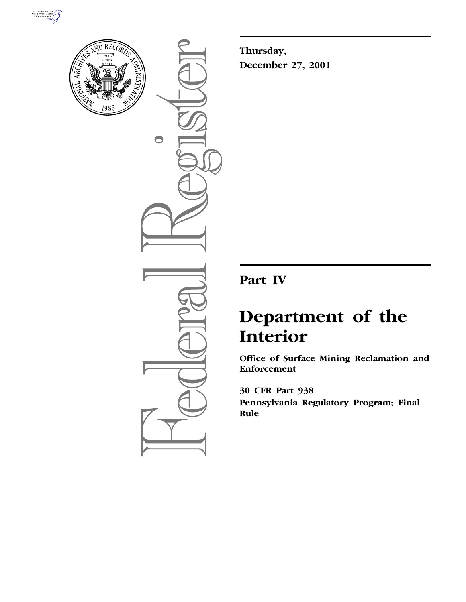



 $\bigcirc$ 

**Thursday, December 27, 2001**

# **Part IV**

# **Department of the Interior**

**Office of Surface Mining Reclamation and Enforcement**

**30 CFR Part 938 Pennsylvania Regulatory Program; Final Rule**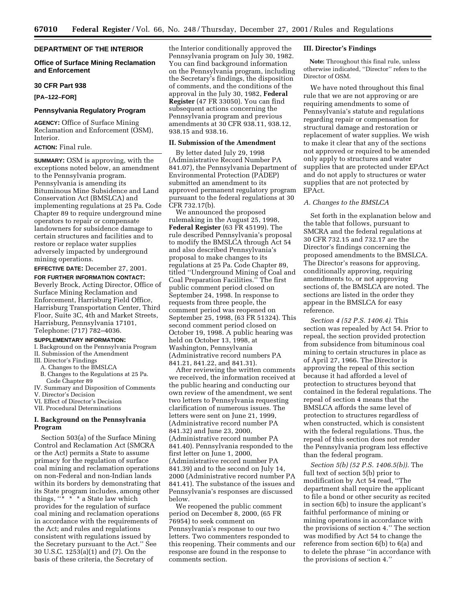# **DEPARTMENT OF THE INTERIOR**

# **Office of Surface Mining Reclamation and Enforcement**

#### **30 CFR Part 938**

**[PA–122–FOR]**

# **Pennsylvania Regulatory Program**

**AGENCY:** Office of Surface Mining Reclamation and Enforcement (OSM), Interior.

# **ACTION:** Final rule.

**SUMMARY:** OSM is approving, with the exceptions noted below, an amendment to the Pennsylvania program. Pennsylvania is amending its Bituminous Mine Subsidence and Land Conservation Act (BMSLCA) and implementing regulations at 25 Pa. Code Chapter 89 to require underground mine operators to repair or compensate landowners for subsidence damage to certain structures and facilities and to restore or replace water supplies adversely impacted by underground mining operations.

**EFFECTIVE DATE:** December 27, 2001.

**FOR FURTHER INFORMATION CONTACT:** Beverly Brock, Acting Director, Office of Surface Mining Reclamation and Enforcement, Harrisburg Field Office, Harrisburg Transportation Center, Third Floor, Suite 3C, 4th and Market Streets, Harrisburg, Pennsylvania 17101, Telephone: (717) 782–4036.

# **SUPPLEMENTARY INFORMATION:**

I. Background on the Pennsylvania Program II. Submission of the Amendment

- III. Director's Findings
	- A. Changes to the BMSLCA
- B. Changes to the Regulations at 25 Pa. Code Chapter 89
- IV. Summary and Disposition of Comments
- V. Director's Decision
- VI. Effect of Director's Decision
- VII. Procedural Determinations

# **I. Background on the Pennsylvania Program**

Section 503(a) of the Surface Mining Control and Reclamation Act (SMCRA or the Act) permits a State to assume primacy for the regulation of surface coal mining and reclamation operations on non-Federal and non-Indian lands within its borders by demonstrating that its State program includes, among other things,  $\cdots$   $\cdots$   $\cdots$  a State law which provides for the regulation of surface coal mining and reclamation operations in accordance with the requirements of the Act; and rules and regulations consistent with regulations issued by the Secretary pursuant to the Act.'' See 30 U.S.C. 1253(a)(1) and (7). On the basis of these criteria, the Secretary of

the Interior conditionally approved the Pennsylvania program on July 30, 1982. You can find background information on the Pennsylvania program, including the Secretary's findings, the disposition of comments, and the conditions of the approval in the July 30, 1982, **Federal Register** (47 FR 33050). You can find subsequent actions concerning the Pennsylvania program and previous amendments at 30 CFR 938.11, 938.12, 938.15 and 938.16.

# **II. Submission of the Amendment**

By letter dated July 29, 1998 (Administrative Record Number PA 841.07), the Pennsylvania Department of Environmental Protection (PADEP) submitted an amendment to its approved permanent regulatory program pursuant to the federal regulations at 30 CFR 732.17(b).

We announced the proposed rulemaking in the August 25, 1998, **Federal Register** (63 FR 45199). The rule described Pennsylvania's proposal to modify the BMSLCA through Act 54 and also described Pennsylvania's proposal to make changes to its regulations at 25 Pa. Code Chapter 89, titled ''Underground Mining of Coal and Coal Preparation Facilities.'' The first public comment period closed on September 24, 1998. In response to requests from three people, the comment period was reopened on September 25, 1998, (63 FR 51324). This second comment period closed on October 19, 1998. A public hearing was held on October 13, 1998, at Washington, Pennsylvania (Administrative record numbers PA 841.21, 841.22, and 841.31).

After reviewing the written comments we received, the information received at the public hearing and conducting our own review of the amendment, we sent two letters to Pennsylvania requesting clarification of numerous issues. The letters were sent on June 21, 1999, (Administrative record number PA 841.32) and June 23, 2000, (Administrative record number PA 841.40). Pennsylvania responded to the first letter on June 1, 2000, (Administrative record number PA 841.39) and to the second on July 14, 2000 (Administrative record number PA 841.41). The substance of the issues and Pennsylvania's responses are discussed below.

We reopened the public comment period on December 8, 2000, (65 FR 76954) to seek comment on Pennsylvania's response to our two letters. Two commenters responded to this reopening. Their comments and our response are found in the response to comments section.

# **III. Director's Findings**

**Note:** Throughout this final rule, unless otherwise indicated, ''Director'' refers to the Director of OSM.

We have noted throughout this final rule that we are not approving or are requiring amendments to some of Pennsylvania's statute and regulations regarding repair or compensation for structural damage and restoration or replacement of water supplies. We wish to make it clear that any of the sections not approved or required to be amended only apply to structures and water supplies that are protected under EPAct and do not apply to structures or water supplies that are not protected by EPAct.

# *A. Changes to the BMSLCA*

Set forth in the explanation below and the table that follows, pursuant to SMCRA and the federal regulations at 30 CFR 732.15 and 732.17 are the Director's findings concerning the proposed amendments to the BMSLCA. The Director's reasons for approving, conditionally approving, requiring amendments to, or not approving sections of, the BMSLCA are noted. The sections are listed in the order they appear in the BMSLCA for easy reference.

*Section 4 (52 P.S. 1406.4).* This section was repealed by Act 54. Prior to repeal, the section provided protection from subsidence from bituminous coal mining to certain structures in place as of April 27, 1966. The Director is approving the repeal of this section because it had afforded a level of protection to structures beyond that contained in the federal regulations. The repeal of section 4 means that the BMSLCA affords the same level of protection to structures regardless of when constructed, which is consistent with the federal regulations. Thus, the repeal of this section does not render the Pennsylvania program less effective than the federal program.

*Section 5(b) (52 P.S. 1406.5(b)).* The full text of section 5(b) prior to modification by Act 54 read, ''The department shall require the applicant to file a bond or other security as recited in section 6(b) to insure the applicant's faithful performance of mining or mining operations in accordance with the provisions of section 4.'' The section was modified by Act 54 to change the reference from section 6(b) to 6(a) and to delete the phrase ''in accordance with the provisions of section 4.''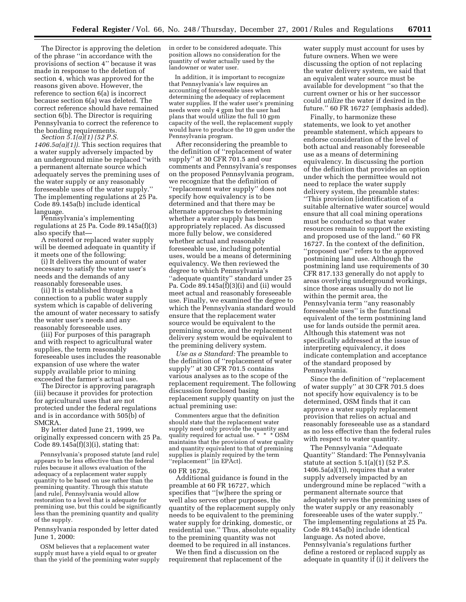The Director is approving the deletion of the phrase ''in accordance with the provisions of section 4'' because it was made in response to the deletion of section 4, which was approved for the reasons given above. However, the reference to section 6(a) is incorrect because section 6(a) was deleted. The correct reference should have remained section 6(b). The Director is requiring Pennsylvania to correct the reference to<br>the bonding requirements.

the bonding requirements. *Section 5.1(a)(1) (52 P.S. 1406.5a(a)(1)).* This section requires that a water supply adversely impacted by an underground mine be replaced ''with a permanent alternate source which adequately serves the premining uses of the water supply or any reasonably foreseeable uses of the water supply.'' The implementing regulations at 25 Pa. Code 89.145a(b) include identical language. Pennsylvania's implementing

regulations at 25 Pa. Code 89.145a(f)(3)

A restored or replaced water supply will be deemed adequate in quantity if

it meets one of the following: (i) It delivers the amount of water necessary to satisfy the water user's needs and the demands of any reasonably foreseeable uses. (ii) It is established through a

connection to a public water supply system which is capable of delivering the amount of water necessary to satisfy the water user's needs and any

reasonably foreseeable uses. (iii) For purposes of this paragraph and with respect to agricultural water supplies, the term reasonably foreseeable uses includes the reasonable expansion of use where the water supply available prior to mining exceeded the farmer's actual use.

The Director is approving paragraph (iii) because it provides for protection for agricultural uses that are not protected under the federal regulations and is in accordance with 505(b) of SMCRA.

By letter dated June 21, 1999, we originally expressed concern with 25 Pa. Code  $89.145a(f)(3)(i)$ , stating that:

Pennsylvania's proposed statute [and rule] appears to be less effective than the federal rules because it allows evaluation of the adequacy of a replacement water supply quantity to be based on use rather than the premining quantity. Through this statute [and rule], Pennsylvania would allow restoration to a level that is adequate for premining use, but this could be significantly less than the premining quantity and quality of the supply.

Pennsylvania responded by letter dated June 1, 2000:

OSM believes that a replacement water supply must have a yield equal to or greater than the yield of the premining water supply in order to be considered adequate. This position allows no consideration for the quantity of water actually used by the landowner or water user.

In addition, it is important to recognize that Pennsylvania's law requires an accounting of foreseeable uses when determining the adequacy of replacement water supplies. If the water user's premining needs were only 4 gpm but the user had plans that would utilize the full 10 gpm capacity of the well, the replacement supply would have to produce the 10 gpm under the Pennsylvania program.

After reconsidering the preamble to the definition of ''replacement of water supply'' at 30 CFR 701.5 and our comments and Pennsylvania's responses on the proposed Pennsylvania program, we recognize that the definition of ''replacement water supply'' does not specify how equivalency is to be determined and that there may be alternate approaches to determining whether a water supply has been appropriately replaced. As discussed more fully below, we considered whether actual and reasonably foreseeable use, including potential uses, would be a means of determining equivalency. We then reviewed the degree to which Pennsylvania's ''adequate quantity'' standard under 25 Pa. Code 89.145a(f)(3)(i) and (ii) would meet actual and reasonably foreseeable use. Finally, we examined the degree to which the Pennsylvania standard would ensure that the replacement water source would be equivalent to the premining source, and the replacement delivery system would be equivalent to the premining delivery system.

*Use as a Standard:* The preamble to the definition of ''replacement of water supply'' at 30 CFR 701.5 contains various analyses as to the scope of the replacement requirement. The following discussion foreclosed basing replacement supply quantity on just the actual premining use:

Commenters argue that the definition should state that the replacement water supply need only provide the quantity and quality required for actual use. \* \* \* OSM maintains that the provision of water quality and quantity equivalent to that of premining supplies is plainly required by the term ''replacement'' [in EPAct].

#### 60 FR 16726.

Additional guidance is found in the preamble at 60 FR 16727, which specifies that ''[w]here the spring or well also serves other purposes, the quantity of the replacement supply only needs to be equivalent to the premining water supply for drinking, domestic, or residential use.'' Thus, absolute equality to the premining quantity was not deemed to be required in all instances.

We then find a discussion on the requirement that replacement of the

water supply must account for uses by future owners. When we were discussing the option of not replacing the water delivery system, we said that an equivalent water source must be available for development ''so that the current owner or his or her successor could *utilize* the water if desired in the future.'' 60 FR 16727 (emphasis added).

Finally, to harmonize these statements, we look to yet another preamble statement, which appears to endorse consideration of the level of both actual and reasonably foreseeable use as a means of determining equivalency. In discussing the portion of the definition that provides an option under which the permittee would not need to replace the water supply delivery system, the preamble states: ''This provision [identification of a suitable alternative water source] would ensure that all coal mining operations must be conducted so that water resources remain to support the existing and proposed use of the land.'' 60 FR 16727. In the context of the definition, ''proposed use'' refers to the approved postmining land use. Although the postmining land use requirements of 30 CFR 817.133 generally do not apply to areas overlying underground workings, since those areas usually do not lie within the permit area, the Pennsylvania term ''any reasonably foreseeable uses'' is the functional equivalent of the term postmining land use for lands outside the permit area. Although this statement was not specifically addressed at the issue of interpreting equivalency, it does indicate contemplation and acceptance of the standard proposed by Pennsylvania.

Since the definition of ''replacement of water supply'' at 30 CFR 701.5 does not specify how equivalency is to be determined, OSM finds that it can approve a water supply replacement provision that relies on actual and reasonably foreseeable use as a standard as no less effective than the federal rules with respect to water quantity.

The Pennsylvania ''Adequate Quantity'' Standard: The Pennsylvania statute at section  $5.1(a)(1)$  (52 P.S.  $1406.5a(a)(1)$ , requires that a water supply adversely impacted by an underground mine be replaced ''with a permanent alternate source that adequately serves the premining uses of the water supply or any reasonably foreseeable uses of the water supply.'' The implementing regulations at 25 Pa. Code 89.145a(b) include identical language. As noted above, Pennsylvania's regulations further define a restored or replaced supply as adequate in quantity if (i) it delivers the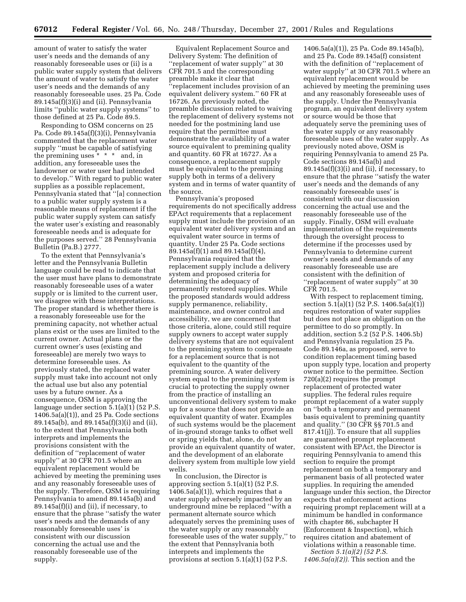amount of water to satisfy the water user's needs and the demands of any reasonably foreseeable uses or (ii) is a public water supply system that delivers the amount of water to satisfy the water user's needs and the demands of any reasonably foreseeable uses. 25 Pa. Code 89.145a(f)(3)(i) and (ii). Pennsylvania limits ''public water supply systems'' to those defined at 25 Pa. Code 89.5.

Responding to OSM concerns on 25 Pa. Code 89.145a(f)(3)(i), Pennsylvania commented that the replacement water supply ''must be capable of satisfying the premining uses \* \* \* and, in addition, any foreseeable uses the landowner or water user had intended to develop.'' With regard to public water supplies as a possible replacement, Pennsylvania stated that ''[a] connection to a public water supply system is a reasonable means of replacement if the public water supply system can satisfy the water user's existing and reasonably foreseeable needs and is adequate for the purposes served.'' 28 Pennsylvania Bulletin (Pa.B.) 2777.

To the extent that Pennsylvania's letter and the Pennsylvania Bulletin language could be read to indicate that the user must have plans to demonstrate reasonably foreseeable uses of a water supply or is limited to the current user, we disagree with these interpretations. The proper standard is whether there is a reasonably foreseeable use for the premining capacity, not whether actual plans exist or the uses are limited to the current owner. Actual plans or the current owner's uses (existing and foreseeable) are merely two ways to determine foreseeable uses. As previously stated, the replaced water supply must take into account not only the actual use but also any potential uses by a future owner. As a consequence, OSM is approving the language under section 5.1(a)(1) (52 P.S. 1406.5a(a)(1)), and 25 Pa. Code sections 89.145a(b), and 89.145a(f)(3)(i) and (ii), to the extent that Pennsylvania both interprets and implements the provisions consistent with the definition of ''replacement of water supply'' at 30 CFR 701.5 where an equivalent replacement would be achieved by meeting the premining uses and any reasonably foreseeable uses of the supply. Therefore, OSM is requiring Pennsylvania to amend 89.145a(b) and 89.145a(f)(i) and (ii), if necessary, to ensure that the phrase ''satisfy the water user's needs and the demands of any reasonably foreseeable uses' is consistent with our discussion concerning the actual use and the reasonably foreseeable use of the supply.

Equivalent Replacement Source and Delivery System: The definition of ''replacement of water supply'' at 30 CFR 701.5 and the corresponding preamble make it clear that ''replacement includes provision of an equivalent delivery system.'' 60 FR at 16726. As previously noted, the preamble discussion related to waiving the replacement of delivery systems not needed for the postmining land use require that the permittee must demonstrate the availability of a water source equivalent to premining quality and quantity. 60 FR at 16727. As a consequence, a replacement supply must be equivalent to the premining supply both in terms of a delivery system and in terms of water quantity of the source.

Pennsylvania's proposed requirements do not specifically address EPAct requirements that a replacement supply must include the provision of an equivalent water delivery system and an equivalent water source in terms of quantity. Under 25 Pa. Code sections 89.145a(f)(1) and 89.145a(f)(4), Pennsylvania required that the replacement supply include a delivery system and proposed criteria for determining the adequacy of permanently restored supplies. While the proposed standards would address supply permanence, reliability, maintenance, and owner control and accessibility, we are concerned that those criteria, alone, could still require supply owners to accept water supply delivery systems that are not equivalent to the premining system to compensate for a replacement source that is not equivalent to the quantity of the premining source. A water delivery system equal to the premining system is crucial to protecting the supply owner from the practice of installing an unconventional delivery system to make up for a source that does not provide an equivalent quantity of water. Examples of such systems would be the placement of in-ground storage tanks to offset well or spring yields that, alone, do not provide an equivalent quantity of water, and the development of an elaborate delivery system from multiple low yield wells.

In conclusion, the Director is approving section  $5.1(a)(1)$  (52 P.S. 1406.5a(a)(1)), which requires that a water supply adversely impacted by an underground mine be replaced ''with a permanent alternate source which adequately serves the premining uses of the water supply or any reasonably foreseeable uses of the water supply,'' to the extent that Pennsylvania both interprets and implements the provisions at section 5.1(a)(1) (52 P.S.

1406.5a(a)(1)), 25 Pa. Code 89.145a(b), and 25 Pa. Code 89.145a(f) consistent with the definition of ''replacement of water supply'' at 30 CFR 701.5 where an equivalent replacement would be achieved by meeting the premining uses and any reasonably foreseeable uses of the supply. Under the Pennsylvania program, an equivalent delivery system or source would be those that adequately serve the premining uses of the water supply or any reasonably foreseeable uses of the water supply. As previously noted above, OSM is requiring Pennsylvania to amend 25 Pa. Code sections 89.145a(b) and  $89.145a(f)(3)(i)$  and (ii), if necessary, to ensure that the phrase ''satisfy the water user's needs and the demands of any reasonably foreseeable uses' is consistent with our discussion concerning the actual use and the reasonably foreseeable use of the supply. Finally, OSM will evaluate implementation of the requirements through the oversight process to determine if the processes used by Pennsylvania to determine current owner's needs and demands of any reasonably foreseeable use are consistent with the definition of ''replacement of water supply'' at 30 CFR 701.5.

With respect to replacement timing, section  $5.1(a)(1)$  (52 P.S. 1406.5a(a)(1)) requires restoration of water supplies but does not place an obligation on the permittee to do so promptly. In addition, section 5.2 (52 P.S. 1406.5b) and Pennsylvania regulation 25 Pa. Code 89.146a, as proposed, serve to condition replacement timing based upon supply type, location and property owner notice to the permittee. Section 720(a)(2) requires the prompt replacement of protected water supplies. The federal rules require prompt replacement of a water supply on ''both a temporary and permanent basis equivalent to premining quantity and quality.'' (30 CFR §§ 701.5 and 817.41(j)). To ensure that all supplies are guaranteed prompt replacement consistent with EPAct, the Director is requiring Pennsylvania to amend this section to require the prompt replacement on both a temporary and permanent basis of all protected water supplies. In requiring the amended language under this section, the Director expects that enforcement actions requiring prompt replacement will at a minimum be handled in conformance with chapter 86, subchapter H (Enforcement & Inspection), which requires citation and abatement of violations within a reasonable time.

*Section 5.1(a)(2) (52 P.S. 1406.5a(a)(2)).* This section and the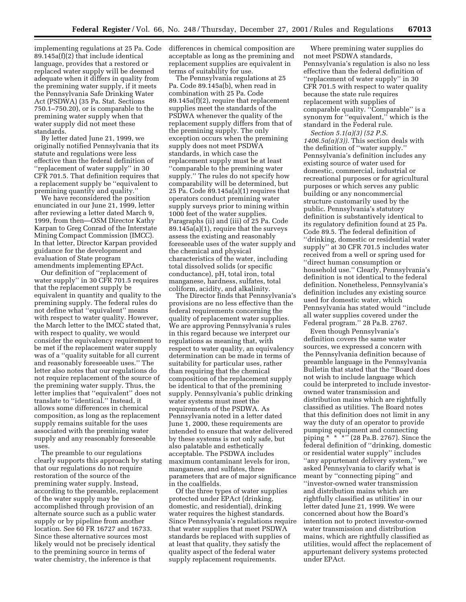implementing regulations at 25 Pa. Code 89.145a(f)(2) that include identical language, provides that a restored or replaced water supply will be deemed adequate when it differs in quality from the premining water supply, if it meets the Pennsylvania Safe Drinking Water Act (PSDWA) (35 Pa. Stat. Sections 750.1–750.20), or is comparable to the premining water supply when that water supply did not meet these standards.

By letter dated June 21, 1999, we originally notified Pennsylvania that its statute and regulations were less effective than the federal definition of ''replacement of water supply'' in 30 CFR 701.5. That definition requires that a replacement supply be ''equivalent to premining quantity and quality.''

We have reconsidered the position enunciated in our June 21, 1999, letter after reviewing a letter dated March 9, 1999, from then—OSM Director Kathy Karpan to Greg Conrad of the Interstate Mining Compact Commission (IMCC). In that letter, Director Karpan provided guidance for the development and evaluation of State program amendments implementing EPAct.

Our definition of ''replacement of water supply'' in 30 CFR 701.5 requires that the replacement supply be equivalent in quantity and quality to the premining supply. The federal rules do not define what ''equivalent'' means with respect to water quality. However, the March letter to the IMCC stated that, with respect to quality, we would consider the equivalency requirement to be met if the replacement water supply was of a ''quality suitable for all current and reasonably foreseeable uses.'' The letter also notes that our regulations do not require replacement of the source of the premining water supply. Thus, the letter implies that ''equivalent'' does not translate to ''identical.'' Instead, it allows some differences in chemical composition, as long as the replacement supply remains suitable for the uses associated with the premining water supply and any reasonably foreseeable uses.

The preamble to our regulations clearly supports this approach by stating that our regulations do not require restoration of the source of the premining water supply. Instead, according to the preamble, replacement of the water supply may be accomplished through provision of an alternate source such as a public water supply or by pipeline from another location. See 60 FR 16727 and 16733. Since these alternative sources most likely would not be precisely identical to the premining source in terms of water chemistry, the inference is that

differences in chemical composition are acceptable as long as the premining and replacement supplies are equivalent in terms of suitability for use.

The Pennsylvania regulations at 25 Pa. Code 89.145a(b), when read in combination with 25 Pa. Code 89.145a(f)(2), require that replacement supplies meet the standards of the PSDWA whenever the quality of the replacement supply differs from that of the premining supply. The only exception occurs when the premining supply does not meet PSDWA standards, in which case the replacement supply must be at least ''comparable to the premining water supply.'' The rules do not specify how comparability will be determined, but 25 Pa. Code 89.145a(a)(1) requires that operators conduct premining water supply surveys prior to mining within 1000 feet of the water supplies. Paragraphs (ii) and (iii) of 25 Pa. Code 89.145a(a)(1), require that the surveys assess the existing and reasonably foreseeable uses of the water supply and the chemical and physical characteristics of the water, including total dissolved solids (or specific conductance), pH, total iron, total manganese, hardness, sulfates, total coliform, acidity, and alkalinity.

The Director finds that Pennsylvania's provisions are no less effective than the federal requirements concerning the quality of replacement water supplies. We are approving Pennsylvania's rules in this regard because we interpret our regulations as meaning that, with respect to water quality, an equivalency determination can be made in terms of suitability for particular uses, rather than requiring that the chemical composition of the replacement supply be identical to that of the premining supply. Pennsylvania's public drinking water systems must meet the requirements of the PSDWA. As Pennsylvania noted in a letter dated June 1, 2000, these requirements are intended to ensure that water delivered by these systems is not only safe, but also palatable and esthetically acceptable. The PSDWA includes maximum contaminant levels for iron, manganese, and sulfates, three parameters that are of major significance in the coalfields.

Of the three types of water supplies protected under EPAct (drinking, domestic, and residential), drinking water requires the highest standards. Since Pennsylvania's regulations require that water supplies that meet PSDWA standards be replaced with supplies of at least that quality, they satisfy the quality aspect of the federal water supply replacement requirements.

Where premining water supplies do not meet PSDWA standards, Pennsylvania's regulation is also no less effective than the federal definition of ''replacement of water supply'' in 30 CFR 701.5 with respect to water quality because the state rule requires replacement with supplies of comparable quality. ''Comparable'' is a synonym for ''equivalent,'' which is the standard in the Federal rule.

*Section 5.1(a)(3) (52 P.S. 1406.5a(a)(3)).* This section deals with the definition of ''water supply.'' Pennsylvania's definition includes any existing source of water used for domestic, commercial, industrial or recreational purposes or for agricultural purposes or which serves any public building or any noncommercial structure customarily used by the public. Pennsylvania's statutory definition is substantively identical to its regulatory definition found at 25 Pa. Code 89.5. The federal definition of ''drinking, domestic or residential water supply'' at 30 CFR 701.5 includes water received from a well or spring used for ''direct human consumption or household use.'' Clearly, Pennsylvania's definition is not identical to the federal definition. Nonetheless, Pennsylvania's definition includes any existing source used for domestic water, which Pennsylvania has stated would ''include all water supplies covered under the Federal program.'' 28 Pa.B. 2767.

Even though Pennsylvania's definition covers the same water sources, we expressed a concern with the Pennsylvania definition because of preamble language in the Pennsylvania Bulletin that stated that the ''Board does not wish to include language which could be interpreted to include investorowned water transmission and distribution mains which are rightfully classified as utilities. The Board notes that this definition does not limit in any way the duty of an operator to provide pumping equipment and connecting piping \* \* \*'' (28 Pa.B. 2767). Since the federal definition of ''drinking, domestic or residential water supply'' includes ''any appurtenant delivery system,'' we asked Pennsylvania to clarify what is meant by ''connecting piping'' and ''investor-owned water transmission and distribution mains which are rightfully classified as utilities' in our letter dated June 21, 1999. We were concerned about how the Board's intention not to protect investor-owned water transmission and distribution mains, which are rightfully classified as utilities, would affect the replacement of appurtenant delivery systems protected under EPAct.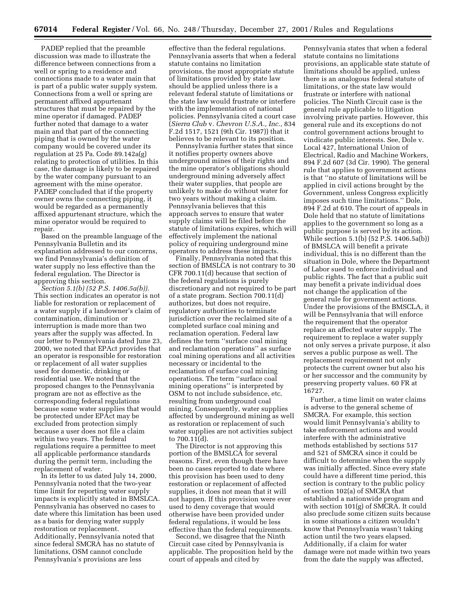PADEP replied that the preamble discussion was made to illustrate the difference between connections from a well or spring to a residence and connections made to a water main that is part of a public water supply system. Connections from a well or spring are permanent affixed appurtenant structures that must be repaired by the mine operator if damaged. PADEP further noted that damage to a water main and that part of the connecting piping that is owned by the water company would be covered under its regulation at 25 Pa. Code 89.142a(g) relating to protection of utilities. In this case, the damage is likely to be repaired by the water company pursuant to an agreement with the mine operator. PADEP concluded that if the property owner owns the connecting piping, it would be regarded as a permanently affixed appurtenant structure, which the mine operator would be required to repair.

Based on the preamble language of the Pennsylvania Bulletin and its explanation addressed to our concerns, we find Pennsylvania's definition of water supply no less effective than the federal regulation. The Director is approving this section.

*Section 5.1(b) (52 P.S. 1406.5a(b)).* This section indicates an operator is not liable for restoration or replacement of a water supply if a landowner's claim of contamination, diminution or interruption is made more than two years after the supply was affected. In our letter to Pennsylvania dated June 23, 2000, we noted that EPAct provides that an operator is responsible for restoration or replacement of all water supplies used for domestic, drinking or residential use. We noted that the proposed changes to the Pennsylvania program are not as effective as the corresponding federal regulations because some water supplies that would be protected under EPAct may be excluded from protection simply because a user does not file a claim within two years. The federal regulations require a permittee to meet all applicable performance standards during the permit term, including the replacement of water.

In its letter to us dated July 14, 2000, Pennsylvania noted that the two-year time limit for reporting water supply impacts is explicitly stated in BMSLCA. Pennsylvania has observed no cases to date where this limitation has been used as a basis for denying water supply restoration or replacement. Additionally, Pennsylvania noted that since federal SMCRA has no statute of limitations, OSM cannot conclude Pennsylvania's provisions are less

effective than the federal regulations. Pennsylvania asserts that when a federal statute contains no limitation provisions, the most appropriate statute of limitations provided by state law should be applied unless there is a relevant federal statute of limitations or the state law would frustrate or interfere with the implementation of national policies. Pennsylvania cited a court case (*Sierra Club* v. *Chevron U.S.A., Inc.,* 834 F.2d 1517, 1521 (9th Cir. 1987)) that it believes to be relevant to its position.

Pennsylvania further states that since it notifies property owners above underground mines of their rights and the mine operator's obligations should underground mining adversely affect their water supplies, that people are unlikely to make do without water for two years without making a claim. Pennsylvania believes that this approach serves to ensure that water supply claims will be filed before the statute of limitations expires, which will effectively implement the national policy of requiring underground mine operators to address these impacts.

Finally, Pennsylvania noted that this section of BMSLCA is not contrary to 30 CFR 700.11(d) because that section of the federal regulations is purely discretionary and not required to be part of a state program. Section 700.11(d) authorizes, but does not require, regulatory authorities to terminate jurisdiction over the reclaimed site of a completed surface coal mining and reclamation operation. Federal law defines the term ''surface coal mining and reclamation operations'' as surface coal mining operations and all activities necessary or incidental to the reclamation of surface coal mining operations. The term ''surface coal mining operations'' is interpreted by OSM to not include subsidence, etc. resulting from underground coal mining. Consequently, water supplies affected by underground mining as well as restoration or replacement of such water supplies are not activities subject to 700.11(d).

The Director is not approving this portion of the BMSLCA for several reasons. First, even though there have been no cases reported to date where this provision has been used to deny restoration or replacement of affected supplies, it does not mean that it will not happen. If this provision were ever used to deny coverage that would otherwise have been provided under federal regulations, it would be less effective than the federal requirements.

Second, we disagree that the Ninth Circuit case cited by Pennsylvania is applicable. The proposition held by the court of appeals and cited by

Pennsylvania states that when a federal statute contains no limitations provisions, an applicable state statute of limitations should be applied, unless there is an analogous federal statute of limitations, or the state law would frustrate or interfere with national policies. The Ninth Circuit case is the general rule applicable to litigation involving private parties. However, this general rule and its exceptions do not control government actions brought to vindicate public interests. See, Dole v. Local 427, International Union of Electrical, Radio and Machine Workers, 894 F.2d 607 (3d Cir. 1990). The general rule that applies to government actions is that ''no statute of limitations will be applied in civil actions brought by the Government, unless Congress explicitly imposes such time limitations.'' Dole, 894 F.2d at 610. The court of appeals in Dole held that no statute of limitations applies to the government so long as a public purpose is served by its action. While section 5.1(b) (52 P.S. 1406.5a(b)) of BMSLCA will benefit a private individual, this is no different than the situation in Dole, where the Department of Labor sued to enforce individual and public rights. The fact that a public suit may benefit a private individual does not change the application of the general rule for government actions. Under the provisions of the BMSCLA, it will be Pennsylvania that will enforce the requirement that the operator replace an affected water supply. The requirement to replace a water supply not only serves a private purpose, it also serves a public purpose as well. The replacement requirement not only protects the current owner but also his or her successor and the community by preserving property values. 60 FR at 16727.

Further, a time limit on water claims is adverse to the general scheme of SMCRA. For example, this section would limit Pennsylvania's ability to take enforcement actions and would interfere with the administrative methods established by sections 517 and 521 of SMCRA since it could be difficult to determine when the supply was initially affected. Since every state could have a different time period, this section is contrary to the public policy of section 102(a) of SMCRA that established a nationwide program and with section 101(g) of SMCRA. It could also preclude some citizen suits because in some situations a citizen wouldn't know that Pennsylvania wasn't taking action until the two years elapsed. Additionally, if a claim for water damage were not made within two years from the date the supply was affected,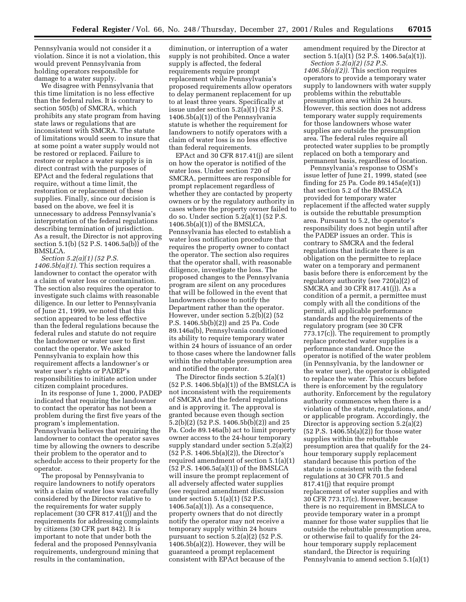Pennsylvania would not consider it a violation. Since it is not a violation, this would prevent Pennsylvania from holding operators responsible for damage to a water supply.

We disagree with Pennsylvania that this time limitation is no less effective than the federal rules. It is contrary to section 505(b) of SMCRA, which prohibits any state program from having state laws or regulations that are inconsistent with SMCRA. The statute of limitations would seem to insure that at some point a water supply would not be restored or replaced. Failure to restore or replace a water supply is in direct contrast with the purposes of EPAct and the federal regulations that require, without a time limit, the restoration or replacement of these supplies. Finally, since our decision is based on the above, we feel it is unnecessary to address Pennsylvania's interpretation of the federal regulations describing termination of jurisdiction. As a result, the Director is not approving section 5.1(b) (52 P.S. 1406.5a(b)) of the BMSLCA.

*Section 5.2(a)(1) (52 P.S. 1406.5b(a)(1).* This section requires a landowner to contact the operator with a claim of water loss or contamination. The section also requires the operator to investigate such claims with reasonable diligence. In our letter to Pennsylvania of June 21, 1999, we noted that this section appeared to be less effective than the federal regulations because the federal rules and statute do not require the landowner or water user to first contact the operator. We asked Pennsylvania to explain how this requirement affects a landowner's or water user's rights or PADEP's responsibilities to initiate action under citizen complaint procedures.

In its response of June 1, 2000, PADEP indicated that requiring the landowner to contact the operator has not been a problem during the first five years of the program's implementation. Pennsylvania believes that requiring the landowner to contact the operator saves time by allowing the owners to describe their problem to the operator and to schedule access to their property for the operator.

The proposal by Pennsylvania to require landowners to notify operators with a claim of water loss was carefully considered by the Director relative to the requirements for water supply replacement (30 CFR 817.41(j)) and the requirements for addressing complaints by citizens (30 CFR part 842). It is important to note that under both the federal and the proposed Pennsylvania requirements, underground mining that results in the contamination,

diminution, or interruption of a water supply is not prohibited. Once a water supply is affected, the federal requirements require prompt replacement while Pennsylvania's proposed requirements allow operators to delay permanent replacement for up to at least three years. Specifically at issue under section 5.2(a)(1) (52 P.S. 1406.5b(a)(1)) of the Pennsylvania statute is whether the requirement for landowners to notify operators with a claim of water loss is no less effective than federal requirements.

EPAct and 30 CFR 817.41(j) are silent on how the operator is notified of the water loss. Under section 720 of SMCRA, permittees are responsible for prompt replacement regardless of whether they are contacted by property owners or by the regulatory authority in cases where the property owner failed to do so. Under section 5.2(a)(1) (52 P.S.  $1406.5b(a)(1)$  of the BMSLCA, Pennsylvania has elected to establish a water loss notification procedure that requires the property owner to contact the operator. The section also requires that the operator shall, with reasonable diligence, investigate the loss. The proposed changes to the Pennsylvania program are silent on any procedures that will be followed in the event that landowners choose to notify the Department rather than the operator. However, under section 5.2(b)(2) (52 P.S. 1406.5b(b)(2)) and 25 Pa. Code 89.146a(b), Pennsylvania conditioned its ability to require temporary water within 24 hours of issuance of an order to those cases where the landowner falls within the rebuttable presumption area and notified the operator.

The Director finds section 5.2(a)(1) (52 P.S. 1406.5b(a)(1)) of the BMSLCA is not inconsistent with the requirements of SMCRA and the federal regulations and is approving it. The approval is granted because even though section 5.2(b)(2) (52 P.S. 1406.5b(b)(2)) and 25 Pa. Code 89.146a(b) act to limit property owner access to the 24-hour temporary supply standard under section 5.2(a)(2) (52 P.S. 1406.5b(a)(2)), the Director's required amendment of section 5.1(a)(1) (52 P.S. 1406.5a(a)(1)) of the BMSLCA will insure the prompt replacement of all adversely affected water supplies (see required amendment discussion under section 5.1(a)(1) (52 P.S.  $1406.5a(a)(1)$ ). As a consequence, property owners that do not directly notify the operator may not receive a temporary supply within 24 hours pursuant to section 5.2(a)(2) (52 P.S.  $1406.5b(a)(2)$ ). However, they will be guaranteed a prompt replacement consistent with EPAct because of the

amendment required by the Director at section 5.1(a)(1) (52 P.S. 1406.5a(a)(1)).

*Section 5.2(a)(2) (52 P.S. 1406.5b(a)(2)).* This section requires operators to provide a temporary water supply to landowners with water supply problems within the rebuttable presumption area within 24 hours. However, this section does not address temporary water supply requirements for those landowners whose water supplies are outside the presumption area. The federal rules require all protected water supplies to be promptly replaced on both a temporary and permanent basis, regardless of location.

Pennsylvania's response to OSM's issue letter of June 21, 1999, stated (see finding for 25 Pa. Code 89.145a(e)(1)) that section 5.2 of the BMSLCA provided for temporary water replacement if the affected water supply is outside the rebuttable presumption area. Pursuant to 5.2, the operator's responsibility does not begin until after the PADEP issues an order. This is contrary to SMCRA and the federal regulations that indicate there is an obligation on the permittee to replace water on a temporary and permanent basis before there is enforcement by the regulatory authority (see 720(a)(2) of SMCRA and 30 CFR 817.41(j)). As a condition of a permit, a permittee must comply with all the conditions of the permit, all applicable performance standards and the requirements of the regulatory program (see 30 CFR 773.17(c)). The requirement to promptly replace protected water supplies is a performance standard. Once the operator is notified of the water problem (in Pennsylvania, by the landowner or the water user), the operator is obligated to replace the water. This occurs before there is enforcement by the regulatory authority. Enforcement by the regulatory authority commences when there is a violation of the statute, regulations, and/ or applicable program. Accordingly, the Director is approving section  $5.2(a)(2)$ (52 P.S. 1406.5b(a)(2)) for those water supplies within the rebuttable presumption area that qualify for the 24 hour temporary supply replacement standard because this portion of the statute is consistent with the federal regulations at 30 CFR 701.5 and 817.41(j) that require prompt replacement of water supplies and with 30 CFR 773.17(c). However, because there is no requirement in BMSLCA to provide temporary water in a prompt manner for those water supplies that lie outside the rebuttable presumption area, or otherwise fail to qualify for the 24 hour temporary supply replacement standard, the Director is requiring Pennsylvania to amend section 5.1(a)(1)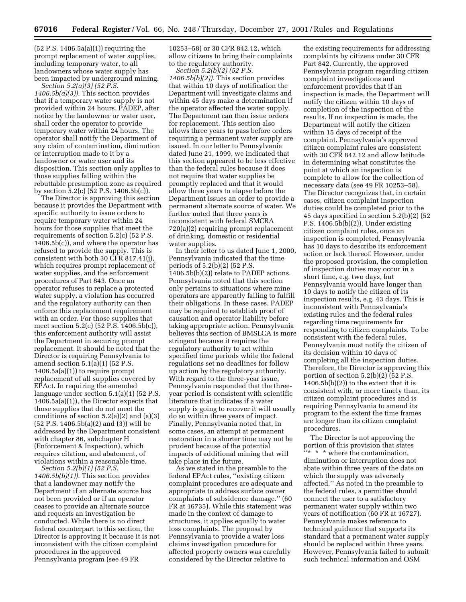(52 P.S. 1406.5a(a)(1)) requiring the prompt replacement of water supplies, including temporary water, to all landowners whose water supply has been impacted by underground mining.

*Section 5.2(a)(3) (52 P.S. 1406.5b(a)(3)).* This section provides that if a temporary water supply is not provided within 24 hours, PADEP, after notice by the landowner or water user, shall order the operator to provide temporary water within 24 hours. The operator shall notify the Department of any claim of contamination, diminution or interruption made to it by a landowner or water user and its disposition. This section only applies to those supplies falling within the rebuttable presumption zone as required by section 5.2(c) (52 P.S. 1406.5b(c)).

The Director is approving this section because it provides the Department with specific authority to issue orders to require temporary water within 24 hours for those supplies that meet the requirements of section 5.2(c) (52 P.S. 1406.5b(c)), and where the operator has refused to provide the supply. This is consistent with both 30 CFR 817.41(j), which requires prompt replacement of water supplies, and the enforcement procedures of Part 843. Once an operator refuses to replace a protected water supply, a violation has occurred and the regulatory authority can then enforce this replacement requirement with an order. For those supplies that meet section 5.2(c) (52 P.S. 1406.5b(c)), this enforcement authority will assist the Department in securing prompt replacement. It should be noted that the Director is requiring Pennsylvania to amend section 5.1(a)(1) (52 P.S.  $1406.5a(a)(1)$  to require prompt replacement of all supplies covered by EPAct. In requiring the amended language under section 5.1(a)(1) (52 P.S. 1406.5a(a)(1)), the Director expects that those supplies that do not meet the conditions of section 5.2(a)(2) and (a)(3) (52 P.S. 1406.5b(a)(2) and (3)) will be addressed by the Department consistent with chapter 86, subchapter H (Enforcement & Inspection), which requires citation, and abatement, of violations within a reasonable time.

*Section 5.2(b)(1) (52 P.S. 1406.5b(b)(1)).* This section provides that a landowner may notify the Department if an alternate source has not been provided or if an operator ceases to provide an alternate source and requests an investigation be conducted. While there is no direct federal counterpart to this section, the Director is approving it because it is not inconsistent with the citizen complaint procedures in the approved Pennsylvania program (see 49 FR

10253–58) or 30 CFR 842.12, which allow citizens to bring their complaints to the regulatory authority.

*Section 5.2(b)(2) (52 P.S. 1406.5b(b)(2)).* This section provides that within 10 days of notification the Department will investigate claims and within 45 days make a determination if the operator affected the water supply. The Department can then issue orders for replacement. This section also allows three years to pass before orders requiring a permanent water supply are issued. In our letter to Pennsylvania dated June 21, 1999, we indicated that this section appeared to be less effective than the federal rules because it does not require that water supplies be promptly replaced and that it would allow three years to elapse before the Department issues an order to provide a permanent alternate source of water. We further noted that three years is inconsistent with federal SMCRA 720(a)(2) requiring prompt replacement of drinking, domestic or residential water supplies.

In their letter to us dated June 1, 2000, Pennsylvania indicated that the time periods of 5.2(b)(2) (52 P.S. 1406.5b(b)(2)) relate to PADEP actions. Pennsylvania noted that this section only pertains to situations where mine operators are apparently failing to fulfill their obligations. In these cases, PADEP may be required to establish proof of causation and operator liability before taking appropriate action. Pennsylvania believes this section of BMSLCA is more stringent because it requires the regulatory authority to act within specified time periods while the federal regulations set no deadlines for follow up action by the regulatory authority. With regard to the three-year issue, Pennsylvania responded that the threeyear period is consistent with scientific literature that indicates if a water supply is going to recover it will usually do so within three years of impact. Finally, Pennsylvania noted that, in some cases, an attempt at permanent restoration in a shorter time may not be prudent because of the potential impacts of additional mining that will take place in the future.

As we stated in the preamble to the federal EPAct rules, ''existing citizen complaint procedures are adequate and appropriate to address surface owner complaints of subsidence damage.'' (60 FR at 16735). While this statement was made in the context of damage to structures, it applies equally to water loss complaints. The proposal by Pennsylvania to provide a water loss claims investigation procedure for affected property owners was carefully considered by the Director relative to

the existing requirements for addressing complaints by citizens under 30 CFR Part 842. Currently, the approved Pennsylvania program regarding citizen complaint investigations and enforcement provides that if an inspection is made, the Department will notify the citizen within 10 days of completion of the inspection of the results. If no inspection is made, the Department will notify the citizen within 15 days of receipt of the complaint. Pennsylvania's approved citizen complaint rules are consistent with 30 CFR 842.12 and allow latitude in determining what constitutes the point at which an inspection is complete to allow for the collection of necessary data (see 49 FR 10253–58). The Director recognizes that, in certain cases, citizen complaint inspection duties could be completed prior to the 45 days specified in section 5.2(b)(2) (52 P.S. 1406.5b(b)(2)). Under existing citizen complaint rules, once an inspection is completed, Pennsylvania has 10 days to describe its enforcement action or lack thereof. However, under the proposed provision, the completion of inspection duties may occur in a short time, e.g. two days, but Pennsylvania would have longer than 10 days to notify the citizen of its inspection results, e.g. 43 days. This is inconsistent with Pennsylvania's existing rules and the federal rules regarding time requirements for responding to citizen complaints. To be consistent with the federal rules, Pennsylvania must notify the citizen of its decision within 10 days of completing all the inspection duties. Therefore, the Director is approving this portion of section  $5.2(b)(2)$  ( $52$  P.S.  $1406.5b(b)(2)$  to the extent that it is consistent with, or more timely than, its citizen complaint procedures and is requiring Pennsylvania to amend its program to the extent the time frames are longer than its citizen complaint procedures.

The Director is not approving the portion of this provision that states  $\frac{F_{\text{tx}}}{F_{\text{tx}}}$  \* where the contamination, diminution or interruption does not abate within three years of the date on which the supply was adversely affected.'' As noted in the preamble to the federal rules, a permittee should connect the user to a satisfactory permanent water supply within two years of notification (60 FR at 16727). Pennsylvania makes reference to technical guidance that supports its standard that a permanent water supply should be replaced within three years. However, Pennsylvania failed to submit such technical information and OSM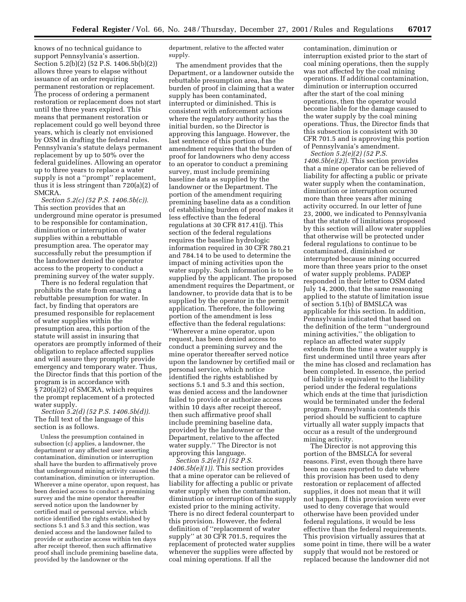knows of no technical guidance to support Pennsylvania's assertion. Section 5.2(b)(2) (52 P.S. 1406.5b(b)(2)) allows three years to elapse without issuance of an order requiring permanent restoration or replacement. The process of ordering a permanent restoration or replacement does not start until the three years expired. This means that permanent restoration or replacement could go well beyond three years, which is clearly not envisioned by OSM in drafting the federal rules. Pennsylvania's statute delays permanent replacement by up to 50% over the federal guidelines. Allowing an operator up to three years to replace a water supply is not a ''prompt'' replacement, thus it is less stringent than 720(a)(2) of SMCRA.

*Section 5.2(c) (52 P.S. 1406.5b(c)).* This section provides that an underground mine operator is presumed to be responsible for contamination, diminution or interruption of water supplies within a rebuttable presumption area. The operator may successfully rebut the presumption if the landowner denied the operator access to the property to conduct a premining survey of the water supply.

There is no federal regulation that prohibits the state from enacting a rebuttable presumption for water. In fact, by finding that operators are presumed responsible for replacement of water supplies within the presumption area, this portion of the statute will assist in insuring that operators are promptly informed of their obligation to replace affected supplies and will assure they promptly provide emergency and temporary water. Thus, the Director finds that this portion of the program is in accordance with § 720(a)(2) of SMCRA, which requires the prompt replacement of a protected water supply.

*Section 5.2(d) (52 P.S. 1406.5b(d)).* The full text of the language of this section is as follows.

Unless the presumption contained in subsection (c) applies, a landowner, the department or any affected user asserting contamination, diminution or interruption shall have the burden to affirmatively prove that underground mining activity caused the contamination, diminution or interruption. Wherever a mine operator, upon request, has been denied access to conduct a premining survey and the mine operator thereafter served notice upon the landowner by certified mail or personal service, which notice identified the rights established by sections 5.1 and 5.3 and this section, was denied access and the landowner failed to provide or authorize access within ten days after receipt thereof, then such affirmative proof shall include premining baseline data, provided by the landowner or the

department, relative to the affected water supply.

The amendment provides that the Department, or a landowner outside the rebuttable presumption area, has the burden of proof in claiming that a water supply has been contaminated, interrupted or diminished. This is consistent with enforcement actions where the regulatory authority has the initial burden, so the Director is approving this language. However, the last sentence of this portion of the amendment requires that the burden of proof for landowners who deny access to an operator to conduct a premining survey, must include premining baseline data as supplied by the landowner or the Department. The portion of the amendment requiring premining baseline data as a condition of establishing burden of proof makes it less effective than the federal regulations at 30 CFR 817.41(j). This section of the federal regulations requires the baseline hydrologic information required in 30 CFR 780.21 and 784.14 to be used to determine the impact of mining activities upon the water supply. Such information is to be supplied by the applicant. The proposed amendment requires the Department, or landowner, to provide data that is to be supplied by the operator in the permit application. Therefore, the following portion of the amendment is less effective than the federal regulations: ''Wherever a mine operator, upon request, has been denied access to conduct a premining survey and the mine operator thereafter served notice upon the landowner by certified mail or personal service, which notice identified the rights established by sections 5.1 and 5.3 and this section, was denied access and the landowner failed to provide or authorize access within 10 days after receipt thereof, then such affirmative proof shall include premining baseline data, provided by the landowner or the Department, relative to the affected water supply.'' The Director is not approving this language.

*Section 5.2(e)(1) (52 P.S. 1406.5b(e)(1)).* This section provides that a mine operator can be relieved of liability for affecting a public or private water supply when the contamination, diminution or interruption of the supply existed prior to the mining activity. There is no direct federal counterpart to this provision. However, the federal definition of ''replacement of water supply'' at 30 CFR 701.5, requires the replacement of protected water supplies whenever the supplies were affected by coal mining operations. If all the

contamination, diminution or interruption existed prior to the start of coal mining operations, then the supply was not affected by the coal mining operations. If additional contamination, diminution or interruption occurred after the start of the coal mining operations, then the operator would become liable for the damage caused to the water supply by the coal mining operations. Thus, the Director finds that this subsection is consistent with 30 CFR 701.5 and is approving this portion of Pennsylvania's amendment.

*Section 5.2(e)(2) (52 P.S. 1406.5b(e)(2)).* This section provides that a mine operator can be relieved of liability for affecting a public or private water supply when the contamination, diminution or interruption occurred more than three years after mining activity occurred. In our letter of June 23, 2000, we indicated to Pennsylvania that the statute of limitations proposed by this section will allow water supplies that otherwise will be protected under federal regulations to continue to be contaminated, diminished or interrupted because mining occurred more than three years prior to the onset of water supply problems. PADEP responded in their letter to OSM dated July 14, 2000, that the same reasoning applied to the statute of limitation issue of section 5.1(b) of BMSLCA was applicable for this section. In addition, Pennsylvania indicated that based on the definition of the term ''underground mining activities,'' the obligation to replace an affected water supply extends from the time a water supply is first undermined until three years after the mine has closed and reclamation has been completed. In essence, the period of liability is equivalent to the liability period under the federal regulations which ends at the time that jurisdiction would be terminated under the federal program. Pennsylvania contends this period should be sufficient to capture virtually all water supply impacts that occur as a result of the underground mining activity.

The Director is not approving this portion of the BMSLCA for several reasons. First, even though there have been no cases reported to date where this provision has been used to deny restoration or replacement of affected supplies, it does not mean that it will not happen. If this provision were ever used to deny coverage that would otherwise have been provided under federal regulations, it would be less effective than the federal requirements. This provision virtually assures that at some point in time, there will be a water supply that would not be restored or replaced because the landowner did not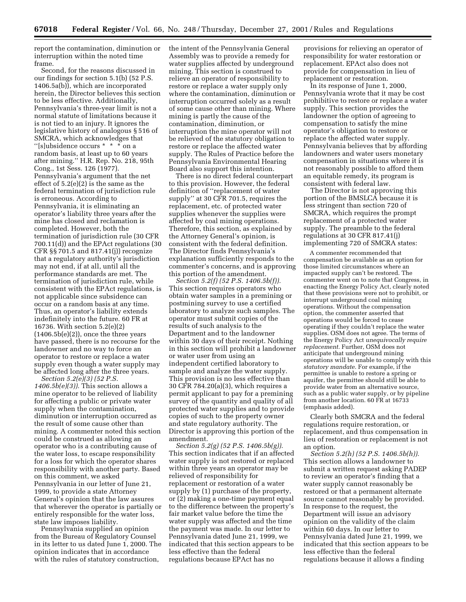report the contamination, diminution or interruption within the noted time frame.

Second, for the reasons discussed in our findings for section 5.1(b) (52 P.S. 1406.5a(b)), which are incorporated herein, the Director believes this section to be less effective. Additionally, Pennsylvania's three-year limit is not a normal statute of limitations because it is not tied to an injury. It ignores the legislative history of analogous § 516 of SMCRA, which acknowledges that "[s]ubsidence occurs \* \* \* on a random basis, at least up to 60 years after mining.'' H.R. Rep. No. 218, 95th Cong., 1st Sess. 126 (1977). Pennsylvania's argument that the net effect of 5.2(e)(2) is the same as the federal termination of jurisdiction rule is erroneous. According to Pennsylvania, it is eliminating an operator's liability three years after the mine has closed and reclamation is completed. However, both the termination of jurisdiction rule (30 CFR 700.11(d)) and the EPAct regulations (30 CFR §§ 701.5 and 817.41(j)) recognize that a regulatory authority's jurisdiction may not end, if at all, until all the performance standards are met. The termination of jurisdiction rule, while consistent with the EPAct regulations, is not applicable since subsidence can occur on a random basis at any time. Thus, an operator's liability extends indefinitely into the future. 60 FR at 16736. With section 5.2(e)(2)  $(1406.5b(e)(2))$ , once the three years have passed, there is no recourse for the landowner and no way to force an operator to restore or replace a water supply even though a water supply may be affected long after the three years. *Section 5.2(e)(3) (52 P.S.*

*1406.5b(e)(3)).* This section allows a mine operator to be relieved of liability for affecting a public or private water supply when the contamination, diminution or interruption occurred as the result of some cause other than mining. A commenter noted this section could be construed as allowing an operator who is a contributing cause of the water loss, to escape responsibility for a loss for which the operator shares responsibility with another party. Based on this comment, we asked Pennsylvania in our letter of June 21, 1999, to provide a state Attorney General's opinion that the law assures that wherever the operator is partially or entirely responsible for the water loss, state law imposes liability.

Pennsylvania supplied an opinion from the Bureau of Regulatory Counsel in its letter to us dated June 1, 2000. The opinion indicates that in accordance with the rules of statutory construction,

the intent of the Pennsylvania General Assembly was to provide a remedy for water supplies affected by underground mining. This section is construed to relieve an operator of responsibility to restore or replace a water supply only where the contamination, diminution or interruption occurred solely as a result of some cause other than mining. Where mining is partly the cause of the contamination, diminution, or interruption the mine operator will not be relieved of the statutory obligation to restore or replace the affected water supply. The Rules of Practice before the Pennsylvania Environmental Hearing Board also support this intention.

There is no direct federal counterpart to this provision. However, the federal definition of ''replacement of water supply'' at 30 CFR 701.5, requires the replacement, etc. of protected water supplies whenever the supplies were affected by coal mining operations. Therefore, this section, as explained by the Attorney General's opinion, is consistent with the federal definition. The Director finds Pennsylvania's explanation sufficiently responds to the commenter's concerns, and is approving this portion of the amendment.

*Section 5.2(f) (52 P.S. 1406.5b(f)).* This section requires operators who obtain water samples in a premining or postmining survey to use a certified laboratory to analyze such samples. The operator must submit copies of the results of such analysis to the Department and to the landowner within 30 days of their receipt. Nothing in this section will prohibit a landowner or water user from using an independent certified laboratory to sample and analyze the water supply. This provision is no less effective than 30 CFR 784.20(a)(3), which requires a permit applicant to pay for a premining survey of the quantity and quality of all protected water supplies and to provide copies of such to the property owner and state regulatory authority. The Director is approving this portion of the amendment.

*Section 5.2(g) (52 P.S. 1406.5b(g)).* This section indicates that if an affected water supply is not restored or replaced within three years an operator may be relieved of responsibility for replacement or restoration of a water supply by (1) purchase of the property, or (2) making a one-time payment equal to the difference between the property's fair market value before the time the water supply was affected and the time the payment was made. In our letter to Pennsylvania dated June 21, 1999, we indicated that this section appears to be less effective than the federal regulations because EPAct has no

provisions for relieving an operator of responsibility for water restoration or replacement. EPAct also does not provide for compensation in lieu of replacement or restoration.

In its response of June 1, 2000, Pennsylvania wrote that it may be cost prohibitive to restore or replace a water supply. This section provides the landowner the option of agreeing to compensation to satisfy the mine operator's obligation to restore or replace the affected water supply. Pennsylvania believes that by affording landowners and water users monetary compensation in situations where it is not reasonably possible to afford them an equitable remedy, its program is consistent with federal law.

The Director is not approving this portion of the BMSLCA because it is less stringent than section 720 of SMCRA, which requires the prompt replacement of a protected water supply. The preamble to the federal regulations at 30 CFR 817.41(j) implementing 720 of SMCRA states:

A commenter recommended that compensation be available as an option for those limited circumstances where an impacted supply can't be restored. The commenter went on to note that Congress, in enacting the Energy Policy Act, clearly noted that these provisions were not to prohibit, or interrupt underground coal mining operations. Without the compensation option, the commenter asserted that operations would be forced to cease operating if they couldn't replace the water supplies. OSM does not agree. The terms of the Energy Policy Act *unequivocally require replacement.* Further, OSM does not anticipate that underground mining operations will be unable to comply with this *statutory mandate.* For example, if the permittee is unable to restore a spring or aquifer, the permittee should still be able to provide water from an alternative source, such as a public water supply, or by pipeline from another location. 60 FR at 16733 (emphasis added).

Clearly both SMCRA and the federal regulations require restoration, or replacement, and thus compensation in lieu of restoration or replacement is not an option.

*Section 5.2(h) (52 P.S. 1406.5b(h)).* This section allows a landowner to submit a written request asking PADEP to review an operator's finding that a water supply cannot reasonably be restored or that a permanent alternate source cannot reasonably be provided. In response to the request, the Department will issue an advisory opinion on the validity of the claim within 60 days. In our letter to Pennsylvania dated June 21, 1999, we indicated that this section appears to be less effective than the federal regulations because it allows a finding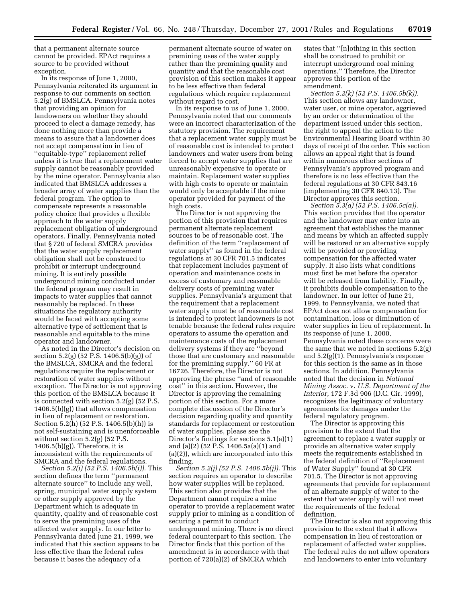that a permanent alternate source cannot be provided. EPAct requires a source to be provided without exception.

In its response of June 1, 2000, Pennsylvania reiterated its argument in response to our comments on section 5.2(g) of BMSLCA. Pennsylvania notes that providing an opinion for landowners on whether they should proceed to elect a damage remedy, has done nothing more than provide a means to assure that a landowner does not accept compensation in lieu of ''equitable-type'' replacement relief unless it is true that a replacement water supply cannot be reasonably provided by the mine operator. Pennsylvania also indicated that BMSLCA addresses a broader array of water supplies than the federal program. The option to compensate represents a reasonable policy choice that provides a flexible approach to the water supply replacement obligation of underground operators. Finally, Pennsylvania noted that § 720 of federal SMCRA provides that the water supply replacement obligation shall not be construed to prohibit or interrupt underground mining. It is entirely possible underground mining conducted under the federal program may result in impacts to water supplies that cannot reasonably be replaced. In these situations the regulatory authority would be faced with accepting some alternative type of settlement that is reasonable and equitable to the mine operator and landowner.

As noted in the Director's decision on section 5.2(g) (52 P.S. 1406.5(b)(g)) of the BMSLCA, SMCRA and the federal regulations require the replacement or restoration of water supplies without exception. The Director is not approving this portion of the BMSLCA because it is connected with section 5.2(g) (52 P.S. 1406.5(b)(g)) that allows compensation in lieu of replacement or restoration. Section 5.2(h) (52 P.S. 1406.5(b)(h)) is not self-sustaining and is unenforceable without section 5.2(g) (52 P.S.  $1406.5(b)(g)$ . Therefore, it is inconsistent with the requirements of SMCRA and the federal regulations.

*Section 5.2(i) (52 P.S. 1406.5b(i)).* This section defines the term ''permanent alternate source'' to include any well, spring, municipal water supply system or other supply approved by the Department which is adequate in quantity, quality and of reasonable cost to serve the premining uses of the affected water supply. In our letter to Pennsylvania dated June 21, 1999, we indicated that this section appears to be less effective than the federal rules because it bases the adequacy of a

permanent alternate source of water on premining uses of the water supply rather than the premining quality and quantity and that the reasonable cost provision of this section makes it appear to be less effective than federal regulations which require replacement without regard to cost.

In its response to us of June 1, 2000, Pennsylvania noted that our comments were an incorrect characterization of the statutory provision. The requirement that a replacement water supply must be of reasonable cost is intended to protect landowners and water users from being forced to accept water supplies that are unreasonably expensive to operate or maintain. Replacement water supplies with high costs to operate or maintain would only be acceptable if the mine operator provided for payment of the high costs.

The Director is not approving the portion of this provision that requires permanent alternate replacement sources to be of reasonable cost. The definition of the term ''replacement of water supply'' as found in the federal regulations at 30 CFR 701.5 indicates that replacement includes payment of operation and maintenance costs in excess of customary and reasonable delivery costs of premining water supplies. Pennsylvania's argument that the requirement that a replacement water supply must be of reasonable cost is intended to protect landowners is not tenable because the federal rules require operators to assume the operation and maintenance costs of the replacement delivery systems if they are ''beyond those that are customary and reasonable for the premining supply.'' 60 FR at 16726. Therefore, the Director is not approving the phrase ''and of reasonable cost'' in this section. However, the Director is approving the remaining portion of this section. For a more complete discussion of the Director's decision regarding quality and quantity standards for replacement or restoration of water supplies, please see the Director's findings for sections 5.1(a)(1) and (a)(2) (52 P.S. 1406.5a(a)(1) and (a)(2)), which are incorporated into this finding.

*Section 5.2(j) (52 P.S. 1406.5b(j)).* This section requires an operator to describe how water supplies will be replaced. This section also provides that the Department cannot require a mine operator to provide a replacement water supply prior to mining as a condition of securing a permit to conduct underground mining. There is no direct federal counterpart to this section. The Director finds that this portion of the amendment is in accordance with that portion of 720(a)(2) of SMCRA which

states that ''[n]othing in this section shall be construed to prohibit or interrupt underground coal mining operations.'' Therefore, the Director approves this portion of the amendment.

*Section 5.2(k) (52 P.S. 1406.5b(k)).* This section allows any landowner, water user, or mine operator, aggrieved by an order or determination of the department issued under this section, the right to appeal the action to the Environmental Hearing Board within 30 days of receipt of the order. This section allows an appeal right that is found within numerous other sections of Pennsylvania's approved program and therefore is no less effective than the federal regulations at 30 CFR 843.16 (implementing 30 CFR 840.13). The Director approves this section.

*Section 5.3(a) (52 P.S. 1406.5c(a)).* This section provides that the operator and the landowner may enter into an agreement that establishes the manner and means by which an affected supply will be restored or an alternative supply will be provided or providing compensation for the affected water supply. It also lists what conditions must first be met before the operator will be released from liability. Finally, it prohibits double compensation to the landowner. In our letter of June 21, 1999, to Pennsylvania, we noted that EPAct does not allow compensation for contamination, loss or diminution of water supplies in lieu of replacement. In its response of June 1, 2000, Pennsylvania noted these concerns were the same that we noted in sections 5.2(g) and 5.2(g)(1). Pennsylvania's response for this section is the same as in those sections. In addition, Pennsylvania noted that the decision in *National Mining Assoc.* v. *U.S. Department of the Interior,* 172 F.3d 906 (D.C. Cir. 1999), recognizes the legitimacy of voluntary agreements for damages under the federal regulatory program.

The Director is approving this provision to the extent that the agreement to replace a water supply or provide an alternative water supply meets the requirements established in the federal definition of ''Replacement of Water Supply'' found at 30 CFR 701.5. The Director is not approving agreements that provide for replacement of an alternate supply of water to the extent that water supply will not meet the requirements of the federal definition.

The Director is also not approving this provision to the extent that it allows compensation in lieu of restoration or replacement of affected water supplies. The federal rules do not allow operators and landowners to enter into voluntary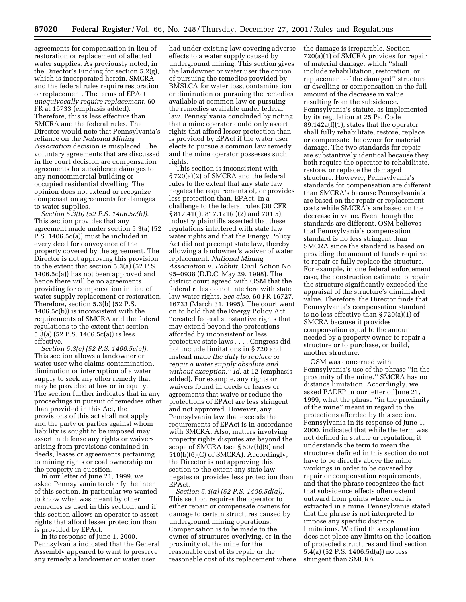agreements for compensation in lieu of restoration or replacement of affected water supplies. As previously noted, in the Director's Finding for section 5.2(g), which is incorporated herein, SMCRA and the federal rules require restoration or replacement. The terms of EPAct *unequivocally require replacement.* 60 FR at 16733 (emphasis added). Therefore, this is less effective than SMCRA and the federal rules. The Director would note that Pennsylvania's reliance on the *National Mining Association* decision is misplaced. The voluntary agreements that are discussed in the court decision are compensation agreements for subsidence damages to any noncommercial building or occupied residential dwelling. The opinion does not extend or recognize compensation agreements for damages to water supplies.

*Section 5.3(b) (52 P.S. 1406.5c(b)).* This section provides that any agreement made under section 5.3(a) (52 P.S. 1406.5c(a)) must be included in every deed for conveyance of the property covered by the agreement. The Director is not approving this provision to the extent that section 5.3(a) (52 P.S. 1406.5c(a)) has not been approved and hence there will be no agreements providing for compensation in lieu of water supply replacement or restoration. Therefore, section 5.3(b) (52 P.S. 1406.5c(b)) is inconsistent with the requirements of SMCRA and the federal regulations to the extent that section 5.3(a) (52 P.S. 1406.5c(a)) is less effective.

*Section 5.3(c) (52 P.S. 1406.5c(c)).* This section allows a landowner or water user who claims contamination, diminution or interruption of a water supply to seek any other remedy that may be provided at law or in equity. The section further indicates that in any proceedings in pursuit of remedies other than provided in this Act, the provisions of this act shall not apply and the party or parties against whom liability is sought to be imposed may assert in defense any rights or waivers arising from provisions contained in deeds, leases or agreements pertaining to mining rights or coal ownership on the property in question.

In our letter of June 21, 1999, we asked Pennsylvania to clarify the intent of this section. In particular we wanted to know what was meant by other remedies as used in this section, and if this section allows an operator to assert rights that afford lesser protection than is provided by EPAct.

In its response of June 1, 2000, Pennsylvania indicated that the General Assembly appeared to want to preserve any remedy a landowner or water user

had under existing law covering adverse effects to a water supply caused by underground mining. This section gives the landowner or water user the option of pursuing the remedies provided by BMSLCA for water loss, contamination or diminution or pursuing the remedies available at common law or pursuing the remedies available under federal law. Pennsylvania concluded by noting that a mine operator could only assert rights that afford lesser protection than is provided by EPAct if the water user elects to pursue a common law remedy and the mine operator possesses such rights.

This section is inconsistent with § 720(a)(2) of SMCRA and the federal rules to the extent that any state law negates the requirements of, or provides less protection than, EPAct. In a challenge to the federal rules (30 CFR § 817.41(j), 817.121(c)(2) and 701.5), industry plaintiffs asserted that these regulations interfered with state law water rights and that the Energy Policy Act did not preempt state law, thereby allowing a landowner's waiver of water replacement. *National Mining Association* v. *Babbitt,* Civil Action No. 95–0938 (D.D.C. May 29, 1998). The district court agreed with OSM that the federal rules do not interfere with state law water rights. *See also,* 60 FR 16727, 16733 (March 31, 1995). The court went on to hold that the Energy Policy Act ''created federal substantive rights that may extend beyond the protections afforded by inconsistent or less protective state laws . . . . Congress did not include limitations in § 720 and instead made *the duty to replace or repair a water supply absolute and without exception.'' Id.* at 12 (emphasis added). For example, any rights or waivers found in deeds or leases or agreements that waive or reduce the protections of EPAct are less stringent and not approved. However, any Pennsylvania law that exceeds the requirements of EPAct is in accordance with SMCRA. Also, matters involving property rights disputes are beyond the scope of SMCRA (see § 507(b)(9) and 510(b)(6)(C) of SMCRA). Accordingly, the Director is not approving this section to the extent any state law negates or provides less protection than EPAct.

*Section 5.4(a) (52 P.S. 1406.5d(a)).* This section requires the operator to either repair or compensate owners for damage to certain structures caused by underground mining operations. Compensation is to be made to the owner of structures overlying, or in the proximity of, the mine for the reasonable cost of its repair or the reasonable cost of its replacement where the damage is irreparable. Section 720(a)(1) of SMCRA provides for repair of material damage, which ''shall include rehabilitation, restoration, or replacement of the damaged'' structure or dwelling or compensation in the full amount of the decrease in value resulting from the subsidence. Pennsylvania's statute, as implemented by its regulation at 25 Pa. Code 89.142a(f)(1), states that the operator shall fully rehabilitate, restore, replace or compensate the owner for material damage. The two standards for repair are substantively identical because they both require the operator to rehabilitate, restore, or replace the damaged structure. However, Pennsylvania's standards for compensation are different than SMCRA's because Pennsylvania's are based on the repair or replacement costs while SMCRA's are based on the decrease in value. Even though the standards are different, OSM believes that Pennsylvania's compensation standard is no less stringent than SMCRA since the standard is based on providing the amount of funds required to repair or fully replace the structure. For example, in one federal enforcement case, the construction estimate to repair the structure significantly exceeded the appraisal of the structure's diminished value. Therefore, the Director finds that Pennsylvania's compensation standard is no less effective than § 720(a)(1) of SMCRA because it provides compensation equal to the amount needed by a property owner to repair a structure or to purchase, or build, another structure.

OSM was concerned with Pennsylvania's use of the phrase ''in the proximity of the mine.'' SMCRA has no distance limitation. Accordingly, we asked PADEP in our letter of June 21, 1999, what the phrase ''in the proximity of the mine'' meant in regard to the protections afforded by this section. Pennsylvania in its response of June 1, 2000, indicated that while the term was not defined in statute or regulation, it understands the term to mean the structures defined in this section do not have to be directly above the mine workings in order to be covered by repair or compensation requirements, and that the phrase recognizes the fact that subsidence effects often extend outward from points where coal is extracted in a mine. Pennsylvania stated that the phrase is not interpreted to impose any specific distance limitations. We find this explanation does not place any limits on the location of protected structures and find section 5.4(a) (52 P.S. 1406.5d(a)) no less stringent than SMCRA.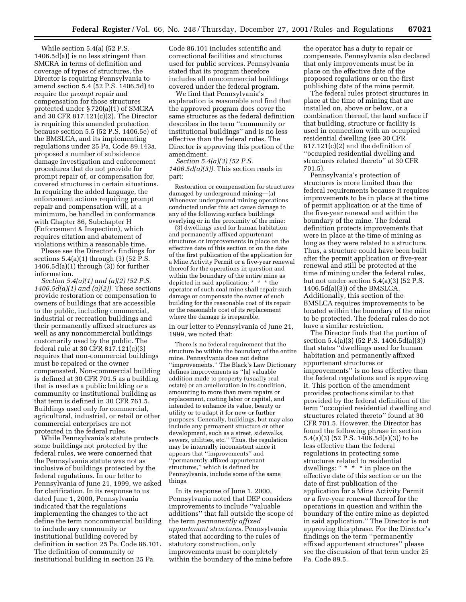While section 5.4(a) (52 P.S. 1406.5d(a)) is no less stringent than SMCRA in terms of definition and coverage of types of structures, the Director is requiring Pennsylvania to amend section 5.4 (52 P.S. 1406.5d) to require the *prompt* repair and compensation for those structures protected under § 720(a)(1) of SMCRA and 30 CFR 817.121(c)(2). The Director is requiring this amended protection because section 5.5 (52 P.S. 1406.5e) of the BMSLCA, and its implementing regulations under 25 Pa. Code 89.143a, proposed a number of subsidence damage investigation and enforcement procedures that do not provide for prompt repair of, or compensation for, covered structures in certain situations. In requiring the added language, the enforcement actions requiring prompt repair and compensation will, at a minimum, be handled in conformance with Chapter 86, Subchapter H (Enforcement & Inspection), which requires citation and abatement of violations within a reasonable time.

Please see the Director's findings for sections  $5.4(a)(1)$  through  $(3)$  (52 P.S.  $1406.5d(a)(1)$  through  $(3)$  for further information.

*Section 5.4(a)(1) and (a)(2) (52 P.S. 1406.5d(a)(1) and (a)(2)).* These sections provide restoration or compensation to owners of buildings that are accessible to the public, including commercial, industrial or recreation buildings and their permanently affixed structures as well as any noncommercial buildings customarily used by the public. The federal rule at 30 CFR 817.121(c)(3) requires that non-commercial buildings must be repaired or the owner compensated. Non-commercial building is defined at 30 CFR 701.5 as a building that is used as a public building or a community or institutional building as that term is defined in 30 CFR 761.5. Buildings used only for commercial, agricultural, industrial, or retail or other commercial enterprises are not protected in the federal rules.

While Pennsylvania's statute protects some buildings not protected by the federal rules, we were concerned that the Pennsylvania statute was not as inclusive of buildings protected by the federal regulations. In our letter to Pennsylvania of June 21, 1999, we asked for clarification. In its response to us dated June 1, 2000, Pennsylvania indicated that the regulations implementing the changes to the act define the term noncommercial building to include any community or institutional building covered by definition in section 25 Pa. Code 86.101. The definition of community or institutional building in section 25 Pa.

Code 86.101 includes scientific and correctional facilities and structures used for public services. Pennsylvania stated that its program therefore includes all noncommercial buildings covered under the federal program.

We find that Pennsylvania's explanation is reasonable and find that the approved program does cover the same structures as the federal definition describes in the term ''community or institutional buildings'' and is no less effective than the federal rules. The Director is approving this portion of the amendment.

*Section 5.4(a)(3) (52 P.S. 1406.5d(a)(3)).* This section reads in part:

Restoration or compensation for structures damaged by underground mining—(a) Whenever underground mining operations conducted under this act cause damage to any of the following surface buildings overlying or in the proximity of the mine:

(3) dwellings used for human habitation and permanently affixed appurtenant structures or improvements in place on the effective date of this section or on the date of the first publication of the application for a Mine Activity Permit or a five-year renewal thereof for the operations in question and within the boundary of the entire mine as depicted in said application; \* \* \* the operator of such coal mine shall repair such damage or compensate the owner of such building for the reasonable cost of its repair or the reasonable cost of its replacement where the damage is irreparable.

In our letter to Pennsylvania of June 21, 1999, we noted that:

There is no federal requirement that the structure be within the boundary of the entire mine. Pennsylvania does not define ''improvements.'' The Black's Law Dictionary defines improvements as ''[a] valuable addition made to property (usually real estate) or an amelioration in its condition, amounting to more than mere repairs or replacement, costing labor or capital, and intended to enhance its value, beauty or utility or to adapt it for new or further purposes. Generally, buildings, but may also include any permanent structure or other development, such as a street, sidewalks, sewers, utilities, etc.'' Thus, the regulation may be internally inconsistent since it appears that ''improvements'' and ''permanently affixed appurtenant structures,'' which is defined by Pennsylvania, include some of the same things.

In its response of June 1, 2000, Pennsylvania noted that DEP considers improvements to include ''valuable additions'' that fall outside the scope of the term *permanently affixed appurtenant structures.* Pennsylvania stated that according to the rules of statutory construction, only improvements must be completely within the boundary of the mine before

the operator has a duty to repair or compensate. Pennsylvania also declared that only improvements must be in place on the effective date of the proposed regulations or on the first publishing date of the mine permit.

The federal rules protect structures in place at the time of mining that are installed on, above or below, or a combination thereof, the land surface if that building, structure or facility is used in connection with an occupied residential dwelling (see 30 CFR 817.121(c)(2) and the definition of ''occupied residential dwelling and structures related thereto'' at 30 CFR 701.5).

Pennsylvania's protection of structures is more limited than the federal requirements because it requires improvements to be in place at the time of permit application or at the time of the five-year renewal and within the boundary of the mine. The federal definition protects improvements that were in place at the time of mining as long as they were related to a structure. Thus, a structure could have been built after the permit application or five-year renewal and still be protected at the time of mining under the federal rules, but not under section 5.4(a)(3) (52 P.S. 1406.5d(a)(3)) of the BMSLCA. Additionally, this section of the BMSLCA requires improvements to be located within the boundary of the mine to be protected. The federal rules do not have a similar restriction.

The Director finds that the portion of section 5.4(a)(3) (52 P.S. 1406.5d(a)(3)) that states ''dwellings used for human habitation and permanently affixed appurtenant structures or improvements'' is no less effective than the federal regulations and is approving it. This portion of the amendment provides protections similar to that provided by the federal definition of the term ''occupied residential dwelling and structures related thereto'' found at 30 CFR 701.5. However, the Director has found the following phrase in section 5.4(a)(3) (52 P.S. 1406.5d(a)(3)) to be less effective than the federal regulations in protecting some structures related to residential dwellings: " \* \* \* in place on the effective date of this section or on the date of first publication of the application for a Mine Activity Permit or a five-year renewal thereof for the operations in question and within the boundary of the entire mine as depicted in said application.'' The Director is not approving this phrase. For the Director's findings on the term ''permanently affixed appurtenant structures'' please see the discussion of that term under 25 Pa. Code 89.5.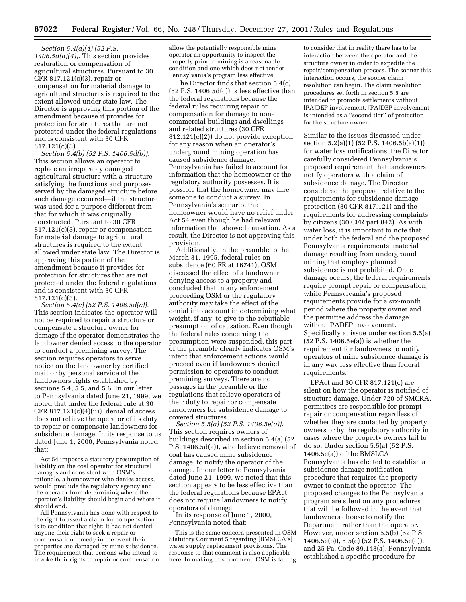*Section 5.4(a)(4) (52 P.S. 1406.5d(a)(4)).* This section provides restoration or compensation of agricultural structures. Pursuant to 30 CFR 817.121(c)(3), repair or compensation for material damage to agricultural structures is required to the extent allowed under state law. The Director is approving this portion of the amendment because it provides for protection for structures that are not protected under the federal regulations and is consistent with 30 CFR 817.121(c)(3).

*Section 5.4(b) (52 P.S. 1406.5d(b)).* This section allows an operator to replace an irreparably damaged agricultural structure with a structure satisfying the functions and purposes served by the damaged structure before such damage occurred—if the structure was used for a purpose different from that for which it was originally constructed. Pursuant to 30 CFR 817.121(c)(3), repair or compensation for material damage to agricultural structures is required to the extent allowed under state law. The Director is approving this portion of the amendment because it provides for protection for structures that are not protected under the federal regulations and is consistent with 30 CFR 817.121(c)(3).

*Section 5.4(c) (52 P.S. 1406.5d(c)).* This section indicates the operator will not be required to repair a structure or compensate a structure owner for damage if the operator demonstrates the landowner denied access to the operator to conduct a premining survey. The section requires operators to serve notice on the landowner by certified mail or by personal service of the landowners rights established by sections 5.4, 5.5, and 5.6. In our letter to Pennsylvania dated June 21, 1999, we noted that under the federal rule at 30 CFR  $817.121(c)(4)(iii)$ , denial of access does not relieve the operator of its duty to repair or compensate landowners for subsidence damage. In its response to us dated June 1, 2000, Pennsylvania noted that:

Act 54 imposes a statutory presumption of liability on the coal operator for structural damages and consistent with OSM's rationale, a homeowner who denies access, would preclude the regulatory agency and the operator from determining where the operator's liability should begin and where it should end.

All Pennsylvania has done with respect to the right to assert a claim for compensation is to condition that right; it has not denied anyone their right to seek a repair or compensation remedy in the event their properties are damaged by mine subsidence. The requirement that persons who intend to invoke their rights to repair or compensation allow the potentially responsible mine operator an opportunity to inspect the property prior to mining is a reasonable condition and one which does not render Pennsylvania's program less effective.

The Director finds that section 5.4(c)  $(52 \text{ P.S. } 1406.5 \text{d(c)})$  is less effective than the federal regulations because the federal rules requiring repair or compensation for damage to noncommercial buildings and dwellings and related structures (30 CFR 812.121(c)(2)) do not provide exception for any reason when an operator's underground mining operation has caused subsidence damage. Pennsylvania has failed to account for information that the homeowner or the regulatory authority possesses. It is possible that the homeowner may hire someone to conduct a survey. In Pennsylvania's scenario, the homeowner would have no relief under Act 54 even though he had relevant information that showed causation. As a result, the Director is not approving this provision.

Additionally, in the preamble to the March 31, 1995, federal rules on subsidence (60 FR at 16741), OSM discussed the effect of a landowner denying access to a property and concluded that in any enforcement proceeding OSM or the regulatory authority may take the effect of the denial into account in determining what weight, if any, to give to the rebuttable presumption of causation. Even though the federal rules concerning the presumption were suspended, this part of the preamble clearly indicates OSM's intent that enforcement actions would proceed even if landowners denied permission to operators to conduct premining surveys. There are no passages in the preamble or the regulations that relieve operators of their duty to repair or compensate landowners for subsidence damage to covered structures.

*Section 5.5(a) (52 P.S. 1406.5e(a)).* This section requires owners of buildings described in section 5.4(a) (52 P.S. 1406.5d(a)), who believe removal of coal has caused mine subsidence damage, to notify the operator of the damage. In our letter to Pennsylvania dated June 21, 1999, we noted that this section appears to be less effective than the federal regulations because EPAct does not require landowners to notify operators of damage.

In its response of June 1, 2000, Pennsylvania noted that:

This is the same concern presented in OSM Statutory Comment 5 regarding [BMSLCA's] water supply replacement provisions. The response to that comment is also applicable here. In making this comment, OSM is failing

to consider that in reality there has to be interaction between the operator and the structure owner in order to expedite the repair/compensation process. The sooner this interaction occurs, the sooner claim resolution can begin. The claim resolution procedures set forth in section 5.5 are intended to promote settlements without [PA]DEP involvement. [PA]DEP involvement is intended as a ''second tier'' of protection for the structure owner.

Similar to the issues discussed under section 5.2(a)(1) (52 P.S. 1406.5b(a)(1)) for water loss notifications, the Director carefully considered Pennsylvania's proposed requirement that landowners notify operators with a claim of subsidence damage. The Director considered the proposal relative to the requirements for subsidence damage protection (30 CFR 817.121) and the requirements for addressing complaints by citizens (30 CFR part 842). As with water loss, it is important to note that under both the federal and the proposed Pennsylvania requirements, material damage resulting from underground mining that employs planned subsidence is not prohibited. Once damage occurs, the federal requirements require prompt repair or compensation, while Pennsylvania's proposed requirements provide for a six-month period where the property owner and the permittee address the damage without PADEP involvement. Specifically at issue under section 5.5(a) (52 P.S. 1406.5e(a)) is whether the requirement for landowners to notify operators of mine subsidence damage is in any way less effective than federal requirements.

EPAct and 30 CFR 817.121(c) are silent on how the operator is notified of structure damage. Under 720 of SMCRA, permittees are responsible for prompt repair or compensation regardless of whether they are contacted by property owners or by the regulatory authority in cases where the property owners fail to do so. Under section 5.5(a) (52 P.S. 1406.5e(a)) of the BMSLCA, Pennsylvania has elected to establish a subsidence damage notification procedure that requires the property owner to contact the operator. The proposed changes to the Pennsylvania program are silent on any procedures that will be followed in the event that landowners choose to notify the Department rather than the operator. However, under section 5.5(b) (52 P.S. 1406.5e(b)), 5.5(c) (52 P.S. 1406.5e(c)), and 25 Pa. Code 89.143(a), Pennsylvania established a specific procedure for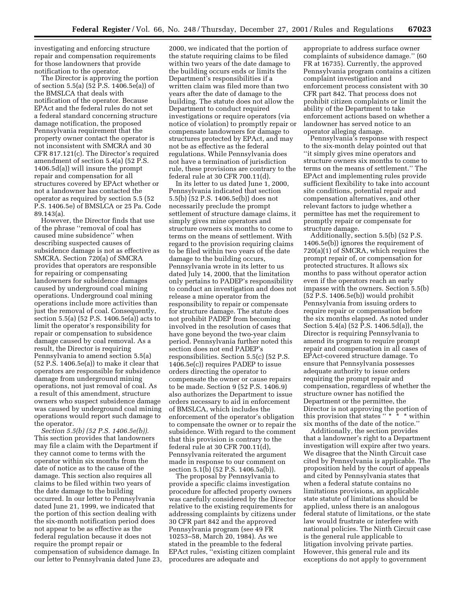investigating and enforcing structure repair and compensation requirements for those landowners that provide notification to the operator.

The Director is approving the portion of section 5.5(a) (52 P.S. 1406.5e(a)) of the BMSLCA that deals with notification of the operator. Because EPAct and the federal rules do not set a federal standard concerning structure damage notification, the proposed Pennsylvania requirement that the property owner contact the operator is not inconsistent with SMCRA and 30 CFR 817.121(c). The Director's required amendment of section 5.4(a) (52 P.S. 1406.5d(a)) will insure the prompt repair and compensation for all structures covered by EPAct whether or not a landowner has contacted the operator as required by section 5.5 (52 P.S. 1406.5e) of BMSLCA or 25 Pa. Code 89.143(a).

However, the Director finds that use of the phrase ''removal of coal has caused mine subsidence'' when describing suspected causes of subsidence damage is not as effective as SMCRA. Section 720(a) of SMCRA provides that operators are responsible for repairing or compensating landowners for subsidence damages caused by underground coal mining operations. Underground coal mining operations include more activities than just the removal of coal. Consequently, section 5.5(a) (52 P.S. 1406.5e(a)) acts to limit the operator's responsibility for repair or compensation to subsidence damage caused by coal removal. As a result, the Director is requiring Pennsylvania to amend section 5.5(a) (52 P.S. 1406.5e(a)) to make it clear that operators are responsible for subsidence damage from underground mining operations, not just removal of coal. As a result of this amendment, structure owners who suspect subsidence damage was caused by underground coal mining operations would report such damage to the operator.

*Section 5.5(b) (52 P.S. 1406.5e(b)).* This section provides that landowners may file a claim with the Department if they cannot come to terms with the operator within six months from the date of notice as to the cause of the damage. This section also requires all claims to be filed within two years of the date damage to the building occurred. In our letter to Pennsylvania dated June 21, 1999, we indicated that the portion of this section dealing with the six-month notification period does not appear to be as effective as the federal regulation because it does not require the prompt repair or compensation of subsidence damage. In our letter to Pennsylvania dated June 23, 2000, we indicated that the portion of the statute requiring claims to be filed within two years of the date damage to the building occurs ends or limits the Department's responsibilities if a written claim was filed more than two years after the date of damage to the building. The statute does not allow the Department to conduct required investigations or require operators (via notice of violation) to promptly repair or compensate landowners for damage to structures protected by EPAct, and may not be as effective as the federal regulations. While Pennsylvania does not have a termination of jurisdiction rule, these provisions are contrary to the federal rule at 30 CFR 700.11(d).

In its letter to us dated June 1, 2000, Pennsylvania indicated that section 5.5(b) (52 P.S. 1406.5e(b)) does not necessarily preclude the prompt settlement of structure damage claims, it simply gives mine operators and structure owners six months to come to terms on the means of settlement. With regard to the provision requiring claims to be filed within two years of the date damage to the building occurs, Pennsylvania wrote in its letter to us dated July 14, 2000, that the limitation only pertains to PADEP's responsibility to conduct an investigation and does not release a mine operator from the responsibility to repair or compensate for structure damage. The statute does not prohibit PADEP from becoming involved in the resolution of cases that have gone beyond the two-year claim period. Pennsylvania further noted this section does not end PADEP's responsibilities. Section 5.5(c) (52 P.S. 1406.5e(c)) requires PADEP to issue orders directing the operator to compensate the owner or cause repairs to be made. Section 9 (52 P.S. 1406.9) also authorizes the Department to issue orders necessary to aid in enforcement of BMSLCA, which includes the enforcement of the operator's obligation to compensate the owner or to repair the subsidence. With regard to the comment that this provision is contrary to the federal rule at 30 CFR 700.11(d), Pennsylvania reiterated the argument made in response to our comment on section 5.1(b) (52 P.S. 1406.5a(b)).

The proposal by Pennsylvania to provide a specific claims investigation procedure for affected property owners was carefully considered by the Director relative to the existing requirements for addressing complaints by citizens under 30 CFR part 842 and the approved Pennsylvania program (see 49 FR 10253–58, March 20, 1984). As we stated in the preamble to the federal EPAct rules, ''existing citizen complaint procedures are adequate and

appropriate to address surface owner complaints of subsidence damage.'' (60 FR at 16735). Currently, the approved Pennsylvania program contains a citizen complaint investigation and enforcement process consistent with 30 CFR part 842. That process does not prohibit citizen complaints or limit the ability of the Department to take enforcement actions based on whether a landowner has served notice to an operator alleging damage.

Pennsylvania's response with respect to the six-month delay pointed out that ''it simply gives mine operators and structure owners six months to come to terms on the means of settlement.'' The EPAct and implementing rules provide sufficient flexibility to take into account site conditions, potential repair and compensation alternatives, and other relevant factors to judge whether a permittee has met the requirement to promptly repair or compensate for structure damage.

Additionally, section 5.5(b) (52 P.S. 1406.5e(b)) ignores the requirement of 720(a)(1) of SMCRA, which requires the prompt repair of, or compensation for protected structures. It allows six months to pass without operator action even if the operators reach an early impasse with the owners. Section 5.5(b) (52 P.S. 1406.5e(b)) would prohibit Pennsylvania from issuing orders to require repair or compensation before the six months elapsed. As noted under Section 5.4(a) (52 P.S. 1406.5d(a)), the Director is requiring Pennsylvania to amend its program to require prompt repair and compensation in all cases of EPAct-covered structure damage. To ensure that Pennsylvania possesses adequate authority to issue orders requiring the prompt repair and compensation, regardless of whether the structure owner has notified the Department or the permittee, the Director is not approving the portion of this provision that states '' \* \* \* within six months of the date of the notice.''

Additionally, the section provides that a landowner's right to a Department investigation will expire after two years. We disagree that the Ninth Circuit case cited by Pennsylvania is applicable. The proposition held by the court of appeals and cited by Pennsylvania states that when a federal statute contains no limitations provisions, an applicable state statute of limitations should be applied, unless there is an analogous federal statute of limitations, or the state law would frustrate or interfere with national policies. The Ninth Circuit case is the general rule applicable to litigation involving private parties. However, this general rule and its exceptions do not apply to government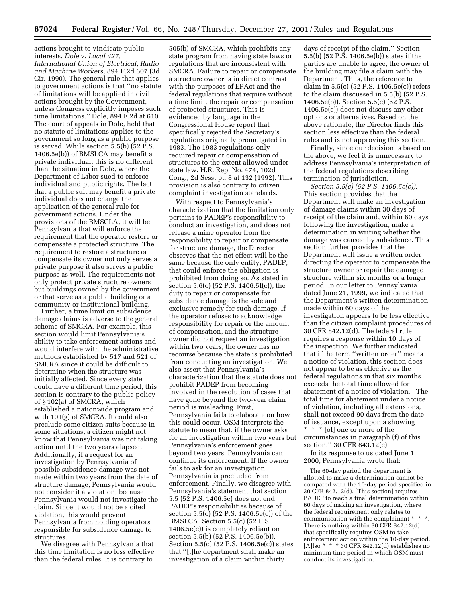# actions brought to vindicate public interests. *Dole* v. *Local 427,*

*International Union of Electrical, Radio and Machine Workers,* 894 F.2d 607 (3d Cir. 1990). The general rule that applies to government actions is that ''no statute of limitations will be applied in civil actions brought by the Government, unless Congress explicitly imposes such time limitations.'' Dole, 894 F.2d at 610. The court of appeals in Dole, held that no statute of limitations applies to the government so long as a public purpose is served. While section 5.5(b) (52 P.S. 1406.5e(b)) of BMSLCA may benefit a private individual, this is no different than the situation in Dole, where the Department of Labor sued to enforce individual and public rights. The fact that a public suit may benefit a private individual does not change the application of the general rule for government actions. Under the provisions of the BMSCLA, it will be Pennsylvania that will enforce the requirement that the operator restore or compensate a protected structure. The requirement to restore a structure or compensate its owner not only serves a private purpose it also serves a public purpose as well. The requirements not only protect private structure owners but buildings owned by the government or that serve as a public building or a community or institutional building.

Further, a time limit on subsidence damage claims is adverse to the general scheme of SMCRA. For example, this section would limit Pennsylvania's ability to take enforcement actions and would interfere with the administrative methods established by 517 and 521 of SMCRA since it could be difficult to determine when the structure was initially affected. Since every state could have a different time period, this section is contrary to the public policy of § 102(a) of SMCRA, which established a nationwide program and with 101(g) of SMCRA. It could also preclude some citizen suits because in some situations, a citizen might not know that Pennsylvania was not taking action until the two years elapsed. Additionally, if a request for an investigation by Pennsylvania of possible subsidence damage was not made within two years from the date of structure damage, Pennsylvania would not consider it a violation, because Pennsylvania would not investigate the claim. Since it would not be a cited violation, this would prevent Pennsylvania from holding operators responsible for subsidence damage to structures.

We disagree with Pennsylvania that this time limitation is no less effective than the federal rules. It is contrary to

505(b) of SMCRA, which prohibits any state program from having state laws or regulations that are inconsistent with SMCRA. Failure to repair or compensate a structure owner is in direct contrast with the purposes of EPAct and the federal regulations that require without a time limit, the repair or compensation of protected structures. This is evidenced by language in the Congressional House report that specifically rejected the Secretary's regulations originally promulgated in 1983. The 1983 regulations only required repair or compensation of structures to the extent allowed under state law. H.R. Rep. No. 474, 102d Cong., 2d Sess, pt. 8 at 132 (1992). This provision is also contrary to citizen complaint investigation standards.

With respect to Pennsylvania's characterization that the limitation only pertains to PADEP's responsibility to conduct an investigation, and does not release a mine operator from the responsibility to repair or compensate for structure damage, the Director observes that the net effect will be the same because the only entity, PADEP, that could enforce the obligation is prohibited from doing so. As stated in section 5.6(c) (52 P.S. 1406.5f(c)), the duty to repair or compensate for subsidence damage is the sole and exclusive remedy for such damage. If the operator refuses to acknowledge responsibility for repair or the amount of compensation, and the structure owner did not request an investigation within two years, the owner has no recourse because the state is prohibited from conducting an investigation. We also assert that Pennsylvania's characterization that the statute does not prohibit PADEP from becoming involved in the resolution of cases that have gone beyond the two-year claim period is misleading. First, Pennsylvania fails to elaborate on how this could occur. OSM interprets the statute to mean that, if the owner asks for an investigation within two years but Pennsylvania's enforcement goes beyond two years, Pennsylvania can continue its enforcement. If the owner fails to ask for an investigation, Pennsylvania is precluded from enforcement. Finally, we disagree with Pennsylvania's statement that section 5.5 (52 P.S. 1406.5e) does not end PADEP's responsibilities because of section 5.5(c) (52 P.S. 1406.5e(c)) of the BMSLCA. Section 5.5(c) (52 P.S. 1406.5e(c)) is completely reliant on section 5.5(b) (52 P.S. 1406.5e(b)). Section 5.5(c) (52 P.S. 1406.5e(c)) states that ''[t]he department shall make an investigation of a claim within thirty

days of receipt of the claim.'' Section 5.5(b) (52 P.S. 1406.5e(b)) states if the parties are unable to agree, the owner of the building may file a claim with the Department. Thus, the reference to claim in 5.5(c) (52 P.S. 1406.5e(c)) refers to the claim discussed in 5.5(b) (52 P.S. 1406.5e(b)). Section 5.5(c) (52 P.S. 1406.5e(c)) does not discuss any other options or alternatives. Based on the above rationale, the Director finds this section less effective than the federal rules and is not approving this section.

Finally, since our decision is based on the above, we feel it is unnecessary to address Pennsylvania's interpretation of the federal regulations describing termination of jurisdiction.

*Section 5.5(c) (52 P.S. 1406.5e(c)).* This section provides that the Department will make an investigation of damage claims within 30 days of receipt of the claim and, within 60 days following the investigation, make a determination in writing whether the damage was caused by subsidence. This section further provides that the Department will issue a written order directing the operator to compensate the structure owner or repair the damaged structure within six months or a longer period. In our letter to Pennsylvania dated June 21, 1999, we indicated that the Department's written determination made within 60 days of the investigation appears to be less effective than the citizen complaint procedures of 30 CFR 842.12(d). The federal rule requires a response within 10 days of the inspection. We further indicated that if the term ''written order'' means a notice of violation, this section does not appear to be as effective as the federal regulations in that six months exceeds the total time allowed for abatement of a notice of violation. ''The total time for abatement under a notice of violation, including all extensions, shall not exceed 90 days from the date of issuance, except upon a showing \* \* \* [of] one or more of the circumstances in paragraph (f) of this section.'' 30 CFR 843.12(c).

In its response to us dated June 1, 2000, Pennsylvania wrote that:

The 60-day period the department is allotted to make a determination cannot be compared with the 10-day period specified in 30 CFR 842.12(d). [This section] requires PADEP to reach a final determination within 60 days of making an investigation, where the federal requirement only relates to communication with the complainant \* \* \*. There is nothing within 30 CFR 842.12(d) that specifically requires OSM to take enforcement action within the 10-day period.  $[A]$ lso \* \* \* 30 CFR 842.12(d) establishes no minimum time period in which OSM must conduct its investigation.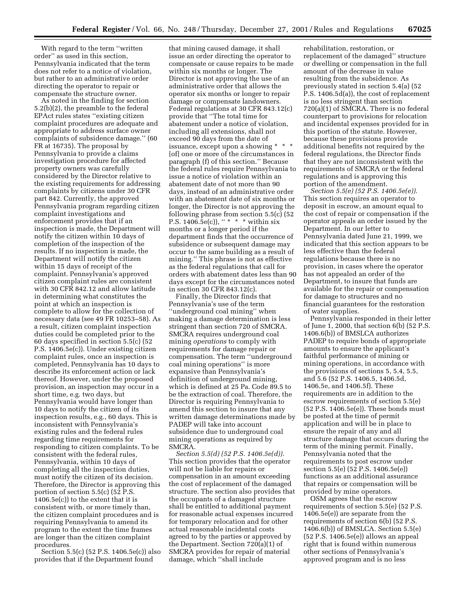With regard to the term ''written order'' as used in this section, Pennsylvania indicated that the term does not refer to a notice of violation, but rather to an administrative order directing the operator to repair or compensate the structure owner.

As noted in the finding for section 5.2(b)(2), the preamble to the federal EPAct rules states ''existing citizen complaint procedures are adequate and appropriate to address surface owner complaints of subsidence damage.'' (60 FR at 16735). The proposal by Pennsylvania to provide a claims investigation procedure for affected property owners was carefully considered by the Director relative to the existing requirements for addressing complaints by citizens under 30 CFR part 842. Currently, the approved Pennsylvania program regarding citizen complaint investigations and enforcement provides that if an inspection is made, the Department will notify the citizen within 10 days of completion of the inspection of the results. If no inspection is made, the Department will notify the citizen within 15 days of receipt of the complaint. Pennsylvania's approved citizen complaint rules are consistent with 30 CFR 842.12 and allow latitude in determining what constitutes the point at which an inspection is complete to allow for the collection of necessary data (see 49 FR 10253–58). As a result, citizen complaint inspection duties could be completed prior to the 60 days specified in section 5.5(c) (52 P.S. 1406.5e(c)). Under existing citizen complaint rules, once an inspection is completed, Pennsylvania has 10 days to describe its enforcement action or lack thereof. However, under the proposed provision, an inspection may occur in a short time, e.g. two days, but Pennsylvania would have longer than 10 days to notify the citizen of its inspection results, e.g., 60 days. This is inconsistent with Pennsylvania's existing rules and the federal rules regarding time requirements for responding to citizen complaints. To be consistent with the federal rules, Pennsylvania, within 10 days of completing all the inspection duties, must notify the citizen of its decision. Therefore, the Director is approving this portion of section 5.5(c) (52 P.S. 1406.5e(c)) to the extent that it is consistent with, or more timely than, the citizen complaint procedures and is requiring Pennsylvania to amend its program to the extent the time frames are longer than the citizen complaint procedures.

Section 5.5(c) (52 P.S. 1406.5e(c)) also provides that if the Department found

that mining caused damage, it shall issue an order directing the operator to compensate or cause repairs to be made within six months or longer. The Director is not approving the use of an administrative order that allows the operator six months or longer to repair damage or compensate landowners. Federal regulations at 30 CFR 843.12(c) provide that ''The total time for abatement under a notice of violation, including all extensions, shall not exceed 90 days from the date of issuance, except upon a showing \* \* \* [of] one or more of the circumstances in paragraph (f) of this section.'' Because the federal rules require Pennsylvania to issue a notice of violation within an abatement date of not more than 90 days, instead of an administrative order with an abatement date of six months or longer, the Director is not approving the following phrase from section 5.5(c) (52 P.S.  $1406.5e(c)$ , " \* \* \* within six months or a longer period if the department finds that the occurrence of subsidence or subsequent damage may occur to the same building as a result of mining.'' This phrase is not as effective as the federal regulations that call for orders with abatement dates less than 90 days except for the circumstances noted in section 30 CFR 843.12(c).

Finally, the Director finds that Pennsylvania's use of the term ''underground coal mining'' when making a damage determination is less stringent than section 720 of SMCRA. SMCRA requires underground coal mining *operations* to comply with requirements for damage repair or compensation. The term ''underground coal mining operations'' is more expansive than Pennsylvania's definition of underground mining, which is defined at 25 Pa. Code 89.5 to be the extraction of coal. Therefore, the Director is requiring Pennsylvania to amend this section to insure that any written damage determinations made by PADEP will take into account subsidence due to underground coal mining operations as required by SMCRA.

*Section 5.5(d) (52 P.S. 1406.5e(d)).* This section provides that the operator will not be liable for repairs or compensation in an amount exceeding the cost of replacement of the damaged structure. The section also provides that the occupants of a damaged structure shall be entitled to additional payment for reasonable actual expenses incurred for temporary relocation and for other actual reasonable incidental costs agreed to by the parties or approved by the Department. Section 720(a)(1) of SMCRA provides for repair of material damage, which ''shall include

rehabilitation, restoration, or replacement of the damaged'' structure or dwelling or compensation in the full amount of the decrease in value resulting from the subsidence. As previously stated in section 5.4(a) (52 P.S. 1406.5d(a)), the cost of replacement is no less stringent than section 720(a)(1) of SMCRA. There is no federal counterpart to provisions for relocation and incidental expenses provided for in this portion of the statute. However, because these provisions provide additional benefits not required by the federal regulations, the Director finds that they are not inconsistent with the requirements of SMCRA or the federal regulations and is approving this portion of the amendment.

*Section 5.5(e) (52 P.S. 1406.5e(e)).* This section requires an operator to deposit in escrow, an amount equal to the cost of repair or compensation if the operator appeals an order issued by the Department. In our letter to Pennsylvania dated June 21, 1999, we indicated that this section appears to be less effective than the federal regulations because there is no provision, in cases where the operator has not appealed an order of the Department, to insure that funds are available for the repair or compensation for damage to structures and no financial guarantees for the restoration of water supplies.

Pennsylvania responded in their letter of June 1, 2000, that section 6(b) (52 P.S. 1406.6(b)) of BMSLCA authorizes PADEP to require bonds of appropriate amounts to ensure the applicant's faithful performance of mining or mining operations, in accordance with the provisions of sections 5, 5.4, 5.5, and 5.6 (52 P.S. 1406.5, 1406.5d, 1406.5e, and 1406.5f). These requirements are in addition to the escrow requirements of section 5.5(e) (52 P.S. 1406.5e(e)). These bonds must be posted at the time of permit application and will be in place to ensure the repair of any and all structure damage that occurs during the term of the mining permit. Finally, Pennsylvania noted that the requirements to post escrow under section 5.5(e) (52 P.S. 1406.5e(e)) functions as an additional assurance that repairs or compensation will be provided by mine operators.

OSM agrees that the escrow requirements of section 5.5(e) (52 P.S. 1406.5e(e)) are separate from the requirements of section 6(b) (52 P.S. 1406.6(b)) of BMSLCA. Section 5.5(e) (52 P.S. 1406.5e(e)) allows an appeal right that is found within numerous other sections of Pennsylvania's approved program and is no less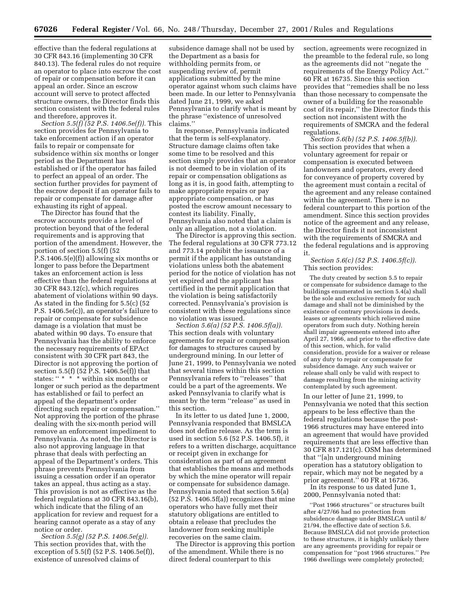effective than the federal regulations at 30 CFR 843.16 (implementing 30 CFR 840.13). The federal rules do not require an operator to place into escrow the cost of repair or compensation before it can appeal an order. Since an escrow account will serve to protect affected structure owners, the Director finds this section consistent with the federal rules and therefore, approves it.

*Section 5.5(f) (52 P.S. 1406.5e(f)).* This section provides for Pennsylvania to take enforcement action if an operator fails to repair or compensate for subsidence within six months or longer period as the Department has established or if the operator has failed to perfect an appeal of an order. The section further provides for payment of the escrow deposit if an operator fails to repair or compensate for damage after exhausting its right of appeal.

The Director has found that the escrow accounts provide a level of protection beyond that of the federal requirements and is approving that portion of the amendment. However, the portion of section 5.5(f) (52 P.S.1406.5(e)(f)) allowing six months or longer to pass before the Department takes an enforcement action is less effective than the federal regulations at 30 CFR 843.12(c), which requires abatement of violations within 90 days. As stated in the finding for 5.5(c) (52 P.S. 1406.5e(c)), an operator's failure to repair or compensate for subsidence damage is a violation that must be abated within 90 days. To ensure that Pennsylvania has the ability to enforce the necessary requirements of EPAct consistent with 30 CFR part 843, the Director is not approving the portion of section 5.5(f)  $(52 \text{ P.S. } 1406.5 \text{ e(f)})$  that states: " \* \* \* within six months or longer or such period as the department has established or fail to perfect an appeal of the department's order directing such repair or compensation.'' Not approving the portion of the phrase dealing with the six-month period will remove an enforcement impediment to Pennsylvania. As noted, the Director is also not approving language in that phrase that deals with perfecting an appeal of the Department's orders. This phrase prevents Pennsylvania from issuing a cessation order if an operator takes an appeal, thus acting as a stay. This provision is not as effective as the federal regulations at 30 CFR 843.16(b), which indicate that the filing of an application for review and request for a hearing cannot operate as a stay of any notice or order.

*Section 5.5(g) (52 P.S. 1406.5e(g)).* This section provides that, with the exception of 5.5(f) (52 P.S. 1406.5e(f)), existence of unresolved claims of

subsidence damage shall not be used by the Department as a basis for withholding permits from, or suspending review of, permit applications submitted by the mine operator against whom such claims have been made. In our letter to Pennsylvania dated June 21, 1999, we asked Pennsylvania to clarify what is meant by the phrase ''existence of unresolved claims.''

In response, Pennsylvania indicated that the term is self-explanatory. Structure damage claims often take some time to be resolved and this section simply provides that an operator is not deemed to be in violation of its repair or compensation obligations as long as it is, in good faith, attempting to make appropriate repairs or pay appropriate compensation, or has posted the escrow amount necessary to contest its liability. Finally, Pennsylvania also noted that a claim is only an allegation, not a violation.

The Director is approving this section. The federal regulations at 30 CFR 773.12 and 773.14 prohibit the issuance of a permit if the applicant has outstanding violations unless both the abatement period for the notice of violation has not yet expired and the applicant has certified in the permit application that the violation is being satisfactorily corrected. Pennsylvania's provision is consistent with these regulations since no violation was issued.

*Section 5.6(a) (52 P.S. 1406.5f(a)).* This section deals with voluntary agreements for repair or compensation for damages to structures caused by underground mining. In our letter of June 21, 1999, to Pennsylvania we noted that several times within this section Pennsylvania refers to ''releases'' that could be a part of the agreements. We asked Pennsylvania to clarify what is meant by the term ''release'' as used in this section.

In its letter to us dated June 1, 2000, Pennsylvania responded that BMSLCA does not define release. As the term is used in section 5.6 (52 P.S. 1406.5f), it refers to a written discharge, acquittance or receipt given in exchange for consideration as part of an agreement that establishes the means and methods by which the mine operator will repair or compensate for subsidence damage. Pennsylvania noted that section 5.6(a) (52 P.S. 1406.5f(a)) recognizes that mine operators who have fully met their statutory obligations are entitled to obtain a release that precludes the landowner from seeking multiple recoveries on the same claim.

The Director is approving this portion of the amendment. While there is no direct federal counterpart to this

section, agreements were recognized in the preamble to the federal rule, so long as the agreements did not ''negate the requirements of the Energy Policy Act.'' 60 FR at 16735. Since this section provides that ''remedies shall be no less than those necessary to compensate the owner of a building for the reasonable cost of its repair,'' the Director finds this section not inconsistent with the requirements of SMCRA and the federal regulations.

*Section 5.6(b) (52 P.S. 1406.5f(b)).* This section provides that when a voluntary agreement for repair or compensation is executed between landowners and operators, every deed for conveyance of property covered by the agreement must contain a recital of the agreement and any release contained within the agreement. There is no federal counterpart to this portion of the amendment. Since this section provides notice of the agreement and any release, the Director finds it not inconsistent with the requirements of SMCRA and the federal regulations and is approving it.

*Section 5.6(c) (52 P.S. 1406.5f(c)).* This section provides:

The duty created by section 5.5 to repair or compensate for subsidence damage to the buildings enumerated in section 5.4(a) shall be the sole and exclusive remedy for such damage and shall not be diminished by the existence of contrary provisions in deeds, leases or agreements which relieved mine operators from such duty. Nothing herein shall impair agreements entered into after April 27, 1966, and prior to the effective date of this section, which, for valid consideration, provide for a waiver or release of any duty to repair or compensate for subsidence damage. Any such waiver or release shall only be valid with respect to damage resulting from the mining activity contemplated by such agreement.

In our letter of June 21, 1999, to Pennsylvania we noted that this section appears to be less effective than the federal regulations because the post-1966 structures may have entered into an agreement that would have provided requirements that are less effective than 30 CFR 817.121(c). OSM has determined that ''[a]n underground mining operation has a statutory obligation to repair, which may not be negated by a prior agreement." 60 FR at 16736.

In its response to us dated June 1, 2000, Pennsylvania noted that:

''Post 1966 structures'' or structures built after 4/27/66 had no protection from subsidence damage under BMSLCA until 8/ 21/94, the effective date of section 5.6. Because BMSLCA did not provide protection to these structures, it is highly unlikely there are any agreements providing for repair or compensation for ''post 1966 structures.'' Pre 1966 dwellings were completely protected;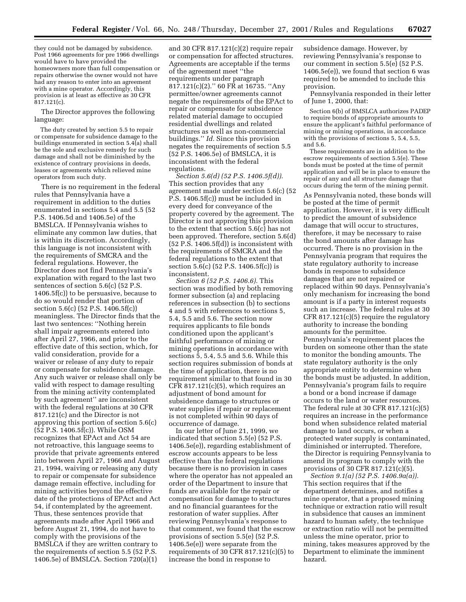they could not be damaged by subsidence. Post 1966 agreements for pre 1966 dwellings would have to have provided the homeowners more than full compensation or repairs otherwise the owner would not have had any reason to enter into an agreement with a mine operator. Accordingly, this provision is at least as effective as 30 CFR 817.121(c).

The Director approves the following language:

The duty created by section 5.5 to repair or compensate for subsidence damage to the buildings enumerated in section 5.4(a) shall be the sole and exclusive remedy for such damage and shall not be diminished by the existence of contrary provisions in deeds, leases or agreements which relieved mine operators from such duty.

There is no requirement in the federal rules that Pennsylvania have a requirement in addition to the duties enumerated in sections 5.4 and 5.5 (52 P.S. 1406.5d and 1406.5e) of the BMSLCA. If Pennsylvania wishes to eliminate any common law duties, that is within its discretion. Accordingly, this language is not inconsistent with the requirements of SMCRA and the federal regulations. However, the Director does not find Pennsylvania's explanation with regard to the last two sentences of section 5.6(c) (52 P.S. 1406.5f(c)) to be persuasive, because to do so would render that portion of section 5.6(c) (52 P.S. 1406.5f(c)) meaningless. The Director finds that the last two sentences: ''Nothing herein shall impair agreements entered into after April 27, 1966, and prior to the effective date of this section, which, for valid consideration, provide for a waiver or release of any duty to repair or compensate for subsidence damage. Any such waiver or release shall only be valid with respect to damage resulting from the mining activity contemplated by such agreement'' are inconsistent with the federal regulations at 30 CFR 817.121(c) and the Director is not approving this portion of section 5.6(c) (52 P.S. 1406.5f(c)). While OSM recognizes that EPAct and Act 54 are not retroactive, this language seems to provide that private agreements entered into between April 27, 1966 and August 21, 1994, waiving or releasing any duty to repair or compensate for subsidence damage remain effective, including for mining activities beyond the effective date of the protections of EPAct and Act 54, if contemplated by the agreement. Thus, these sentences provide that agreements made after April 1966 and before August 21, 1994, do not have to comply with the provisions of the BMSLCA if they are written contrary to the requirements of section 5.5 (52 P.S. 1406.5e) of BMSLCA. Section 720(a)(1)

and 30 CFR 817.121(c)(2) require repair or compensation for affected structures. Agreements are acceptable if the terms of the agreement meet ''the requirements under paragraph 817.121(c)(2).'' 60 FR at 16735. ''Any permittee/owner agreements cannot negate the requirements of the EPAct to repair or compensate for subsidence related material damage to occupied residential dwellings and related structures as well as non-commercial buildings.'' *Id.* Since this provision negates the requirements of section 5.5 (52 P.S. 1406.5e) of BMSLCA, it is inconsistent with the federal regulations.

*Section 5.6(d) (52 P.S. 1406.5f(d)).* This section provides that any agreement made under section 5.6(c) (52 P.S. 1406.5f(c)) must be included in every deed for conveyance of the property covered by the agreement. The Director is not approving this provision to the extent that section 5.6(c) has not been approved. Therefore, section 5.6(d) (52 P.S. 1406.5f(d)) is inconsistent with the requirements of SMCRA and the federal regulations to the extent that section 5.6(c) (52 P.S. 1406.5f(c)) is inconsistent.

*Section 6 (52 P.S. 1406.6).* This section was modified by both removing former subsection (a) and replacing references in subsection (b) to sections 4 and 5 with references to sections 5, 5.4, 5.5 and 5.6. The section now requires applicants to file bonds conditioned upon the applicant's faithful performance of mining or mining operations in accordance with sections 5, 5.4, 5.5 and 5.6. While this section requires submission of bonds at the time of application, there is no requirement similar to that found in 30 CFR 817.121(c)(5), which requires an adjustment of bond amount for subsidence damage to structures or water supplies if repair or replacement is not completed within 90 days of occurrence of damage.

In our letter of June 21, 1999, we indicated that section 5.5(e) (52 P.S. 1406.5e(e)), regarding establishment of escrow accounts appears to be less effective than the federal regulations because there is no provision in cases where the operator has not appealed an order of the Department to insure that funds are available for the repair or compensation for damage to structures and no financial guarantees for the restoration of water supplies. After reviewing Pennsylvania's response to that comment, we found that the escrow provisions of section 5.5(e) (52 P.S. 1406.5e(e)) were separate from the requirements of 30 CFR 817.121(c)(5) to increase the bond in response to

subsidence damage. However, by reviewing Pennsylvania's response to our comment in section 5.5(e) (52 P.S. 1406.5e(e)), we found that section 6 was required to be amended to include this provision.

Pennsylvania responded in their letter of June 1, 2000, that:

Section 6(b) of BMSLCA authorizes PADEP to require bonds of appropriate amounts to ensure the applicant's faithful performance of mining or mining operations, in accordance with the provisions of sections 5, 5.4, 5.5, and 5.6.

These requirements are in addition to the escrow requirements of section 5.5(e). These bonds must be posted at the time of permit application and will be in place to ensure the repair of any and all structure damage that occurs during the term of the mining permit.

As Pennsylvania noted, these bonds will be posted at the time of permit application. However, it is very difficult to predict the amount of subsidence damage that will occur to structures, therefore, it may be necessary to raise the bond amounts after damage has occurred. There is no provision in the Pennsylvania program that requires the state regulatory authority to increase bonds in response to subsidence damages that are not repaired or replaced within 90 days. Pennsylvania's only mechanism for increasing the bond amount is if a party in interest requests such an increase. The federal rules at 30 CFR 817.121(c)(5) require the regulatory authority to increase the bonding amounts for the permittee. Pennsylvania's requirement places the burden on someone other than the state to monitor the bonding amounts. The state regulatory authority is the only appropriate entity to determine when the bonds must be adjusted. In addition, Pennsylvania's program fails to require a bond or a bond increase if damage occurs to the land or water resources. The federal rule at 30 CFR 817.121(c)(5) requires an increase in the performance bond when subsidence related material damage to land occurs, or when a protected water supply is contaminated, diminished or interrupted. Therefore, the Director is requiring Pennsylvania to amend its program to comply with the provisions of 30 CFR 817.121(c)(5).

*Section 9.1(a) (52 P.S. 1406.9a(a)).* This section requires that if the department determines, and notifies a mine operator, that a proposed mining technique or extraction ratio will result in subsidence that causes an imminent hazard to human safety, the technique or extraction ratio will not be permitted unless the mine operator, prior to mining, takes measures approved by the Department to eliminate the imminent hazard.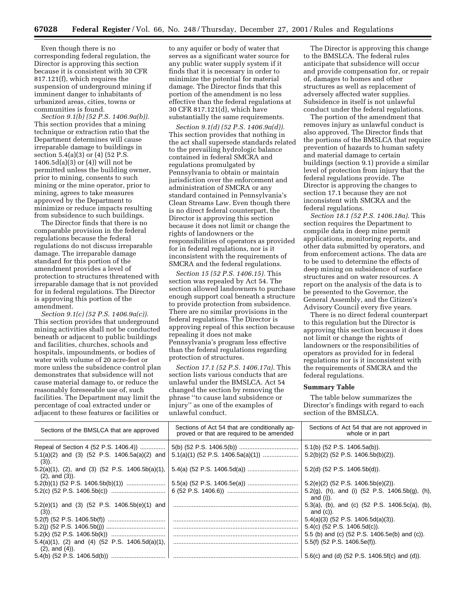Even though there is no corresponding federal regulation, the Director is approving this section because it is consistent with 30 CFR 817.121(f), which requires the suspension of underground mining if imminent danger to inhabitants of urbanized areas, cities, towns or communities is found.

*Section 9.1(b) (52 P.S. 1406.9a(b)).* This section provides that a mining technique or extraction ratio that the Department determines will cause irreparable damage to buildings in section 5.4(a)(3) or (4) (52 P.S.  $1406.5d(a)(3)$  or  $(4)$ ) will not be permitted unless the building owner, prior to mining, consents to such mining or the mine operator, prior to mining, agrees to take measures approved by the Department to minimize or reduce impacts resulting from subsidence to such buildings.

The Director finds that there is no comparable provision in the federal regulations because the federal regulations do not discuss irreparable damage. The irreparable damage standard for this portion of the amendment provides a level of protection to structures threatened with irreparable damage that is not provided for in federal regulations. The Director is approving this portion of the amendment.

*Section 9.1(c) (52 P.S. 1406.9a(c)).* This section provides that underground mining activities shall not be conducted beneath or adjacent to public buildings and facilities, churches, schools and hospitals, impoundments, or bodies of water with volume of 20 acre-feet or more unless the subsidence control plan demonstrates that subsidence will not cause material damage to, or reduce the reasonably foreseeable use of, such facilities. The Department may limit the percentage of coal extracted under or adjacent to these features or facilities or

to any aquifer or body of water that serves as a significant water source for any public water supply system if it finds that it is necessary in order to minimize the potential for material damage. The Director finds that this portion of the amendment is no less effective than the federal regulations at 30 CFR 817.121(d), which have substantially the same requirements.

*Section 9.1(d) (52 P.S. 1406.9a(d)).* This section provides that nothing in the act shall supersede standards related to the prevailing hydrologic balance contained in federal SMCRA and regulations promulgated by Pennsylvania to obtain or maintain jurisdiction over the enforcement and administration of SMCRA or any standard contained in Pennsylvania's Clean Streams Law. Even though there is no direct federal counterpart, the Director is approving this section because it does not limit or change the rights of landowners or the responsibilities of operators as provided for in federal regulations, nor is it inconsistent with the requirements of SMCRA and the federal regulations.

*Section 15 (52 P.S. 1406.15).* This section was repealed by Act 54. The section allowed landowners to purchase enough support coal beneath a structure to provide protection from subsidence. There are no similar provisions in the federal regulations. The Director is approving repeal of this section because repealing it does not make Pennsylvania's program less effective than the federal regulations regarding protection of structures.

*Section 17.1 (52 P.S. 1406.17a).* This section lists various conducts that are unlawful under the BMSLCA. Act 54 changed the section by removing the phrase ''to cause land subsidence or injury'' as one of the examples of unlawful conduct.

The Director is approving this change to the BMSLCA. The federal rules anticipate that subsidence will occur and provide compensation for, or repair of, damages to homes and other structures as well as replacement of adversely affected water supplies. Subsidence in itself is not unlawful conduct under the federal regulations.

The portion of the amendment that removes injury as unlawful conduct is also approved. The Director finds that the portions of the BMSLCA that require prevention of hazards to human safety and material damage to certain buildings (section 9.1) provide a similar level of protection from injury that the federal regulations provide. The Director is approving the changes to section 17.1 because they are not inconsistent with SMCRA and the federal regulations.

*Section 18.1 (52 P.S. 1406.18a).* This section requires the Department to compile data in deep mine permit applications, monitoring reports, and other data submitted by operators, and from enforcement actions. The data are to be used to determine the effects of deep mining on subsidence of surface structures and on water resources. A report on the analysis of the data is to be presented to the Governor, the General Assembly, and the Citizen's Advisory Council every five years.

There is no direct federal counterpart to this regulation but the Director is approving this section because it does not limit or change the rights of landowners or the responsibilities of operators as provided for in federal regulations nor is it inconsistent with the requirements of SMCRA and the federal regulations.

# **Summary Table**

The table below summarizes the Director's findings with regard to each section of the BMSLCA.

| Sections of the BMSLCA that are approved                                                   | Sections of Act 54 that are conditionally ap-<br>proved or that are required to be amended | Sections of Act 54 that are not approved in<br>whole or in part           |  |  |
|--------------------------------------------------------------------------------------------|--------------------------------------------------------------------------------------------|---------------------------------------------------------------------------|--|--|
| Repeal of Section 4 (52 P.S. 1406.4))                                                      |                                                                                            | $5.1(b)$ (52 P.S. 1406.5a(b)).                                            |  |  |
| $5.1(a)(2)$ and (3) (52 P.S. 1406.5a(a)(2) and<br>$(3)$ ).                                 |                                                                                            | $5.2(b)(2)$ (52 P.S. 1406.5b(b)(2)).                                      |  |  |
| $5.2(a)(1)$ , $(2)$ , and $(3)$ $(52 \text{ P.S. } 1406.5b(a)(1))$<br>$(2)$ , and $(3)$ ). |                                                                                            | $5.2(d)$ (52 P.S. 1406.5b(d)).                                            |  |  |
|                                                                                            |                                                                                            | $5.2(e)(2)$ (52 P.S. 1406.5b(e)(2)).                                      |  |  |
|                                                                                            |                                                                                            | 5.2(g), (h), and (i) $(52 \text{ P.S. } 1406.5b(g), (h),$<br>and (i)).    |  |  |
| $5.2(e)(1)$ and (3) (52 P.S. 1406.5b(e)(1) and<br>$(3)$ ).                                 |                                                                                            | 5.3(a), (b), and (c) $(52 \text{ P.S. } 1406.5c(a), (b),$<br>and $(c)$ ). |  |  |
|                                                                                            |                                                                                            | $5.4(a)(3)$ (52 P.S. 1406.5d(a)(3)).                                      |  |  |
|                                                                                            |                                                                                            | $5.4(c)$ (52 P.S. 1406.5d(c)).                                            |  |  |
|                                                                                            |                                                                                            | 5.5 (b) and (c) (52 P.S. 1406.5e(b) and (c)).                             |  |  |
| $5.4(a)(1)$ , (2) and (4) (52 P.S. 1406.5d(a)(1),<br>$(2)$ , and $(4)$ ).                  |                                                                                            | $5.5(f)$ (52 P.S. 1406.5e(f)).                                            |  |  |
|                                                                                            |                                                                                            | 5.6(c) and (d) $(52 P.S. 1406.5f(c)$ and $(d)$ ).                         |  |  |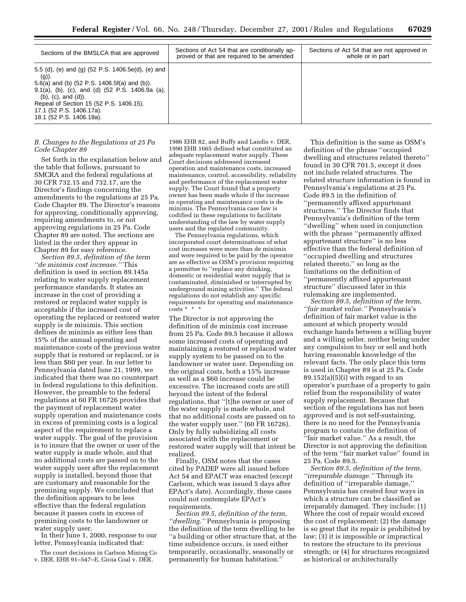| Sections of the BMSLCA that are approved                                                                                                                                                                                                                                                                                  | Sections of Act 54 that are conditionally ap-<br>proved or that are required to be amended | Sections of Act 54 that are not approved in<br>whole or in part |
|---------------------------------------------------------------------------------------------------------------------------------------------------------------------------------------------------------------------------------------------------------------------------------------------------------------------------|--------------------------------------------------------------------------------------------|-----------------------------------------------------------------|
| 5.5 (d), (e) and (g) (52 P.S. 1406.5e(d), (e) and<br>$(g)$ ).<br>5.6(a) and (b) $(52 P.S. 1406.5f(a)$ and (b)).<br>9.1(a), (b), (c), and (d) $(52 \text{ P.S. } 1406.9a \text{ (a)}$ ,<br>$(b)$ , $(c)$ , and $(d)$ ).<br>Repeal of Section 15 (52 P.S. 1406.15).<br>17.1 (52 P.S. 1406.17a).<br>18.1 (52 P.S. 1406.18a). |                                                                                            |                                                                 |

# *B. Changes to the Regulations at 25 Pa Code Chapter 89*

Set forth in the explanation below and the table that follows, pursuant to SMCRA and the federal regulations at 30 CFR 732.15 and 732.17, are the Director's findings concerning the amendments to the regulations at 25 Pa. Code Chapter 89. The Director's reasons for approving, conditionally approving, requiring amendments to, or not approving regulations in 25 Pa. Code Chapter 89 are noted. The sections are listed in the order they appear in Chapter 89 for easy reference.

*Section 89.5, definition of the term ''de minimis cost increase.''* This definition is used in section 89.145a relating to water supply replacement performance standards. It states an increase in the cost of providing a restored or replaced water supply is acceptable if the increased cost of operating the replaced or restored water supply is de minimis. This section defines de minimis as either less than 15% of the annual operating and maintenance costs of the previous water supply that is restored or replaced, or is less than \$60 per year. In our letter to Pennsylvania dated June 21, 1999, we indicated that there was no counterpart in federal regulations to this definition. However, the preamble to the federal regulations at 60 FR 16726 provides that the payment of replacement water supply operation and maintenance costs in excess of premining costs is a logical aspect of the requirement to replace a water supply. The goal of the provision is to insure that the owner or user of the water supply is made whole, and that no additional costs are passed on to the water supply user after the replacement supply is installed, beyond those that are customary and reasonable for the premining supply. We concluded that the definition appears to be less effective than the federal regulation because it passes costs in excess of premining costs to the landowner or water supply user.

In their June 1, 2000, response to our letter, Pennsylvania indicated that:

The court decisions in Carlson Mining Co v. DER, EHB 91–547–E, Gioia Coal v. DER,

1986 EHB 82, and Buffy and Landis v. DER, 1990 EHB 1665 defined what constituted an adequate replacement water supply. These Court decisions addressed increased operation and maintenance costs, increased maintenance, control, accessibility, reliability and performance of the replacement water supply. The Court found that a property owner has been made whole if the increase in operating and maintenance costs is de minimis. The Pennsylvania case law is codified in these regulations to facilitate understanding of the law by water supply users and the regulated community.

The Pennsylvania regulations, which incorporated court determinations of what cost increases were more than de minimis and were required to be paid by the operator are as effective as OSM's provision requiring a permittee to ''replace any drinking, domestic or residential water supply that is contaminated, diminished or interrupted by underground mining activities.'' The federal regulations do not establish any specific requirements for operating and maintenance  $\cosh x + \cosh x$ 

The Director is not approving the definition of de minimis cost increase from 25 Pa. Code 89.5 because it allows some increased costs of operating and maintaining a restored or replaced water supply system to be passed on to the landowner or water user. Depending on the original costs, both a  $15\%$  increase as well as a \$60 increase could be excessive. The increased costs are still beyond the intent of the federal regulations, that ''[t]he owner or user of the water supply is made whole, and that no additional costs are passed on to the water supply user.'' (60 FR 16726). Only by fully subsidizing all costs associated with the replacement or restored water supply will that intent be realized.

Finally, OSM notes that the cases cited by PADEP were all issued before Act 54 and EPACT was enacted (except Carlson, which was issued 5 days after EPAct's date). Accordingly, these cases could not contemplate EPAct's requirements.

*Section 89.5, definition of the term, ''dwelling.''* Pennsylvania is proposing the definition of the term dwelling to be ''a building or other structure that, at the time subsidence occurs, is used either temporarily, occasionally, seasonally or permanently for human habitation.''

This definition is the same as OSM's definition of the phrase ''occupied dwelling and structures related thereto'' found in 30 CFR 701.5, except it does not include related structures. The related structure information is found in Pennsylvania's regulations at 25 Pa. Code 89.5 in the definition of ''permanently affixed appurtenant structures.'' The Director finds that Pennsylvania's definition of the term ''dwelling'' when used in conjunction with the phrase ''permanently affixed appurtenant structure'' is no less effective than the federal definition of ''occupied dwelling and structures related thereto,'' so long as the limitations on the definition of ''permanently affixed appurtenant structure'' discussed later in this rulemaking are implemented.

*Section 89.5, definition of the term, ''fair market value.''* Pennsylvania's definition of fair market value is the amount at which property would exchange hands between a willing buyer and a willing seller, neither being under any compulsion to buy or sell and both having reasonable knowledge of the relevant facts. The only place this term is used in Chapter 89 is at 25 Pa. Code  $89.152(a)(5)(i)$  with regard to an operator's purchase of a property to gain relief from the responsibility of water supply replacement. Because that section of the regulations has not been approved and is not self-sustaining, there is no need for the Pennsylvania program to contain the definition of ''fair market value.'' As a result, the Director is not approving the definition of the term ''fair market value'' found in 25 Pa. Code 89.5.

*Section 89.5, definition of the term, ''irreparable damage.''* Through its definition of ''irreparable damage,'' Pennsylvania has created four ways in which a structure can be classified as irreparably damaged. They include: (1) Where the cost of repair would exceed the cost of replacement; (2) the damage is so great that its repair is prohibited by law; (3) it is impossible or impractical to restore the structure to its previous strength; or (4) for structures recognized as historical or architecturally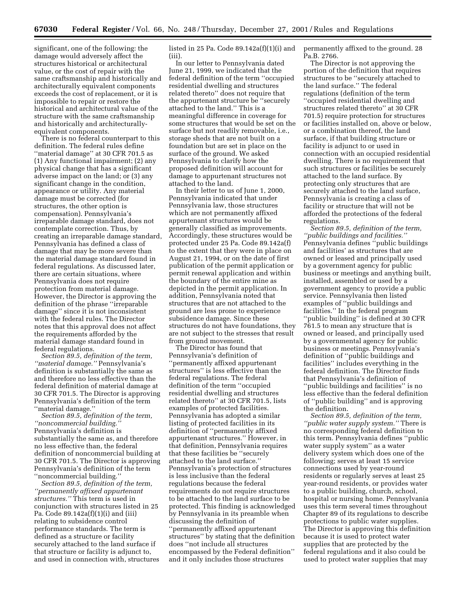significant, one of the following: the damage would adversely affect the structures historical or architectural value, or the cost of repair with the same craftsmanship and historically and architecturally equivalent components exceeds the cost of replacement, or it is impossible to repair or restore the historical and architectural value of the structure with the same craftsmanship and historically and architecturallyequivalent components.

There is no federal counterpart to this definition. The federal rules define ''material damage'' at 30 CFR 701.5 as (1) Any functional impairment; (2) any physical change that has a significant adverse impact on the land; or (3) any significant change in the condition, appearance or utility. Any material damage must be corrected (for structures, the other option is compensation). Pennsylvania's irreparable damage standard, does not contemplate correction. Thus, by creating an irreparable damage standard, Pennsylvania has defined a class of damage that may be more severe than the material damage standard found in federal regulations. As discussed later, there are certain situations, where Pennsylvania does not require protection from material damage. However, the Director is approving the definition of the phrase ''irreparable damage'' since it is not inconsistent with the federal rules. The Director notes that this approval does not affect the requirements afforded by the material damage standard found in federal regulations.

*Section 89.5, definition of the term, ''material damage.''* Pennsylvania's definition is substantially the same as and therefore no less effective than the federal definition of material damage at 30 CFR 701.5. The Director is approving Pennsylvania's definition of the term ''material damage.''

*Section 89.5, definition of the term, ''noncommercial building.''* Pennsylvania's definition is substantially the same as, and therefore no less effective than, the federal definition of noncommercial building at 30 CFR 701.5. The Director is approving Pennsylvania's definition of the term ''noncommercial building.''

*Section 89.5, definition of the term, ''permanently affixed appurtenant structures.''* This term is used in conjunction with structures listed in 25 Pa. Code 89.142a(f)(1)(i) and (iii) relating to subsidence control performance standards. The term is defined as a structure or facility securely attached to the land surface if that structure or facility is adjunct to, and used in connection with, structures listed in 25 Pa. Code 89.142a(f)(1)(i) and (iii).

In our letter to Pennsylvania dated June 21, 1999, we indicated that the federal definition of the term ''occupied residential dwelling and structures related thereto'' does not require that the appurtenant structure be ''securely attached to the land.'' This is a meaningful difference in coverage for some structures that would be set on the surface but not readily removable, i.e., storage sheds that are not built on a foundation but are set in place on the surface of the ground. We asked Pennsylvania to clarify how the proposed definition will account for damage to appurtenant structures not attached to the land.

In their letter to us of June 1, 2000, Pennsylvania indicated that under Pennsylvania law, those structures which are not permanently affixed appurtenant structures would be generally classified as improvements. Accordingly, these structures would be protected under 25 Pa. Code 89.142a(f) to the extent that they were in place on August 21, 1994, or on the date of first publication of the permit application or permit renewal application and within the boundary of the entire mine as depicted in the permit application. In addition, Pennsylvania noted that structures that are not attached to the ground are less prone to experience subsidence damage. Since these structures do not have foundations, they are not subject to the stresses that result from ground movement.

The Director has found that Pennsylvania's definition of ''permanently affixed appurtenant structures'' is less effective than the federal regulations. The federal definition of the term ''occupied residential dwelling and structures related thereto'' at 30 CFR 701.5, lists examples of protected facilities. Pennsylvania has adopted a similar listing of protected facilities in its definition of ''permanently affixed appurtenant structures.'' However, in that definition, Pennsylvania requires that these facilities be ''securely attached to the land surface.'' Pennsylvania's protection of structures is less inclusive than the federal regulations because the federal requirements do not require structures to be attached to the land surface to be protected. This finding is acknowledged by Pennsylvania in its preamble when discussing the definition of ''permanently affixed appurtenant structures'' by stating that the definition does ''not include all structures encompassed by the Federal definition'' and it only includes those structures

permanently affixed to the ground. 28 Pa.B. 2766.

The Director is not approving the portion of the definition that requires structures to be ''securely attached to the land surface.'' The federal regulations (definition of the term ''occupied residential dwelling and structures related thereto'' at 30 CFR 701.5) require protection for structures or facilities installed on, above or below, or a combination thereof, the land surface, if that building structure or facility is adjunct to or used in connection with an occupied residential dwelling. There is no requirement that such structures or facilities be securely attached to the land surface. By protecting only structures that are securely attached to the land surface, Pennsylvania is creating a class of facility or structure that will not be afforded the protections of the federal regulations.

*Section 89.5, definition of the term, ''public buildings and facilities.''* Pennsylvania defines ''public buildings and facilities' as structures that are owned or leased and principally used by a government agency for public business or meetings and anything built, installed, assembled or used by a government agency to provide a public service. Pennsylvania then listed examples of ''public buildings and facilities.'' In the federal program ''public building'' is defined at 30 CFR 761.5 to mean any structure that is owned or leased, and principally used by a governmental agency for public business or meetings. Pennsylvania's definition of ''public buildings and facilities'' includes everything in the federal definition. The Director finds that Pennsylvania's definition of ''public buildings and facilities'' is no less effective than the federal definition of ''public building'' and is approving the definition.

*Section 89.5, definition of the term, ''public water supply system.''* There is no corresponding federal definition to this term. Pennsylvania defines ''public water supply system'' as a water delivery system which does one of the following; serves at least 15 service connections used by year-round residents or regularly serves at least 25 year-round residents, or provides water to a public building, church, school, hospital or nursing home. Pennsylvania uses this term several times throughout Chapter 89 of its regulations to describe protections to public water supplies. The Director is approving this definition because it is used to protect water supplies that are protected by the federal regulations and it also could be used to protect water supplies that may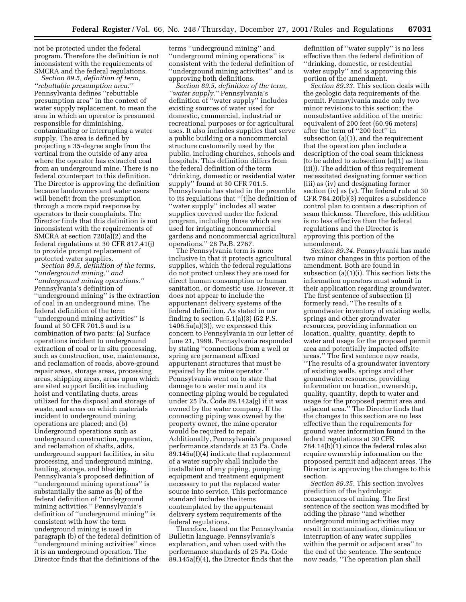not be protected under the federal program. Therefore the definition is not inconsistent with the requirements of SMCRA and the federal regulations.

*Section 89.5, definition of term, ''rebuttable presumption area.''* Pennsylvania defines ''rebuttable presumption area'' in the context of water supply replacement, to mean the area in which an operator is presumed responsible for diminishing, contaminating or interrupting a water supply. The area is defined by projecting a 35-degree angle from the vertical from the outside of any area where the operator has extracted coal from an underground mine. There is no federal counterpart to this definition. The Director is approving the definition because landowners and water users will benefit from the presumption through a more rapid response by operators to their complaints. The Director finds that this definition is not inconsistent with the requirements of SMCRA at section 720(a)(2) and the federal regulations at 30 CFR 817.41(j) to provide prompt replacement of protected water supplies.

*Section 89.5, definition of the terms, ''underground mining,'' and ''underground mining operations.''* Pennsylvania's definition of ''underground mining'' is the extraction of coal in an underground mine. The federal definition of the term ''underground mining activities'' is found at 30 CFR 701.5 and is a combination of two parts: (a) Surface operations incident to underground extraction of coal or in situ processing, such as construction, use, maintenance, and reclamation of roads, above-ground repair areas, storage areas, processing areas, shipping areas, areas upon which are sited support facilities including hoist and ventilating ducts, areas utilized for the disposal and storage of waste, and areas on which materials incident to underground mining operations are placed; and (b) Underground operations such as underground construction, operation, and reclamation of shafts, adits, underground support facilities, in situ processing, and underground mining, hauling, storage, and blasting. Pennsylvania's proposed definition of ''underground mining operations'' is substantially the same as (b) of the federal definition of ''underground mining activities.'' Pennsylvania's definition of ''underground mining'' is consistent with how the term underground mining is used in paragraph (b) of the federal definition of ''underground mining activities'' since it is an underground operation. The Director finds that the definitions of the

terms ''underground mining'' and ''underground mining operations'' is consistent with the federal definition of ''underground mining activities'' and is approving both definitions.

*Section 89.5, definition of the term, ''water supply.''* Pennsylvania's definition of ''water supply'' includes existing sources of water used for domestic, commercial, industrial or recreational purposes or for agricultural uses. It also includes supplies that serve a public building or a noncommercial structure customarily used by the public, including churches, schools and hospitals. This definition differs from the federal definition of the term ''drinking, domestic or residential water supply'' found at 30 CFR 701.5. Pennsylvania has stated in the preamble to its regulations that ''[t]he definition of ''water supply'' includes all water supplies covered under the federal program, including those which are used for irrigating noncommercial gardens and noncommercial agricultural operations.'' 28 Pa.B. 2767.

The Pennsylvania term is more inclusive in that it protects agricultural supplies, which the federal regulations do not protect unless they are used for direct human consumption or human sanitation, or domestic use. However, it does not appear to include the appurtenant delivery systems of the federal definition. As stated in our finding to section  $5.1(a)(3)$  (52 P.S.)  $1406.5a(a)(3)$ , we expressed this concern to Pennsylvania in our letter of June 21, 1999. Pennsylvania responded by stating ''connections from a well or spring are permanent affixed appurtenant structures that must be repaired by the mine operator.'' Pennsylvania went on to state that damage to a water main and its connecting piping would be regulated under 25 Pa. Code 89.142a(g) if it was owned by the water company. If the connecting piping was owned by the property owner, the mine operator would be required to repair. Additionally, Pennsylvania's proposed performance standards at 25 Pa. Code 89.145a(f)(4) indicate that replacement of a water supply shall include the installation of any piping, pumping equipment and treatment equipment necessary to put the replaced water source into service. This performance standard includes the items contemplated by the appurtenant delivery system requirements of the federal regulations.

Therefore, based on the Pennsylvania Bulletin language, Pennsylvania's explanation, and when used with the performance standards of 25 Pa. Code 89.145a(f)(4), the Director finds that the

definition of ''water supply'' is no less effective than the federal definition of ''drinking, domestic, or residential water supply'' and is approving this portion of the amendment.

*Section 89.33.* This section deals with the geologic data requirements of the permit. Pennsylvania made only two minor revisions to this section; the nonsubstantive addition of the metric equivalent of 200 feet (60.96 meters) after the term of ''200 feet'' in subsection (a)(1), and the requirement that the operation plan include a description of the coal seam thickness (to be added to subsection (a)(1) as item (iii)). The addition of this requirement necessitated designating former section (iii) as (iv) and designating former section (iv) as (v). The federal rule at 30 CFR 784.20(b)(3) requires a subsidence control plan to contain a description of seam thickness. Therefore, this addition is no less effective than the federal regulations and the Director is approving this portion of the amendment.

*Section 89.34.* Pennsylvania has made two minor changes in this portion of the amendment. Both are found in subsection (a)(1)(i). This section lists the information operators must submit in their application regarding groundwater. The first sentence of subsection (i) formerly read, ''The results of a groundwater inventory of existing wells, springs and other groundwater resources, providing information on location, quality, quantity, depth to water and usage for the proposed permit area and potentially impacted offsite areas.'' The first sentence now reads, ''The results of a groundwater inventory of existing wells, springs and other groundwater resources, providing information on location, ownership, quality, quantity, depth to water and usage for the proposed permit area and adjacent area.'' The Director finds that the changes to this section are no less effective than the requirements for ground water information found in the federal regulations at 30 CFR 784.14(b)(1) since the federal rules also require ownership information on the proposed permit and adjacent areas. The Director is approving the changes to this section.

*Section 89.35.* This section involves prediction of the hydrologic consequences of mining. The first sentence of the section was modified by adding the phrase ''and whether underground mining activities may result in contamination, diminution or interruption of any water supplies within the permit or adjacent area'' to the end of the sentence. The sentence now reads, ''The operation plan shall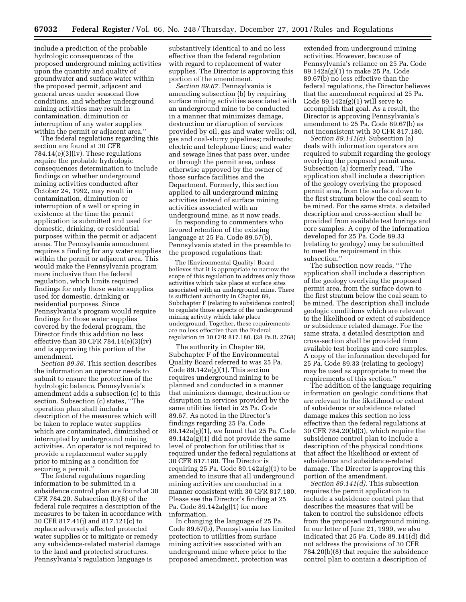include a prediction of the probable hydrologic consequences of the proposed underground mining activities upon the quantity and quality of groundwater and surface water within the proposed permit, adjacent and general areas under seasonal flow conditions, and whether underground mining activities may result in contamination, diminution or interruption of any water supplies within the permit or adjacent area.''

The federal regulations regarding this section are found at 30 CFR 784.14(e)(3)(iv). These regulations require the probable hydrologic consequences determination to include findings on whether underground mining activities conducted after October 24, 1992, may result in contamination, diminution or interruption of a well or spring in existence at the time the permit application is submitted and used for domestic, drinking, or residential purposes within the permit or adjacent areas. The Pennsylvania amendment requires a finding for any water supplies within the permit or adjacent area. This would make the Pennsylvania program more inclusive than the federal regulation, which limits required findings for only those water supplies used for domestic, drinking or residential purposes. Since Pennsylvania's program would require findings for those water supplies covered by the federal program, the Director finds this addition no less effective than 30 CFR 784.14 $(e)(3)(iv)$ and is approving this portion of the amendment.

*Section 89.36.* This section describes the information an operator needs to submit to ensure the protection of the hydrologic balance. Pennsylvania's amendment adds a subsection (c) to this section. Subsection (c) states, ''The operation plan shall include a description of the measures which will be taken to replace water supplies which are contaminated, diminished or interrupted by underground mining activities. An operator is not required to provide a replacement water supply prior to mining as a condition for securing a permit.''

The federal regulations regarding information to be submitted in a subsidence control plan are found at 30 CFR 784.20. Subsection (b)(8) of the federal rule requires a description of the measures to be taken in accordance with 30 CFR 817.41(j) and 817.121(c) to replace adversely affected protected water supplies or to mitigate or remedy any subsidence-related material damage to the land and protected structures. Pennsylvania's regulation language is

substantively identical to and no less effective than the federal regulation with regard to replacement of water supplies. The Director is approving this portion of the amendment.

*Section 89.67.* Pennsylvania is amending subsection (b) by requiring surface mining activities associated with an underground mine to be conducted in a manner that minimizes damage, destruction or disruption of services provided by oil, gas and water wells; oil, gas and coal-slurry pipelines; railroads; electric and telephone lines; and water and sewage lines that pass over, under or through the permit area, unless otherwise approved by the owner of those surface facilities and the Department. Formerly, this section applied to all underground mining activities instead of surface mining activities associated with an underground mine, as it now reads.

In responding to commenters who favored retention of the existing language at 25 Pa. Code 89.67(b), Pennsylvania stated in the preamble to the proposed regulations that:

The [Environmental Quality] Board believes that it is appropriate to narrow the scope of this regulation to address only those activities which take place at surface sites associated with an underground mine. There is sufficient authority in Chapter 89, Subchapter F (relating to subsidence control) to regulate those aspects of the underground mining activity which take place underground. Together, these requirements are no less effective than the Federal regulation in 30 CFR 817.180. (28 Pa.B. 2768)

The authority in Chapter 89, Subchapter F of the Environmental Quality Board referred to was 25 Pa. Code 89.142a(g)(1). This section requires underground mining to be planned and conducted in a manner that minimizes damage, destruction or disruption in services provided by the same utilities listed in 25 Pa. Code 89.67. As noted in the Director's findings regarding 25 Pa. Code 89.142a(g)(1), we found that 25 Pa. Code 89.142a(g)(1) did not provide the same level of protection for utilities that is required under the federal regulations at 30 CFR 817.180. The Director is requiring 25 Pa. Code 89.142a(g)(1) to be amended to insure that all underground mining activities are conducted in a manner consistent with 30 CFR 817.180. Please see the Director's finding at 25 Pa. Code 89.142a(g)(1) for more information.

In changing the language of 25 Pa. Code 89.67(b), Pennsylvania has limited protection to utilities from surface mining activities associated with an underground mine where prior to the proposed amendment, protection was

extended from underground mining activities. However, because of Pennsylvania's reliance on 25 Pa. Code 89.142a(g)(1) to make 25 Pa. Code 89.67(b) no less effective than the federal regulations, the Director believes that the amendment required at 25 Pa. Code 89.142a(g)(1) will serve to accomplish that goal. As a result, the Director is approving Pennsylvania's amendment to 25 Pa. Code 89.67(b) as not inconsistent with 30 CFR 817.180.

*Section 89.141(a).* Subsection (a) deals with information operators are required to submit regarding the geology overlying the proposed permit area. Subsection (a) formerly read, ''The application shall include a description of the geology overlying the proposed permit area, from the surface down to the first stratum below the coal seam to be mined. For the same strata, a detailed description and cross-section shall be provided from available test borings and core samples. A copy of the information developed for 25 Pa. Code 89.33 (relating to geology) may be submitted to meet the requirement in this subsection.''

The subsection now reads, ''The application shall include a description of the geology overlying the proposed permit area, from the surface down to the first stratum below the coal seam to be mined. The description shall include geologic conditions which are relevant to the likelihood or extent of subsidence or subsidence related damage. For the same strata, a detailed description and cross-section shall be provided from available test borings and core samples. A copy of the information developed for 25 Pa. Code 89.33 (relating to geology) may be used as appropriate to meet the requirements of this section.''

The addition of the language requiring information on geologic conditions that are relevant to the likelihood or extent of subsidence or subsidence related damage makes this section no less effective than the federal regulations at 30 CFR 784.20(b)(3), which require the subsidence control plan to include a description of the physical conditions that affect the likelihood or extent of subsidence and subsidence-related damage. The Director is approving this portion of the amendment.

*Section 89.141(d).* This subsection requires the permit application to include a subsidence control plan that describes the measures that will be taken to control the subsidence effects from the proposed underground mining. In our letter of June 21, 1999, we also indicated that 25 Pa. Code 89.141(d) did not address the provisions of 30 CFR 784.20(b)(8) that require the subsidence control plan to contain a description of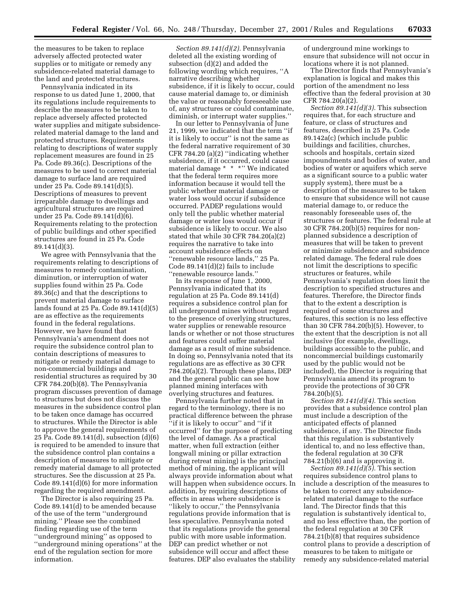the measures to be taken to replace adversely affected protected water supplies or to mitigate or remedy any subsidence-related material damage to the land and protected structures.

Pennsylvania indicated in its response to us dated June 1, 2000, that its regulations include requirements to describe the measures to be taken to replace adversely affected protected water supplies and mitigate subsidencerelated material damage to the land and protected structures. Requirements relating to descriptions of water supply replacement measures are found in 25 Pa. Code 89.36(c). Descriptions of the measures to be used to correct material damage to surface land are required under 25 Pa. Code 89.141(d)(5). Descriptions of measures to prevent irreparable damage to dwellings and agricultural structures are required under 25 Pa. Code 89.141(d)(6). Requirements relating to the protection of public buildings and other specified structures are found in 25 Pa. Code 89.141(d)(3).

We agree with Pennsylvania that the requirements relating to descriptions of measures to remedy contamination, diminution, or interruption of water supplies found within 25 Pa. Code 89.36(c) and that the descriptions to prevent material damage to surface lands found at 25 Pa. Code 89.141(d)(5) are as effective as the requirements found in the federal regulations. However, we have found that Pennsylvania's amendment does not require the subsidence control plan to contain descriptions of measures to mitigate or remedy material damage to non-commercial buildings and residential structures as required by 30 CFR 784.20(b)(8). The Pennsylvania program discusses prevention of damage to structures but does not discuss the measures in the subsidence control plan to be taken once damage has occurred to structures. While the Director is able to approve the general requirements of 25 Pa. Code 89.141(d), subsection (d)(6) is required to be amended to insure that the subsidence control plan contains a description of measures to mitigate or remedy material damage to all protected structures. See the discussion at 25 Pa. Code 89.141(d)(6) for more information regarding the required amendment.

The Director is also requiring 25 Pa. Code 89.141(d) to be amended because of the use of the term ''underground mining.'' Please see the combined finding regarding use of the term ''underground mining'' as opposed to ''underground mining operations'' at the end of the regulation section for more information.

*Section 89.141(d)(2).* Pennsylvania deleted all the existing wording of subsection (d)(2) and added the following wording which requires, ''A narrative describing whether subsidence, if it is likely to occur, could cause material damage to, or diminish the value or reasonably foreseeable use of, any structures or could contaminate, diminish, or interrupt water supplies.''

In our letter to Pennsylvania of June 21, 1999, we indicated that the term ''if it is likely to occur'' is not the same as the federal narrative requirement of 30 CFR 784.20 (a)(2) ''indicating whether subsidence, if it occurred, could cause material damage \* \* \*'' We indicated that the federal term requires more information because it would tell the public whether material damage or water loss would occur if subsidence occurred. PADEP regulations would only tell the public whether material damage or water loss would occur if subsidence is likely to occur. We also stated that while 30 CFR 784.20(a)(2) requires the narrative to take into account subsidence effects on ''renewable resource lands,'' 25 Pa. Code 89.141(d)(2) fails to include ''renewable resource lands.''

In its response of June 1, 2000, Pennsylvania indicated that its regulation at 25 Pa. Code 89.141(d) requires a subsidence control plan for all underground mines without regard to the presence of overlying structures, water supplies or renewable resource lands or whether or not those structures and features could suffer material damage as a result of mine subsidence. In doing so, Pennsylvania noted that its regulations are as effective as 30 CFR 784.20(a)(2). Through these plans, DEP and the general public can see how planned mining interfaces with overlying structures and features.

Pennsylvania further noted that in regard to the terminology, there is no practical difference between the phrase ''if it is likely to occur'' and ''if it occurred'' for the purpose of predicting the level of damage. As a practical matter, when full extraction (either longwall mining or pillar extraction during retreat mining) is the principal method of mining, the applicant will always provide information about what will happen when subsidence occurs. In addition, by requiring descriptions of effects in areas where subsidence is ''likely to occur,'' the Pennsylvania regulations provide information that is less speculative. Pennsylvania noted that its regulations provide the general public with more usable information. DEP can predict whether or not subsidence will occur and affect these features. DEP also evaluates the stability

of underground mine workings to ensure that subsidence will not occur in locations where it is not planned.

The Director finds that Pennsylvania's explanation is logical and makes this portion of the amendment no less effective than the federal provision at 30 CFR 784.20(a)(2).

*Section 89.141(d)(3).* This subsection requires that, for each structure and feature, or class of structures and features, described in 25 Pa. Code 89.142a(c) (which include public buildings and facilities, churches, schools and hospitals, certain sized impoundments and bodies of water, and bodies of water or aquifers which serve as a significant source to a public water supply system), there must be a description of the measures to be taken to ensure that subsidence will not cause material damage to, or reduce the reasonably foreseeable uses of, the structures or features. The federal rule at 30 CFR 784.20(b)(5) requires for nonplanned subsidence a description of measures that will be taken to prevent or minimize subsidence and subsidence related damage. The federal rule does not limit the descriptions to specific structures or features, while Pennsylvania's regulation does limit the description to specified structures and features. Therefore, the Director finds that to the extent a description is required of some structures and features, this section is no less effective than 30 CFR 784.20(b)(5). However, to the extent that the description is not all inclusive (for example, dwellings, buildings accessible to the public, and noncommercial buildings customarily used by the public would not be included), the Director is requiring that Pennsylvania amend its program to provide the protections of 30 CFR 784.20(b)(5).

*Section 89.141(d)(4).* This section provides that a subsidence control plan must include a description of the anticipated effects of planned subsidence, if any. The Director finds that this regulation is substantively identical to, and no less effective than, the federal regulation at 30 CFR 784.21(b)(6) and is approving it.

*Section 89.141(d)(5).* This section requires subsidence control plans to include a description of the measures to be taken to correct any subsidencerelated material damage to the surface land. The Director finds that this regulation is substantively identical to, and no less effective than, the portion of the federal regulation at 30 CFR 784.21(b)(8) that requires subsidence control plans to provide a description of measures to be taken to mitigate or remedy any subsidence-related material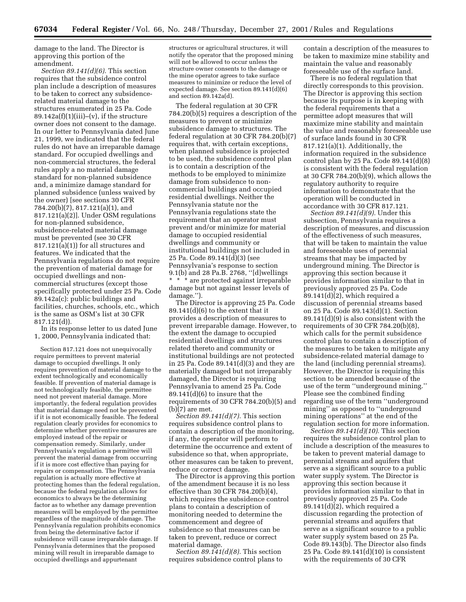damage to the land. The Director is approving this portion of the amendment.

*Section 89.141(d)(6).* This section requires that the subsidence control plan include a description of measures to be taken to correct any subsidencerelated material damage to the structures enumerated in 25 Pa. Code  $89.142a(f)(1)(iii)–(v)$ , if the structure owner does not consent to the damage. In our letter to Pennsylvania dated June 21, 1999, we indicated that the federal rules do not have an irreparable damage standard. For occupied dwellings and non-commercial structures, the federal rules apply a no material damage standard for non-planned subsidence and, a minimize damage standard for planned subsidence (unless waived by the owner) [see sections 30 CFR 784.20(b)(7), 817.121(a)(1), and 817.121(a)(2)]. Under OSM regulations for non-planned subsidence, subsidence-related material damage must be prevented (see 30 CFR 817.121(a)(1)) for all structures and features. We indicated that the Pennsylvania regulations do not require the prevention of material damage for occupied dwellings and noncommercial structures (except those specifically protected under 25 Pa. Code 89.142a(c): public buildings and facilities, churches, schools, etc., which is the same as OSM's list at 30 CFR 817.121(d)).

In its response letter to us dated June 1, 2000, Pennsylvania indicated that:

Section 817.121 does not unequivocally require permittees to prevent material damage to occupied dwellings. It only requires prevention of material damage to the extent technologically and economically feasible. If prevention of material damage is not technologically feasible, the permittee need not prevent material damage. More importantly, the federal regulation provides that material damage need not be prevented if it is not economically feasible. The federal regulation clearly provides for economics to determine whether preventive measures are employed instead of the repair or compensation remedy. Similarly, under Pennsylvania's regulation a permittee will prevent the material damage from occurring if it is more cost effective than paying for repairs or compensation. The Pennsylvania regulation is actually more effective at protecting homes than the federal regulation, because the federal regulation allows for economics to always be the determining factor as to whether any damage prevention measures will be employed by the permittee regardless of the magnitude of damage. The Pennsylvania regulation prohibits economics from being the determinative factor if subsidence will cause irreparable damage. If Pennsylvania determines that the proposed mining will result in irreparable damage to occupied dwellings and appurtenant

structures or agricultural structures, it will notify the operator that the proposed mining will not be allowed to occur unless the structure owner consents to the damage or the mine operator agrees to take surface measures to minimize or reduce the level of expected damage. See section 89.141(d)(6) and section 89.142a(d).

The federal regulation at 30 CFR 784.20(b)(5) requires a description of the measures to prevent or minimize subsidence damage to structures. The federal regulation at 30 CFR 784.20(b)(7) requires that, with certain exceptions, when planned subsidence is projected to be used, the subsidence control plan is to contain a description of the methods to be employed to minimize damage from subsidence to noncommercial buildings and occupied residential dwellings. Neither the Pennsylvania statute nor the Pennsylvania regulations state the requirement that an operator must prevent and/or minimize for material damage to occupied residential dwellings and community or institutional buildings not included in 25 Pa. Code 89.141(d)(3) (see Pennsylvania's response to section 9.1(b) and 28 Pa.B. 2768, ''[d]wellings \* \* \* are protected against irreparable damage but not against lesser levels of damage.'').

The Director is approving 25 Pa. Code  $89.141(d)(6)$  to the extent that it provides a description of measures to prevent irreparable damage. However, to the extent the damage to occupied residential dwellings and structures related thereto and community or institutional buildings are not protected in 25 Pa. Code 89.141(d)(3) and they are materially damaged but not irreparably damaged, the Director is requiring Pennsylvania to amend 25 Pa. Code 89.141(d)(6) to insure that the requirements of 30 CFR 784.20(b)(5) and (b)(7) are met.

*Section 89.141(d)(7).* This section requires subsidence control plans to contain a description of the monitoring, if any, the operator will perform to determine the occurrence and extent of subsidence so that, when appropriate, other measures can be taken to prevent, reduce or correct damage.

The Director is approving this portion of the amendment because it is no less effective than 30 CFR 784.20(b)(4), which requires the subsidence control plans to contain a description of monitoring needed to determine the commencement and degree of subsidence so that measures can be taken to prevent, reduce or correct material damage.

*Section 89.141(d)(8).* This section requires subsidence control plans to contain a description of the measures to be taken to maximize mine stability and maintain the value and reasonably foreseeable use of the surface land.

There is no federal regulation that directly corresponds to this provision. The Director is approving this section because its purpose is in keeping with the federal requirements that a permittee adopt measures that will maximize mine stability and maintain the value and reasonably foreseeable use of surface lands found in 30 CFR 817.121(a)(1). Additionally, the information required in the subsidence control plan by 25 Pa. Code 89.141(d)(8) is consistent with the federal regulation at 30 CFR 784.20(b)(9), which allows the regulatory authority to require information to demonstrate that the operation will be conducted in accordance with 30 CFR 817.121.

*Section 89.141(d)(9).* Under this subsection, Pennsylvania requires a description of measures, and discussion of the effectiveness of such measures, that will be taken to maintain the value and foreseeable uses of perennial streams that may be impacted by underground mining. The Director is approving this section because it provides information similar to that in previously approved 25 Pa. Code  $89.141(d)(2)$ , which required a discussion of perennial streams based on 25 Pa. Code 89.143(d)(1). Section 89.141(d)(9) is also consistent with the requirements of 30 CFR 784.20(b)(8), which calls for the permit subsidence control plan to contain a description of the measures to be taken to mitigate any subsidence-related material damage to the land (including perennial streams). However, the Director is requiring this section to be amended because of the use of the term ''underground mining.'' Please see the combined finding regarding use of the term ''underground mining'' as opposed to ''underground mining operations'' at the end of the regulation section for more information.

*Section 89.141(d)(10).* This section requires the subsidence control plan to include a description of the measures to be taken to prevent material damage to perennial streams and aquifers that serve as a significant source to a public water supply system. The Director is approving this section because it provides information similar to that in previously approved 25 Pa. Code  $89.141(d)(2)$ , which required a discussion regarding the protection of perennial streams and aquifers that serve as a significant source to a public water supply system based on 25 Pa. Code 89.143(b). The Director also finds 25 Pa. Code 89.141(d)(10) is consistent with the requirements of 30 CFR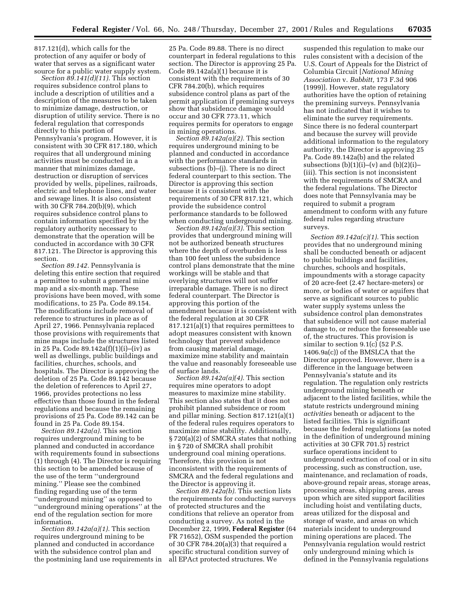817.121(d), which calls for the protection of any aquifer or body of water that serves as a significant water source for a public water supply system.

*Section 89.141(d)(11).* This section requires subsidence control plans to include a description of utilities and a description of the measures to be taken to minimize damage, destruction, or disruption of utility service. There is no federal regulation that corresponds directly to this portion of Pennsylvania's program. However, it is consistent with 30 CFR 817.180, which requires that all underground mining activities must be conducted in a manner that minimizes damage, destruction or disruption of services provided by wells, pipelines, railroads, electric and telephone lines, and water and sewage lines. It is also consistent with 30 CFR 784.20(b)(9), which requires subsidence control plans to contain information specified by the regulatory authority necessary to demonstrate that the operation will be conducted in accordance with 30 CFR 817.121. The Director is approving this section.

*Section 89.142.* Pennsylvania is deleting this entire section that required a permittee to submit a general mine map and a six-month map. These provisions have been moved, with some modifications, to 25 Pa. Code 89.154. The modifications include removal of reference to structures in place as of April 27, 1966. Pennsylvania replaced those provisions with requirements that mine maps include the structures listed in 25 Pa. Code 89.142a(f)(1)(i)–(iv) as well as dwellings, public buildings and facilities, churches, schools, and hospitals. The Director is approving the deletion of 25 Pa. Code 89.142 because the deletion of references to April 27, 1966, provides protections no less effective than those found in the federal regulations and because the remaining provisions of 25 Pa. Code 89.142 can be found in 25 Pa. Code 89.154.

*Section 89.142a(a).* This section requires underground mining to be planned and conducted in accordance with requirements found in subsections (1) through (4). The Director is requiring this section to be amended because of the use of the term ''underground mining.'' Please see the combined finding regarding use of the term ''underground mining'' as opposed to ''underground mining operations'' at the end of the regulation section for more information.

*Section 89.142a(a)(1).* This section requires underground mining to be planned and conducted in accordance with the subsidence control plan and the postmining land use requirements in

25 Pa. Code 89.88. There is no direct counterpart in federal regulations to this section. The Director is approving 25 Pa. Code 89.142a(a)(1) because it is consistent with the requirements of 30 CFR 784.20(b), which requires subsidence control plans as part of the permit application if premining surveys show that subsidence damage would occur and 30 CFR 773.11, which requires permits for operators to engage in mining operations.

*Section 89.142a(a)(2).* This section requires underground mining to be planned and conducted in accordance with the performance standards in subsections (b)–(j). There is no direct federal counterpart to this section. The Director is approving this section because it is consistent with the requirements of 30 CFR 817.121, which provide the subsidence control performance standards to be followed when conducting underground mining.

*Section 89.142a(a)(3).* This section provides that underground mining will not be authorized beneath structures where the depth of overburden is less than 100 feet unless the subsidence control plans demonstrate that the mine workings will be stable and that overlying structures will not suffer irreparable damage. There is no direct federal counterpart. The Director is approving this portion of the amendment because it is consistent with the federal regulation at 30 CFR 817.121(a)(1) that requires permittees to adopt measures consistent with known technology that prevent subsidence from causing material damage, maximize mine stability and maintain the value and reasonably foreseeable use of surface lands.

*Section 89.142a(a)(4).* This section requires mine operators to adopt measures to maximize mine stability. This section also states that it does not prohibit planned subsidence or room and pillar mining. Section 817.121(a)(1) of the federal rules requires operators to maximize mine stability. Additionally, § 720(a)(2) of SMCRA states that nothing in § 720 of SMCRA shall prohibit underground coal mining operations. Therefore, this provision is not inconsistent with the requirements of SMCRA and the federal regulations and the Director is approving it.

*Section 89.142a(b).* This section lists the requirements for conducting surveys of protected structures and the conditions that relieve an operator from conducting a survey. As noted in the December 22, 1999, **Federal Register** (64 FR 71652), OSM suspended the portion of 30 CFR 784.20(a)(3) that required a specific structural condition survey of all EPAct protected structures. We

suspended this regulation to make our rules consistent with a decision of the U.S. Court of Appeals for the District of Columbia Circuit [*National Mining Association* v. *Babbitt,* 173 F.3d 906 (1999)]. However, state regulatory authorities have the option of retaining the premining surveys. Pennsylvania has not indicated that it wishes to eliminate the survey requirements. Since there is no federal counterpart and because the survey will provide additional information to the regulatory authority, the Director is approving 25 Pa. Code 89.142a(b) and the related subsections  $(b)(1)(i)$ –(v) and  $(b)(2)(i)$ – (iii). This section is not inconsistent with the requirements of SMCRA and the federal regulations. The Director does note that Pennsylvania may be required to submit a program amendment to conform with any future federal rules regarding structure surveys.

*Section 89.142a(c)(1).* This section provides that no underground mining shall be conducted beneath or adjacent to public buildings and facilities, churches, schools and hospitals, impoundments with a storage capacity of 20 acre-feet (2.47 hectare-meters) or more, or bodies of water or aquifers that serve as significant sources to public water supply systems unless the subsidence control plan demonstrates that subsidence will not cause material damage to, or reduce the foreseeable use of, the structures. This provision is similar to section 9.1(c) (52 P.S. 1406.9a(c)) of the BMSLCA that the Director approved. However, there is a difference in the language between Pennsylvania's statute and its regulation. The regulation only restricts underground mining beneath or adjacent to the listed facilities, while the statute restricts underground mining *activities* beneath or adjacent to the listed facilities. This is significant because the federal regulations (as noted in the definition of underground mining activities at 30 CFR 701.5) restrict surface operations incident to underground extraction of coal or in situ processing, such as construction, use, maintenance, and reclamation of roads, above-ground repair areas, storage areas, processing areas, shipping areas, areas upon which are sited support facilities including hoist and ventilating ducts, areas utilized for the disposal and storage of waste, and areas on which materials incident to underground mining operations are placed. The Pennsylvania regulation would restrict only underground mining which is defined in the Pennsylvania regulations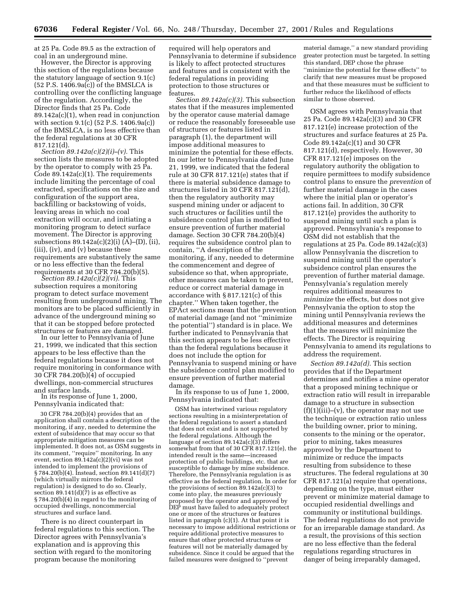at 25 Pa. Code 89.5 as the extraction of coal in an underground mine. However, the Director is approving

this section of the regulations because the statutory language of section 9.1(c) (52 P.S. 1406.9a(c)) of the BMSLCA is controlling over the conflicting language of the regulation. Accordingly, the Director finds that 25 Pa. Code 89.142a(c)(1), when read in conjunction with section 9.1(c) (52 P.S. 1406.9a(c)) of the BMSLCA, is no less effective than the federal regulations at 30 CFR 817.121(d).

*Section 89.142a(c)(2)(i)–(v).* This section lists the measures to be adopted by the operator to comply with 25 Pa. Code 89.142a(c)(1). The requirements include limiting the percentage of coal extracted, specifications on the size and configuration of the support area, backfilling or backstowing of voids, leaving areas in which no coal extraction will occur, and initiating a monitoring program to detect surface movement. The Director is approving subsections 89.142a(c)(2)(i) (A)–(D), (ii), (iii), (iv), and (v) because these requirements are substantively the same or no less effective than the federal<br>requirements at 30 CFR 784.20(b)(5).

*Section 89.142a(c)(2)(vi).* This subsection requires a monitoring program to detect surface movement resulting from underground mining. The monitors are to be placed sufficiently in advance of the underground mining so that it can be stopped before protected structures or features are damaged. In our letter to Pennsylvania of June

21, 1999, we indicated that this section appears to be less effective than the federal regulations because it does not require monitoring in conformance with 30 CFR 784.20(b)(4) of occupied dwellings, non-commercial structures and surface lands.

In its response of June 1, 2000, Pennsylvania indicated that:

30 CFR 784.20(b)(4) provides that an application shall contain a description of the monitoring, if any, needed to determine the extent of subsidence that may occur so that appropriate mitigation measures can be implemented. It does not, as OSM suggests in its comment, ''require'' monitoring. In any event, section  $89.142a(c)(2)(vi)$  was not intended to implement the provisions of § 784.20(b)(4). Instead, section 89.141(d)(7) (which virtually mirrors the federal regulation) is designed to do so. Clearly, section  $89.141(d)(7)$  is as effective as § 784.20(b)(4) in regard to the monitoring of occupied dwellings, noncommercial structures and surface land.

There is no direct counterpart in federal regulations to this section. The Director agrees with Pennsylvania's explanation and is approving this section with regard to the monitoring program because the monitoring

required will help operators and Pennsylvania to determine if subsidence is likely to affect protected structures and features and is consistent with the federal regulations in providing protection to those structures or features.

*Section 89.142a(c)(3).* This subsection states that if the measures implemented by the operator cause material damage or reduce the reasonably foreseeable use of structures or features listed in paragraph (1), the department will impose additional measures to minimize the potential for these effects. In our letter to Pennsylvania dated June 21, 1999, we indicated that the federal rule at 30 CFR 817.121(e) states that if there is material subsidence damage to structures listed in 30 CFR 817.121(d), then the regulatory authority may suspend mining under or adjacent to such structures or facilities until the subsidence control plan is modified to ensure prevention of further material damage. Section 30 CFR 784.20(b)(4) requires the subsidence control plan to contain, ''A description of the monitoring, if any, needed to determine the commencement and degree of subsidence so that, when appropriate, other measures can be taken to prevent, reduce or correct material damage in accordance with § 817.121(c) of this chapter.'' When taken together, the EPAct sections mean that the prevention of material damage (and not ''minimize the potential'') standard is in place. We further indicated to Pennsylvania that this section appears to be less effective than the federal regulations because it does not include the option for Pennsylvania to suspend mining or have the subsidence control plan modified to ensure prevention of further material

In its response to us of June 1, 2000, Pennsylvania indicated that:

OSM has intertwined various regulatory sections resulting in a misinterpretation of the federal regulations to assert a standard that does not exist and is not supported by the federal regulations. Although the language of section 89.142a(c)(3) differs somewhat from that of 30 CFR 817.121(e), the intended result is the same—increased protection of public buildings, etc. that are susceptible to damage by mine subsidence. Therefore, the Pennsylvania regulation is as effective as the federal regulation. In order for the provisions of section  $\overline{89.142a(c)}(3)$  to come into play, the measures previously proposed by the operator and approved by DEP must have failed to adequately protect one or more of the structures or features listed in paragraph (c)(1). At that point it is necessary to impose additional restrictions or require additional protective measures to ensure that other protected structures or features will not be materially damaged by subsidence. Since it could be argued that the failed measures were designed to ''prevent

material damage,'' a new standard providing greater protection must be targeted. In setting this standard, DEP chose the phrase ''minimize the potential for these effects'' to clarify that new measures must be proposed and that these measures must be sufficient to further reduce the likelihood of effects similar to those observed.

OSM agrees with Pennsylvania that 25 Pa. Code 89.142a(c)(3) and 30 CFR 817.121(e) increase protection of the structures and surface features at 25 Pa. Code 89.142a(c)(1) and 30 CFR 817.121(d), respectively. However, 30 CFR 817.121(e) imposes on the regulatory authority the obligation to require permittees to modify subsidence control plans to ensure the *prevention* of further material damage in the cases where the initial plan or operator's actions fail. In addition, 30 CFR 817.121(e) provides the authority to suspend mining until such a plan is approved. Pennsylvania's response to OSM did not establish that the regulations at 25 Pa. Code  $89.142a(c)(3)$ allow Pennsylvania the discretion to suspend mining until the operator's subsidence control plan ensures the prevention of further material damage. Pennsylvania's regulation merely requires additional measures to *minimize* the effects, but does not give Pennsylvania the option to stop the mining until Pennsylvania reviews the additional measures and determines that the measures will minimize the effects. The Director is requiring Pennsylvania to amend its regulations to address the requirement.

*Section 89.142a(d).* This section provides that if the Department determines and notifies a mine operator that a proposed mining technique or extraction ratio will result in irreparable damage to a structure in subsection  $(f)(1)(iii)$ – $(v)$ , the operator may not use the technique or extraction ratio unless the building owner, prior to mining, consents to the mining or the operator, prior to mining, takes measures approved by the Department to minimize or reduce the impacts resulting from subsidence to these structures. The federal regulations at 30 CFR 817.121(a) require that operations, depending on the type, must either prevent or minimize material damage to occupied residential dwellings and community or institutional buildings. The federal regulations do not provide for an irreparable damage standard. As a result, the provisions of this section are no less effective than the federal regulations regarding structures in danger of being irreparably damaged,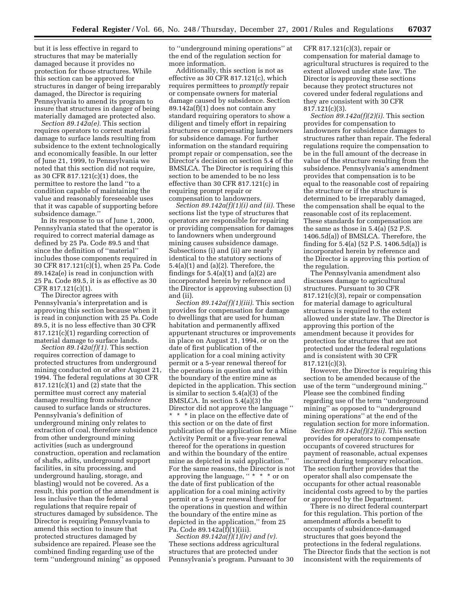but it is less effective in regard to structures that may be materially damaged because it provides no protection for those structures. While this section can be approved for structures in danger of being irreparably damaged, the Director is requiring Pennsylvania to amend its program to insure that structures in danger of being materially damaged are protected also.

*Section 89.142a(e).* This section requires operators to correct material damage to surface lands resulting from subsidence to the extent technologically and economically feasible. In our letter of June 21, 1999, to Pennsylvania we noted that this section did not require, as 30 CFR 817.121(c)(1) does, the permittee to restore the land ''to a condition capable of maintaining the value and reasonably foreseeable uses that it was capable of supporting before subsidence damage.''

In its response to us of June 1, 2000, Pennsylvania stated that the operator is required to correct material damage as defined by 25 Pa. Code 89.5 and that since the definition of ''material'' includes those components required in 30 CFR 817.121(c)(1), when 25 Pa. Code 89.142a(e) is read in conjunction with 25 Pa. Code 89.5, it is as effective as 30 CFR 817.121(c)(1).

The Director agrees with Pennsylvania's interpretation and is approving this section because when it is read in conjunction with 25 Pa. Code 89.5, it is no less effective than 30 CFR 817.121(c)(1) regarding correction of material damage to surface lands.

*Section 89.142a(f)(1).* This section requires correction of damage to protected structures from underground mining conducted on or after August 21, 1994. The federal regulations at 30 CFR 817.121(c)(1) and (2) state that the permittee must correct any material damage resulting from *subsidence* caused to surface lands or structures. Pennsylvania's definition of underground mining only relates to extraction of coal, therefore subsidence from other underground mining activities (such as underground construction, operation and reclamation of shafts, adits, underground support facilities, in situ processing, and underground hauling, storage, and blasting) would not be covered. As a result, this portion of the amendment is less inclusive than the federal regulations that require repair of structures damaged by subsidence. The Director is requiring Pennsylvania to amend this section to insure that protected structures damaged by subsidence are repaired. Please see the combined finding regarding use of the term ''underground mining'' as opposed

to ''underground mining operations'' at the end of the regulation section for more information.

Additionally, this section is not as effective as 30 CFR 817.121(c), which requires permittees to *promptly* repair or compensate owners for material damage caused by subsidence. Section 89.142a(f)(1) does not contain any standard requiring operators to show a diligent and timely effort in repairing structures or compensating landowners for subsidence damage. For further information on the standard requiring prompt repair or compensation, see the Director's decision on section 5.4 of the BMSLCA. The Director is requiring this section to be amended to be no less effective than 30 CFR 817.121(c) in requiring prompt repair or compensation to landowners.

*Section 89.142a(f)(1)(i) and (ii).* These sections list the type of structures that operators are responsible for repairing or providing compensation for damages to landowners when underground mining causes subsidence damage. Subsections (i) and (ii) are nearly identical to the statutory sections of 5.4(a)(1) and (a)(2). Therefore, the findings for  $5.4(a)(1)$  and  $(a)(2)$  are incorporated herein by reference and the Director is approving subsection (i) and (ii).

*Section 89.142a(f)(1)(iii).* This section provides for compensation for damage to dwellings that are used for human habitation and permanently affixed appurtenant structures or improvements in place on August 21, 1994, or on the date of first publication of the application for a coal mining activity permit or a 5-year renewal thereof for the operations in question and within the boundary of the entire mine as depicted in the application. This section is similar to section 5.4(a)(3) of the BMSLCA. In section 5.4(a)(3) the Director did not approve the language '' \* \* \* in place on the effective date of this section or on the date of first publication of the application for a Mine Activity Permit or a five-year renewal thereof for the operations in question and within the boundary of the entire mine as depicted in said application.'' For the same reasons, the Director is not approving the language, " \* \* \* or on the date of first publication of the application for a coal mining activity permit or a 5-year renewal thereof for the operations in question and within the boundary of the entire mine as depicted in the application,'' from 25 Pa. Code 89.142a(f)(1)(iii).

*Section 89.142a(f)(1)(iv) and (v).* These sections address agricultural structures that are protected under Pennsylvania's program. Pursuant to 30 CFR 817.121(c)(3), repair or compensation for material damage to agricultural structures is required to the extent allowed under state law. The Director is approving these sections because they protect structures not covered under federal regulations and they are consistent with 30 CFR 817.121(c)(3).

*Section 89.142a(f)(2)(i).* This section provides for compensation to landowners for subsidence damages to structures rather than repair. The federal regulations require the compensation to be in the full amount of the decrease in value of the structure resulting from the subsidence. Pennsylvania's amendment provides that compensation is to be equal to the reasonable cost of repairing the structure or if the structure is determined to be irreparably damaged, the compensation shall be equal to the reasonable cost of its replacement. These standards for compensation are the same as those in 5.4(a) (52 P.S. 1406.5d(a)) of BMSLCA. Therefore, the finding for 5.4(a) (52 P.S. 1406.5d(a)) is incorporated herein by reference and the Director is approving this portion of the regulation.

The Pennsylvania amendment also discusses damage to agricultural structures. Pursuant to 30 CFR 817.121(c)(3), repair or compensation for material damage to agricultural structures is required to the extent allowed under state law. The Director is approving this portion of the amendment because it provides for protection for structures that are not protected under the federal regulations and is consistent with 30 CFR 817.121(c)(3).

However, the Director is requiring this section to be amended because of the use of the term ''underground mining.'' Please see the combined finding regarding use of the term ''underground mining'' as opposed to ''underground mining operations'' at the end of the regulation section for more information.

*Section 89.142a(f)(2)(ii).* This section provides for operators to compensate occupants of covered structures for payment of reasonable, actual expenses incurred during temporary relocation. The section further provides that the operator shall also compensate the occupants for other actual reasonable incidental costs agreed to by the parties or approved by the Department.

There is no direct federal counterpart for this regulation. This portion of the amendment affords a benefit to occupants of subsidence-damaged structures that goes beyond the protections in the federal regulations. The Director finds that the section is not inconsistent with the requirements of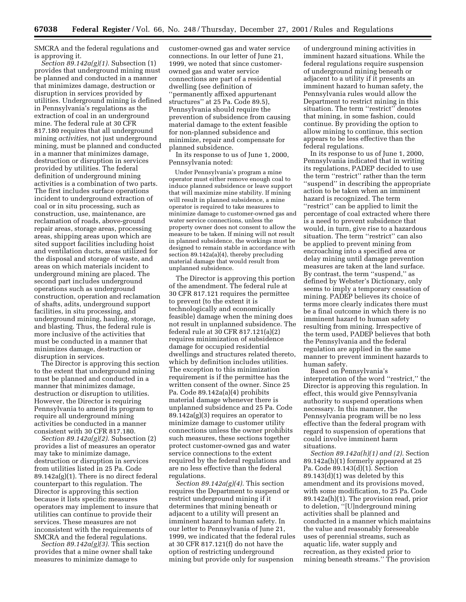SMCRA and the federal regulations and is approving it.

*Section 89.142a(g)(1).* Subsection (1) provides that underground mining must be planned and conducted in a manner that minimizes damage, destruction or disruption in services provided by utilities. Underground mining is defined in Pennsylvania's regulations as the extraction of coal in an underground mine. The federal rule at 30 CFR 817.180 requires that all underground mining *activities,* not just underground mining, must be planned and conducted in a manner that minimizes damage, destruction or disruption in services provided by utilities. The federal definition of underground mining activities is a combination of two parts. The first includes surface operations incident to underground extraction of coal or in situ processing, such as construction, use, maintenance, are reclamation of roads, above-ground repair areas, storage areas, processing areas, shipping areas upon which are sited support facilities including hoist and ventilation ducts, areas utilized for the disposal and storage of waste, and areas on which materials incident to underground mining are placed. The second part includes underground operations such as underground construction, operation and reclamation of shafts, adits, underground support facilities, in situ processing, and underground mining, hauling, storage, and blasting. Thus, the federal rule is more inclusive of the activities that must be conducted in a manner that minimizes damage, destruction or disruption in services.

The Director is approving this section to the extent that underground mining must be planned and conducted in a manner that minimizes damage, destruction or disruption to utilities. However, the Director is requiring Pennsylvania to amend its program to require all underground mining activities be conducted in a manner consistent with 30 CFR 817.180.

*Section 89.142a(g)(2)*. Subsection (2) provides a list of measures an operator may take to minimize damage, destruction or disruption in services from utilities listed in 25 Pa. Code 89.142a(g)(1). There is no direct federal counterpart to this regulation. The Director is approving this section because it lists specific measures operators may implement to insure that utilities can continue to provide their services. These measures are not inconsistent with the requirements of SMCRA and the federal regulations.

*Section 89.142a(g)(3).* This section provides that a mine owner shall take measures to minimize damage to

customer-owned gas and water service connections. In our letter of June 21, 1999, we noted that since customerowned gas and water service connections are part of a residential dwelling (see definition of ''permanently affixed appurtenant structures'' at 25 Pa. Code 89.5), Pennsylvania should require the prevention of subsidence from causing material damage to the extent feasible for non-planned subsidence and minimize, repair and compensate for planned subsidence.

In its response to us of June 1, 2000, Pennsylvania noted:

Under Pennsylvania's program a mine operator must either remove enough coal to induce planned subsidence or leave support that will maximize mine stability. If mining will result in planned subsidence, a mine operator is required to take measures to minimize damage to customer-owned gas and water service connections, unless the property owner does not consent to allow the measure to be taken. If mining will not result in planned subsidence, the workings must be designed to remain stable in accordance with section 89.142a(a)(4), thereby precluding material damage that would result from unplanned subsidence.

The Director is approving this portion of the amendment. The federal rule at 30 CFR 817.121 requires the permittee to prevent (to the extent it is technologically and economically feasible) damage when the mining does not result in unplanned subsidence. The federal rule at 30 CFR 817.121(a)(2) requires minimization of subsidence damage for occupied residential dwellings and structures related thereto, which by definition includes utilities. The exception to this minimization requirement is if the permittee has the written consent of the owner. Since 25 Pa. Code 89.142a(a)(4) prohibits material damage whenever there is unplanned subsidence and 25 Pa. Code 89.142a(g)(3) requires an operator to minimize damage to customer utility connections unless the owner prohibits such measures, these sections together protect customer-owned gas and water service connections to the extent required by the federal regulations and are no less effective than the federal regulations.

*Section 89.142a(g)(4).* This section requires the Department to suspend or restrict underground mining if it determines that mining beneath or adjacent to a utility will present an imminent hazard to human safety. In our letter to Pennsylvania of June 21, 1999, we indicated that the federal rules at 30 CFR 817.121(f) do not have the option of restricting underground mining but provide only for suspension

of underground mining activities in imminent hazard situations. While the federal regulations require suspension of underground mining beneath or adjacent to a utility if it presents an imminent hazard to human safety, the Pennsylvania rules would allow the Department to restrict mining in this situation. The term ''restrict'' denotes that mining, in some fashion, could continue. By providing the option to allow mining to continue, this section appears to be less effective than the federal regulations.

In its response to us of June 1, 2000, Pennsylvania indicated that in writing its regulations, PADEP decided to use the term ''restrict'' rather than the term ''suspend'' in describing the appropriate action to be taken when an imminent hazard is recognized. The term ''restrict'' can be applied to limit the percentage of coal extracted where there is a need to prevent subsidence that would, in turn, give rise to a hazardous situation. The term ''restrict'' can also be applied to prevent mining from encroaching into a specified area or delay mining until damage prevention measures are taken at the land surface. By contrast, the term ''suspend,'' as defined by Webster's Dictionary, only seems to imply a temporary cessation of mining. PADEP believes its choice of terms more clearly indicates there must be a final outcome in which there is no imminent hazard to human safety resulting from mining. Irrespective of the term used, PADEP believes that both the Pennsylvania and the federal regulation are applied in the same manner to prevent imminent hazards to human safety.

Based on Pennsylvania's interpretation of the word ''restrict,'' the Director is approving this regulation. In effect, this would give Pennsylvania authority to suspend operations when necessary. In this manner, the Pennsylvania program will be no less effective than the federal program with regard to suspension of operations that could involve imminent harm situations.

*Section 89.142a(h)(1) and (2).* Section 89.142a(h)(1) formerly appeared at 25 Pa. Code 89.143(d)(1). Section 89.143(d)(1) was deleted by this amendment and its provisions moved, with some modification, to 25 Pa. Code 89.142a(h)(1). The provision read, prior to deletion, ''[U]nderground mining activities shall be planned and conducted in a manner which maintains the value and reasonably foreseeable uses of perennial streams, such as aquatic life, water supply and recreation, as they existed prior to mining beneath streams.'' The provision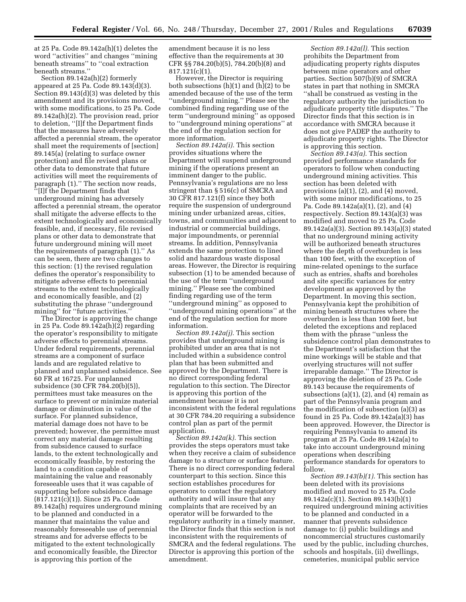at 25 Pa. Code 89.142a(h)(1) deletes the word ''activities'' and changes ''mining beneath streams'' to ''coal extraction beneath streams.''

Section 89.142a(h)(2) formerly appeared at 25 Pa. Code 89.143(d)(3). Section 89.143(d)(3) was deleted by this amendment and its provisions moved, with some modifications, to 25 Pa. Code 89.142a(h)(2). The provision read, prior to deletion, ''[I]f the Department finds that the measures have adversely affected a perennial stream, the operator shall meet the requirements of [section] 89.145(a) (relating to surface owner protection) and file revised plans or other data to demonstrate that future activities will meet the requirements of paragraph (1).'' The section now reads, ''[I]f the Department finds that underground mining has adversely affected a perennial stream, the operator shall mitigate the adverse effects to the extent technologically and economically feasible, and, if necessary, file revised plans or other data to demonstrate that future underground mining will meet the requirements of paragraph (1).'' As can be seen, there are two changes to this section: (1) the revised regulation defines the operator's responsibility to mitigate adverse effects to perennial streams to the extent technologically and economically feasible, and (2) substituting the phrase ''underground mining'' for ''future activities.''

The Director is approving the change in 25 Pa. Code 89.142a(h)(2) regarding the operator's responsibility to mitigate adverse effects to perennial streams. Under federal requirements, perennial streams are a component of surface lands and are regulated relative to planned and unplanned subsidence. See 60 FR at 16725. For unplanned subsidence (30 CFR 784.20(b)(5)), permittees must take measures on the surface to prevent or minimize material damage or diminution in value of the surface. For planned subsidence, material damage does not have to be prevented; however, the permittee must correct any material damage resulting from subsidence caused to surface lands, to the extent technologically and economically feasible, by restoring the land to a condition capable of maintaining the value and reasonably foreseeable uses that it was capable of supporting before subsidence damage (817.121(c)(1)). Since 25 Pa. Code 89.142a(h) requires underground mining to be planned and conducted in a manner that maintains the value and reasonably foreseeable use of perennial streams and for adverse effects to be mitigated to the extent technologically and economically feasible, the Director is approving this portion of the

amendment because it is no less effective than the requirements at 30 CFR §§ 784.20(b)(5), 784.20(b)(8) and 817.121(c)(1).

However, the Director is requiring both subsections (h)(1) and (h)(2) to be amended because of the use of the term ''underground mining.'' Please see the combined finding regarding use of the term ''underground mining'' as opposed to ''underground mining operations'' at the end of the regulation section for more information.

*Section 89.142a(i).* This section provides situations where the Department will suspend underground mining if the operations present an imminent danger to the public. Pennsylvania's regulations are no less stringent than § 516(c) of SMCRA and 30 CFR 817.121(f) since they both require the suspension of underground mining under urbanized areas, cities, towns, and communities and adjacent to industrial or commercial buildings, major impoundments, or perennial streams. In addition, Pennsylvania extends the same protection to lined solid and hazardous waste disposal areas. However, the Director is requiring subsection (1) to be amended because of the use of the term ''underground mining.'' Please see the combined finding regarding use of the term ''underground mining'' as opposed to ''underground mining operations'' at the end of the regulation section for more information.

*Section 89.142a(j).* This section provides that underground mining is prohibited under an area that is not included within a subsidence control plan that has been submitted and approved by the Department. There is no direct corresponding federal regulation to this section. The Director is approving this portion of the amendment because it is not inconsistent with the federal regulations at 30 CFR 784.20 requiring a subsidence control plan as part of the permit application.

*Section 89.142a(k).* This section provides the steps operators must take when they receive a claim of subsidence damage to a structure or surface feature. There is no direct corresponding federal counterpart to this section. Since this section establishes procedures for operators to contact the regulatory authority and will insure that any complaints that are received by an operator will be forwarded to the regulatory authority in a timely manner, the Director finds that this section is not inconsistent with the requirements of SMCRA and the federal regulations. The Director is approving this portion of the amendment.

*Section 89.142a(l).* This section prohibits the Department from adjudicating property rights disputes between mine operators and other parties. Section 507(b)(9) of SMCRA states in part that nothing in SMCRA ''shall be construed as vesting in the regulatory authority the jurisdiction to adjudicate property title disputes.'' The Director finds that this section is in accordance with SMCRA because it does not give PADEP the authority to adjudicate property rights. The Director is approving this section.

*Section 89.143(a).* This section provided performance standards for operators to follow when conducting underground mining activities. This section has been deleted with provisions (a)(1), (2), and (4) moved, with some minor modifications, to 25 Pa. Code 89.142a(a)(1), (2), and (4) respectively. Section 89.143(a)(3) was modified and moved to 25 Pa. Code 89.142a(a)(3). Section 89.143(a)(3) stated that no underground mining activity will be authorized beneath structures where the depth of overburden is less than 100 feet, with the exception of mine-related openings to the surface such as entries, shafts and boreholes and site specific variances for entry development as approved by the Department. In moving this section, Pennsylvania kept the prohibition of mining beneath structures where the overburden is less than 100 feet, but deleted the exceptions and replaced them with the phrase ''unless the subsidence control plan demonstrates to the Department's satisfaction that the mine workings will be stable and that overlying structures will not suffer irreparable damage.'' The Director is approving the deletion of 25 Pa. Code 89.143 because the requirements of subsections (a)(1), (2), and (4) remain as part of the Pennsylvania program and the modification of subsection (a)(3) as found in 25 Pa. Code 89.142a(a)(3) has been approved. However, the Director is requiring Pennsylvania to amend its program at 25 Pa. Code 89.142a(a) to take into account underground mining operations when describing performance standards for operators to follow.

*Section 89.143(b)(1).* This section has been deleted with its provisions modified and moved to 25 Pa. Code 89.142a(c)(1). Section 89.143(b)(1) required underground mining activities to be planned and conducted in a manner that prevents subsidence damage to: (i) public buildings and noncommercial structures customarily used by the public, including churches, schools and hospitals, (ii) dwellings, cemeteries, municipal public service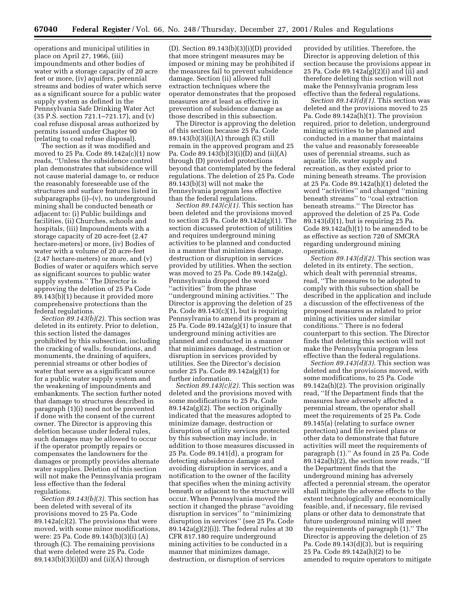operations and municipal utilities in place on April 27, 1966, (iii) impoundments and other bodies of water with a storage capacity of 20 acre feet or more, (iv) aquifers, perennial streams and bodies of water which serve as a significant source for a public water supply system as defined in the Pennsylvania Safe Drinking Water Act (35 P.S. section 721.1–721.17), and (v) coal refuse disposal areas authorized by permits issued under Chapter 90 (relating to coal refuse disposal).

The section as it was modified and moved to 25 Pa. Code 89.142a(c)(1) now reads, ''Unless the subsidence control plan demonstrates that subsidence will not cause material damage to, or reduce the reasonably foreseeable use of the structures and surface features listed in subparagraphs (i)–(v), no underground mining shall be conducted beneath or adjacent to: (i) Public buildings and facilities, (ii) Churches, schools and hospitals, (iii) Impoundments with a storage capacity of 20 acre-feet (2.47 hectare-meters) or more, (iv) Bodies of water with a volume of 20 acre-feet (2.47 hectare-meters) or more, and (v) Bodies of water or aquifers which serve as significant sources to public water supply systems.'' The Director is approving the deletion of 25 Pa Code 89.143(b)(1) because it provided more comprehensive protections than the federal regulations.

*Section 89.143(b)(2).* This section was deleted in its entirety. Prior to deletion, this section listed the damages prohibited by this subsection, including the cracking of walls, foundations, and monuments, the draining of aquifers, perennial streams or other bodies of water that serve as a significant source for a public water supply system and the weakening of impoundments and embankments. The section further noted that damage to structures described in paragraph (1)(i) need not be prevented if done with the consent of the current owner. The Director is approving this deletion because under federal rules, such damages may be allowed to occur if the operator promptly repairs or compensates the landowners for the damages or promptly provides alternate water supplies. Deletion of this section will not make the Pennsylvania program less effective than the federal regulations.

*Section 89.143(b)(3).* This section has been deleted with several of its provisions moved to 25 Pa. Code 89.142a(c)(2). The provisions that were moved, with some minor modifications, were: 25 Pa. Code 89.143(b)(3)(i) (A) through (C). The remaining provisions that were deleted were 25 Pa. Code  $89.143(b)(3)(i)(D)$  and  $(ii)(A)$  through

(D). Section 89.143(b)(3)(i)(D) provided that more stringent measures may be imposed or mining may be prohibited if the measures fail to prevent subsidence damage. Section (ii) allowed full extraction techniques where the operator demonstrates that the proposed measures are at least as effective in prevention of subsidence damage as those described in this subsection.

The Director is approving the deletion of this section because 25 Pa. Code 89.143(b)(3)(i)(A) through (C) still remain in the approved program and 25 Pa. Code 89.143(b)(3)(i)(D) and (ii)(A) through (D) provided protections beyond that contemplated by the federal regulations. The deletion of 25 Pa. Code 89.143(b)(3) will not make the Pennsylvania program less effective than the federal regulations.

*Section 89.143(c)(1).* This section has been deleted and the provisions moved to section 25 Pa. Code 89.142a(g)(1). The section discussed protection of utilities and requires underground mining activities to be planned and conducted in a manner that minimizes damage, destruction or disruption in services provided by utilities. When the section was moved to 25 Pa. Code 89.142a(g), Pennsylvania dropped the word ''activities'' from the phrase ''underground mining activities.'' The Director is approving the deletion of 25 Pa. Code  $89.143(c)(1)$ , but is requiring Pennsylvania to amend its program at 25 Pa. Code 89.142a(g)(1) to insure that underground mining activities are planned and conducted in a manner that minimizes damage, destruction or disruption in services provided by utilities. See the Director's decision under 25 Pa. Code 89.142a(g)(1) for further information.

*Section 89.143(c)(2).* This section was deleted and the provisions moved with some modifications to 25 Pa. Code 89.142a(g)(2). The section originally indicated that the measures adopted to minimize damage, destruction or disruption of utility services protected by this subsection may include, in addition to those measures discussed in 25 Pa. Code 89.141(d), a program for detecting subsidence damage and avoiding disruption in services, and a notification to the owner of the facility that specifies when the mining activity beneath or adjacent to the structure will occur. When Pennsylvania moved the section it changed the phrase ''avoiding disruption in services'' to ''minimizing disruption in services'' (see 25 Pa. Code 89.142a(g)(2)(i)). The federal rules at 30 CFR 817.180 require underground mining activities to be conducted in a manner that minimizes damage, destruction, or disruption of services

provided by utilities. Therefore, the Director is approving deletion of this section because the provisions appear in 25 Pa. Code 89.142a(g)(2)(i) and (ii) and therefore deleting this section will not make the Pennsylvania program less effective than the federal regulations.

*Section 89.143(d)(1).* This section was deleted and the provisions moved to 25 Pa. Code 89.142a(h)(1). The provision required, prior to deletion, underground mining activities to be planned and conducted in a manner that maintains the value and reasonably foreseeable uses of perennial streams, such as aquatic life, water supply and recreation, as they existed prior to mining beneath streams. The provision at 25 Pa. Code 89.142a(h)(1) deleted the word ''activities'' and changed ''mining beneath streams'' to ''coal extraction beneath streams.'' The Director has approved the deletion of 25 Pa. Code 89.143(d)(1), but is requiring 25 Pa. Code 89.142a(h)(1) to be amended to be as effective as section 720 of SMCRA regarding underground mining operations.

*Section 89.143(d)(2).* This section was deleted in its entirety. The section, which dealt with perennial streams, read, ''The measures to be adopted to comply with this subsection shall be described in the application and include a discussion of the effectiveness of the proposed measures as related to prior mining activities under similar conditions.'' There is no federal counterpart to this section. The Director finds that deleting this section will not make the Pennsylvania program less effective than the federal regulations.

*Section 89.143(d)(3).* This section was deleted and the provisions moved, with some modifications, to 25 Pa. Code 89.142a(h)(2). The provision originally read, ''If the Department finds that the measures have adversely affected a perennial stream, the operator shall meet the requirements of 25 Pa. Code 89.145(a) (relating to surface owner protection) and file revised plans or other data to demonstrate that future activities will meet the requirements of paragraph (1).'' As found in 25 Pa. Code 89.142a(h)(2), the section now reads, ''If the Department finds that the underground mining has adversely affected a perennial stream, the operator shall mitigate the adverse effects to the extent technologically and economically feasible, and, if necessary, file revised plans or other data to demonstrate that future underground mining will meet the requirements of paragraph (1).'' The Director is approving the deletion of 25 Pa. Code 89.143(d)(3), but is requiring 25 Pa. Code 89.142a(h)(2) to be amended to require operators to mitigate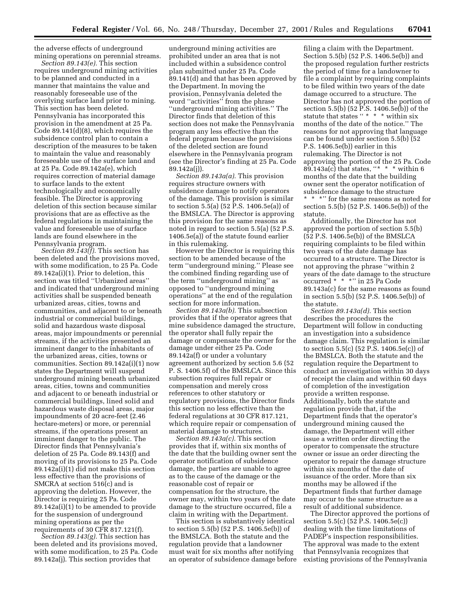the adverse effects of underground mining operations on perennial streams.

*Section 89.143(e).* This section requires underground mining activities to be planned and conducted in a manner that maintains the value and reasonably foreseeable use of the overlying surface land prior to mining. This section has been deleted. Pennsylvania has incorporated this provision in the amendment at 25 Pa. Code 89.141(d)(8), which requires the subsidence control plan to contain a description of the measures to be taken to maintain the value and reasonably foreseeable use of the surface land and at 25 Pa. Code 89.142a(e), which requires correction of material damage to surface lands to the extent technologically and economically feasible. The Director is approving deletion of this section because similar provisions that are as effective as the federal regulations in maintaining the value and foreseeable use of surface lands are found elsewhere in the Pennsylvania program.

*Section 89.143(f).* This section has been deleted and the provisions moved, with some modification, to 25 Pa. Code 89.142a(i)(1). Prior to deletion, this section was titled ''Urbanized areas'' and indicated that underground mining activities shall be suspended beneath urbanized areas, cities, towns and communities, and adjacent to or beneath industrial or commercial buildings, solid and hazardous waste disposal areas, major impoundments or perennial streams, if the activities presented an imminent danger to the inhabitants of the urbanized areas, cities, towns or communities. Section 89.142a(i)(1) now states the Department will suspend underground mining beneath urbanized areas, cities, towns and communities and adjacent to or beneath industrial or commercial buildings, lined solid and hazardous waste disposal areas, major impoundments of 20 acre-feet (2.46 hectare-meters) or more, or perennial streams, if the operations present an imminent danger to the public. The Director finds that Pennsylvania's deletion of 25 Pa. Code 89.143(f) and moving of its provisions to 25 Pa. Code 89.142a(i)(1) did not make this section less effective than the provisions of SMCRA at section 516(c) and is approving the deletion. However, the Director is requiring 25 Pa. Code 89.142a(i)(1) to be amended to provide for the suspension of underground mining operations as per the requirements of 30 CFR 817.121(f).

*Section 89.143(g).* This section has been deleted and its provisions moved, with some modification, to 25 Pa. Code 89.142a(j). This section provides that

underground mining activities are prohibited under an area that is not included within a subsidence control plan submitted under 25 Pa. Code 89.141(d) and that has been approved by the Department. In moving the provision, Pennsylvania deleted the word ''activities'' from the phrase ''underground mining activities.'' The Director finds that deletion of this section does not make the Pennsylvania program any less effective than the federal program because the provisions of the deleted section are found elsewhere in the Pennsylvania program (see the Director's finding at 25 Pa. Code 89.142a(j)).

*Section 89.143a(a).* This provision requires structure owners with subsidence damage to notify operators of the damage. This provision is similar to section 5.5(a) (52 P.S. 1406.5e(a)) of the BMSLCA. The Director is approving this provision for the same reasons as noted in regard to section 5.5(a) (52 P.S. 1406.5e(a)) of the statute found earlier in this rulemaking.

However the Director is requiring this section to be amended because of the term ''underground mining.'' Please see the combined finding regarding use of the term ''underground mining'' as opposed to ''underground mining operations'' at the end of the regulation section for more information.

*Section 89.143a(b).* This subsection provides that if the operator agrees that mine subsidence damaged the structure, the operator shall fully repair the damage or compensate the owner for the damage under either 25 Pa. Code 89.142a(f) or under a voluntary agreement authorized by section 5.6 (52 P. S. 1406.5f) of the BMSLCA. Since this subsection requires full repair or compensation and merely cross references to other statutory or regulatory provisions, the Director finds this section no less effective than the federal regulations at 30 CFR 817.121, which require repair or compensation of material damage to structures.

*Section 89.143a(c).* This section provides that if, within six months of the date that the building owner sent the operator notification of subsidence damage, the parties are unable to agree as to the cause of the damage or the reasonable cost of repair or compensation for the structure, the owner may, within two years of the date damage to the structure occurred, file a claim in writing with the Department.

This section is substantively identical to section 5.5(b) (52 P.S. 1406.5e(b)) of the BMSLCA. Both the statute and the regulation provide that a landowner must wait for six months after notifying an operator of subsidence damage before

filing a claim with the Department. Section 5.5(b) (52 P.S. 1406.5e(b)) and the proposed regulation further restricts the period of time for a landowner to file a complaint by requiring complaints to be filed within two years of the date damage occurred to a structure. The Director has not approved the portion of section 5.5(b) (52 P.S. 1406.5e(b)) of the statute that states '' \* \* \* within six months of the date of the notice.'' The reasons for not approving that language can be found under section 5.5(b) (52 P.S. 1406.5e(b)) earlier in this rulemaking. The Director is not approving the portion of the 25 Pa. Code 89.143a(c) that states, "\* \* \* within 6 months of the date that the building owner sent the operator notification of subsidence damage to the structure \*\*\*'' for the same reasons as noted for section 5.5(b) (52 P.S. 1406.5e(b)) of the statute.

Additionally, the Director has not approved the portion of section 5.5(b) (52 P.S. 1406.5e(b)) of the BMSLCA requiring complaints to be filed within two years of the date damage has occurred to a structure. The Director is not approving the phrase ''within 2 years of the date damage to the structure occurred \* \* \*'' in 25 Pa Code 89.143a(c) for the same reasons as found in section 5.5(b) (52 P.S. 1406.5e(b)) of the statute.

*Section 89.143a(d).* This section describes the procedures the Department will follow in conducting an investigation into a subsidence damage claim. This regulation is similar to section 5.5(c) (52 P.S. 1406.5e(c)) of the BMSLCA. Both the statute and the regulation require the Department to conduct an investigation within 30 days of receipt the claim and within 60 days of completion of the investigation provide a written response. Additionally, both the statute and regulation provide that, if the Department finds that the operator's underground mining caused the damage, the Department will either issue a written order directing the operator to compensate the structure owner or issue an order directing the operator to repair the damage structure within six months of the date of issuance of the order. More than six months may be allowed if the Department finds that further damage may occur to the same structure as a result of additional subsidence.

The Director approved the portions of section 5.5(c) (52 P.S. 1406.5e(c)) dealing with the time limitations of PADEP's inspection responsibilities. The approval was made to the extent that Pennsylvania recognizes that existing provisions of the Pennsylvania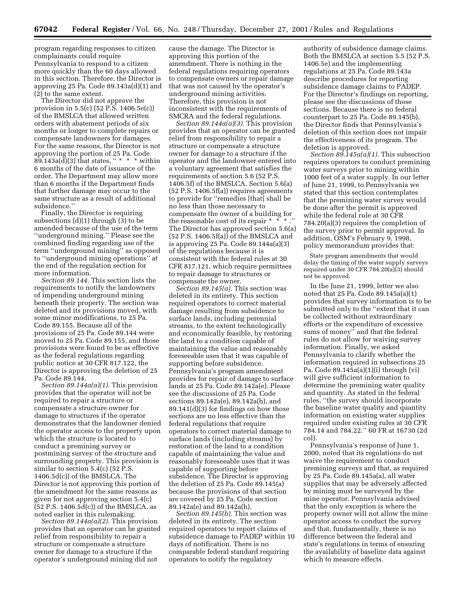program regarding responses to citizen complainants could require Pennsylvania to respond to a citizen more quickly than the 60 days allowed in this section. Therefore, the Director is approving 25 Pa. Code 89.143a(d)(1) and (2) to the same extent.

The Director did not approve the provision in 5.5(c) (52 P.S. 1406.5e(c)) of the BMSLCA that allowed written orders with abatement periods of six months or longer to complete repairs or compensate landowners for damages. For the same reasons, the Director is not approving the portion of 25 Pa. Code 89.143a(d)(3) that states, " $* * *$  within 6 months of the date of issuance of the order. The Department may allow more than 6 months if the Department finds that further damage may occur to the same structure as a result of additional subsidence.''

Finally, the Director is requiring subsections (d)(1) through (3) to be amended because of the use of the term ''underground mining.'' Please see the combined finding regarding use of the term ''underground mining'' as opposed to ''underground mining operations'' at the end of the regulation section for more information.

*Section 89.144.* This section lists the requirements to notify the landowners of impending underground mining beneath their property. The section was deleted and its provisions moved, with some minor modifications, to 25 Pa. Code 89.155. Because all of the provisions of 25 Pa. Code 89.144 were moved to 25 Pa. Code 89.155, and those provisions were found to be as effective as the federal regulations regarding public notice at 30 CFR 817.122, the Director is approving the deletion of 25 Pa. Code 89.144.

*Section 89.144a(a)(1).* This provision provides that the operator will not be required to repair a structure or compensate a structure owner for damage to structures if the operator demonstrates that the landowner denied the operator access to the property upon which the structure is located to conduct a premining survey or postmining survey of the structure and surrounding property. This provision is similar to section 5.4(c) (52 P.S. 1406.5d(c)) of the BMSLCA. The Director is not approving this portion of the amendment for the same reasons as given for not approving section 5.4(c)  $(52 \text{ P.S. } 1406.5d(c))$  of the BMSLCA, as noted earlier in this rulemaking.

*Section 89.144a(a)(2).* This provision provides that an operator can be granted relief from responsibility to repair a structure or compensate a structure owner for damage to a structure if the operator's underground mining did not

cause the damage. The Director is approving this portion of the amendment. There is nothing in the federal regulations requiring operators to compensate owners or repair damage that was not caused by the operator's underground mining activities. Therefore, this provision is not inconsistent with the requirements of SMCRA and the federal regulations.

*Section 89.144a(a)(3).* This provision provides that an operator can be granted relief from responsibility to repair a structure or compensate a structure owner for damage to a structure if the operator and the landowner entered into a voluntary agreement that satisfies the requirements of section 5.6 (52 P.S. 1406.5f) of the BMSLCA. Section 5.6(a) (52 P.S. 1406.5f(a)) requires agreements to provide for ''remedies [that] shall be no less than those necessary to compensate the owner of a building for the reasonable cost of its repair  $* * *$ . The Director has approved section 5.6(a) (52 P.S. 1406.5f(a)) of the BMSLCA and is approving 25 Pa. Code 89.144a(a)(3) of the regulations because it is consistent with the federal rules at 30 CFR 817.121, which require permittees to repair damage to structures or compensate the owner.

*Section 89.145(a).* This section was deleted in its entirety. This section required operators to correct material damage resulting from subsidence to surface lands, including perennial streams, to the extent technologically and economically feasible, by restoring the land to a condition capable of maintaining the value and reasonably foreseeable uses that it was capable of supporting before subsidence. Pennsylvania's program amendment provides for repair of damage to surface lands at 25 Pa. Code 89.142a(e). Please see the discussions of 25 Pa. Code sections 89.142a(e), 89.142a(h), and 89.141(d)(3) for findings on how those sections are no less effective than the federal regulations that require operators to correct material damage to surface lands (including streams) by restoration of the land to a condition capable of maintaining the value and reasonably foreseeable uses that it was capable of supporting before subsidence. The Director is approving the deletion of 25 Pa. Code 89.145(a) because the provisions of that section are covered by 25 Pa. Code section 89.142a(e) and 89.142a(h).

*Section 89.145(b).* This section was deleted in its entirety. The section required operators to report claims of subsidence damage to PADEP within 10 days of notification. There is no comparable federal standard requiring operators to notify the regulatory

authority of subsidence damage claims. Both the BMSLCA at section 5.5 (52 P.S. 1406.5e) and the implementing regulations at 25 Pa. Code 89.143a describe procedures for reporting subsidence damage claims to PADEP. For the Director's findings on reporting, please see the discussions of those sections. Because there is no federal counterpart to 25 Pa. Code 89.145(b), the Director finds that Pennsylvania's deletion of this section does not impair the effectiveness of its program. The deletion is approved.

*Section 89.145a(a)(1).* This subsection requires operators to conduct premining water surveys prior to mining within 1000 feet of a water supply. In our letter of June 21, 1999, to Pennsylvania we stated that this section contemplates that the premining water survey would be done after the permit is approved while the federal rule at 30 CFR 784.20(a)(3) requires the completion of the survey prior to permit approval. In addition, OSM's February 9, 1998, policy memorandum provides that:

State program amendments that would delay the timing of the water supply surveys required under 30 CFR 784.20(a)(3) should not be approved.

In the June 21, 1999, letter we also noted that 25 Pa. Code 89.145a(a)(1) provides that survey information is to be submitted only to the ''extent that it can be collected without extraordinary efforts or the expenditure of excessive sums of money" and that the federal rules do not allow for waiving survey information. Finally, we asked Pennsylvania to clarify whether the information required in subsections 25 Pa. Code 89.145a(a)(1)(i) through (vi) will give sufficient information to determine the premining water quality and quantity. As stated in the federal rules, ''the survey should incorporate the baseline water quality and quantity information on existing water supplies required under existing rules at 30 CFR 784.14 and 784.22.'' 60 FR at 16730 (2d col).

Pennsylvania's response of June 1, 2000, noted that its regulations do not waive the requirement to conduct premining surveys and that, as required by 25 Pa. Code 89.145a(a), all water supplies that may be adversely affected by mining must be surveyed by the mine operator. Pennsylvania advised that the only exception is where the property owner will not allow the mine operator access to conduct the survey and that, fundamentally, there is no difference between the federal and state's regulations in terms of ensuring the availability of baseline data against which to measure effects.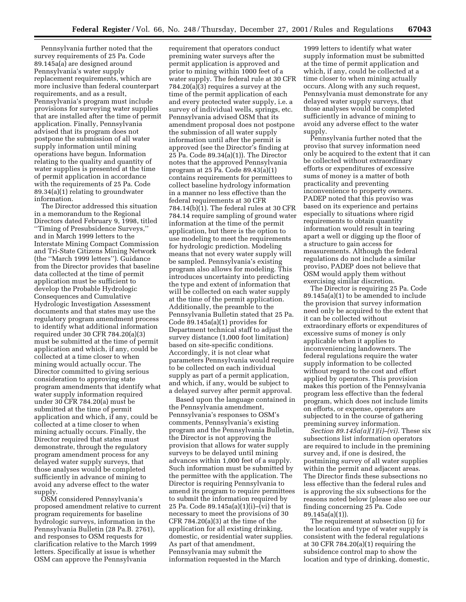Pennsylvania further noted that the survey requirements of 25 Pa. Code 89.145a(a) are designed around Pennsylvania's water supply replacement requirements, which are more inclusive than federal counterpart requirements, and as a result, Pennsylvania's program must include provisions for surveying water supplies that are installed after the time of permit application. Finally, Pennsylvania advised that its program does not postpone the submission of all water supply information until mining operations have begun. Information relating to the quality and quantity of water supplies is presented at the time of permit application in accordance with the requirements of 25 Pa. Code 89.34(a)(1) relating to groundwater information.

The Director addressed this situation in a memorandum to the Regional Directors dated February 9, 1998, titled ''Timing of Presubsidence Surveys,'' and in March 1999 letters to the Interstate Mining Compact Commission and Tri-State Citizens Mining Network (the ''March 1999 letters''). Guidance from the Director provides that baseline data collected at the time of permit application must be sufficient to develop the Probable Hydrologic Consequences and Cumulative Hydrologic Investigation Assessment documents and that states may use the regulatory program amendment process to identify what additional information required under 30 CFR 784.20(a)(3) must be submitted at the time of permit application and which, if any, could be collected at a time closer to when mining would actually occur. The Director committed to giving serious consideration to approving state program amendments that identify what water supply information required under 30 CFR 784.20(a) must be submitted at the time of permit application and which, if any, could be collected at a time closer to when mining actually occurs. Finally, the Director required that states must demonstrate, through the regulatory program amendment process for any delayed water supply surveys, that those analyses would be completed sufficiently in advance of mining to avoid any adverse effect to the water supply.

OSM considered Pennsylvania's proposed amendment relative to current program requirements for baseline hydrologic surveys, information in the Pennsylvania Bulletin (28 Pa.B. 2761), and responses to OSM requests for clarification relative to the March 1999 letters. Specifically at issue is whether OSM can approve the Pennsylvania

requirement that operators conduct premining water surveys after the permit application is approved and prior to mining within 1000 feet of a water supply. The federal rule at 30 CFR 784.20(a)(3) requires a survey at the time of the permit application of each and every protected water supply, i.e. a survey of individual wells, springs, etc. Pennsylvania advised OSM that its amendment proposal does not postpone the submission of all water supply information until after the permit is approved (see the Director's finding at 25 Pa. Code 89.34(a)(1)). The Director notes that the approved Pennsylvania program at 25 Pa. Code 89.43(a)(1) contains requirements for permittees to collect baseline hydrology information in a manner no less effective than the federal requirements at 30 CFR 784.14(b)(1). The federal rules at 30 CFR 784.14 require sampling of ground water information at the time of the permit application, but there is the option to use modeling to meet the requirements for hydrologic prediction. Modeling means that not every water supply will be sampled. Pennsylvania's existing program also allows for modeling. This introduces uncertainty into predicting the type and extent of information that will be collected on each water supply at the time of the permit application. Additionally, the preamble to the Pennsylvania Bulletin stated that 25 Pa. Code 89.145a(a)(1) provides for Department technical staff to adjust the survey distance (1,000 foot limitation) based on site-specific conditions. Accordingly, it is not clear what parameters Pennsylvania would require to be collected on each individual supply as part of a permit application, and which, if any, would be subject to a delayed survey after permit approval.

Based upon the language contained in the Pennsylvania amendment, Pennsylvania's responses to OSM's comments, Pennsylvania's existing program and the Pennsylvania Bulletin, the Director is not approving the provision that allows for water supply surveys to be delayed until mining advances within 1,000 feet of a supply. Such information must be submitted by the permittee with the application. The Director is requiring Pennsylvania to amend its program to require permittees to submit the information required by 25 Pa. Code 89.145a(a)(1)(i)–(vi) that is necessary to meet the provisions of 30 CFR  $784.20(a)(3)$  at the time of the application for all existing drinking, domestic, or residential water supplies. As part of that amendment, Pennsylvania may submit the information requested in the March

1999 letters to identify what water supply information must be submitted at the time of permit application and which, if any, could be collected at a time closer to when mining actually occurs. Along with any such request, Pennsylvania must demonstrate for any delayed water supply surveys, that those analyses would be completed sufficiently in advance of mining to avoid any adverse effect to the water supply.

Pennsylvania further noted that the proviso that survey information need only be acquired to the extent that it can be collected without extraordinary efforts or expenditures of excessive sums of money is a matter of both practicality and preventing inconvenience to property owners. PADEP noted that this proviso was based on its experience and pertains especially to situations where rigid requirements to obtain quantity information would result in tearing apart a well or digging up the floor of a structure to gain access for measurements. Although the federal regulations do not include a similar proviso, PADEP does not believe that OSM would apply them without exercising similar discretion.

The Director is requiring 25 Pa. Code 89.145a(a)(1) to be amended to include the provision that survey information need only be acquired to the extent that it can be collected without extraordinary efforts or expenditures of excessive sums of money is only applicable when it applies to inconveniencing landowners. The federal regulations require the water supply information to be collected without regard to the cost and effort applied by operators. This provision makes this portion of the Pennsylvania program less effective than the federal program, which does not include limits on efforts, or expense, operators are subjected to in the course of gathering premining survey information.

*Section 89.145a(a)(1)(i)–(vi).* These six subsections list information operators are required to include in the premining survey and, if one is desired, the postmining survey of all water supplies within the permit and adjacent areas. The Director finds these subsections no less effective than the federal rules and is approving the six subsections for the reasons noted below (please also see our finding concerning 25 Pa. Code 89.145a(a)(1)).

The requirement at subsection (i) for the location and type of water supply is consistent with the federal regulations at 30 CFR 784.20(a)(1) requiring the subsidence control map to show the location and type of drinking, domestic,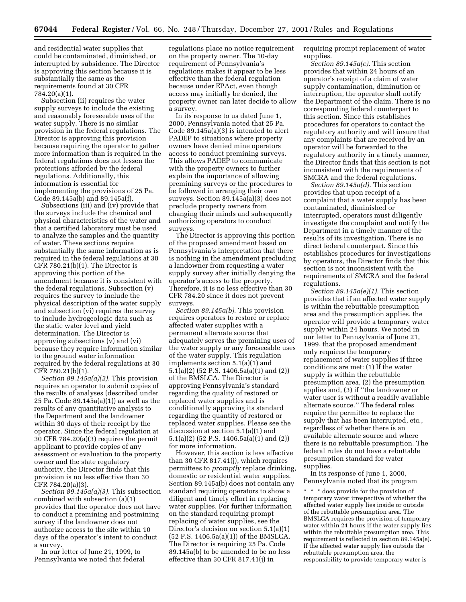and residential water supplies that could be contaminated, diminished, or interrupted by subsidence. The Director is approving this section because it is substantially the same as the requirements found at 30 CFR 784.20(a)(1).

Subsection (ii) requires the water supply surveys to include the existing and reasonably foreseeable uses of the water supply. There is no similar provision in the federal regulations. The Director is approving this provision because requiring the operator to gather more information than is required in the federal regulations does not lessen the protections afforded by the federal regulations. Additionally, this information is essential for implementing the provisions of 25 Pa. Code 89.145a(b) and 89.145a(f).

Subsections (iii) and (iv) provide that the surveys include the chemical and physical characteristics of the water and that a certified laboratory must be used to analyze the samples and the quantity of water. These sections require substantially the same information as is required in the federal regulations at 30 CFR 780.21(b)(1). The Director is approving this portion of the amendment because it is consistent with the federal regulations. Subsection (v) requires the survey to include the physical description of the water supply and subsection (vi) requires the survey to include hydrogeologic data such as the static water level and yield determination. The Director is approving subsections (v) and (vi) because they require information similar to the ground water information required by the federal regulations at 30 CFR 780.21(b)(1).

*Section 89.145a(a)(2).* This provision requires an operator to submit copies of the results of analyses (described under 25 Pa. Code 89.145a(a)(1)) as well as the results of any quantitative analysis to the Department and the landowner within 30 days of their receipt by the operator. Since the federal regulation at 30 CFR 784.20(a)(3) requires the permit applicant to provide copies of any assessment or evaluation to the property owner and the state regulatory authority, the Director finds that this provision is no less effective than 30 CFR 784.20(a)(3).

*Section 89.145a(a)(3).* This subsection combined with subsection (a)(1) provides that the operator does not have to conduct a premining and postmining survey if the landowner does not authorize access to the site within 10 days of the operator's intent to conduct a survey.

In our letter of June 21, 1999, to Pennsylvania we noted that federal regulations place no notice requirement on the property owner. The 10-day requirement of Pennsylvania's regulations makes it appear to be less effective than the federal regulation because under EPAct, even though access may initially be denied, the property owner can later decide to allow a survey.

In its response to us dated June 1, 2000, Pennsylvania noted that 25 Pa. Code 89.145a(a)(3) is intended to alert PADEP to situations where property owners have denied mine operators access to conduct premining surveys. This allows PADEP to communicate with the property owners to further explain the importance of allowing premining surveys or the procedures to be followed in arranging their own surveys. Section 89.145a(a)(3) does not preclude property owners from changing their minds and subsequently authorizing operators to conduct surveys.

The Director is approving this portion of the proposed amendment based on Pennsylvania's interpretation that there is nothing in the amendment precluding a landowner from requesting a water supply survey after initially denying the operator's access to the property. Therefore, it is no less effective than 30 CFR 784.20 since it does not prevent surveys.

*Section 89.145a(b).* This provision requires operators to restore or replace affected water supplies with a permanent alternate source that adequately serves the premining uses of the water supply or any foreseeable uses of the water supply. This regulation implements section 5.1(a)(1) and 5.1(a)(2) (52 P.S. 1406.5a(a)(1) and (2)) of the BMSLCA. The Director is approving Pennsylvania's standard regarding the quality of restored or replaced water supplies and is conditionally approving its standard regarding the quantity of restored or replaced water supplies. Please see the discussion at section 5.1(a)(1) and 5.1(a)(2) (52 P.S. 1406.5a(a)(1) and (2)) for more information.

However, this section is less effective than 30 CFR 817.41(j), which requires permittees to *promptly* replace drinking, domestic or residential water supplies. Section 89.145a(b) does not contain any standard requiring operators to show a diligent and timely effort in replacing water supplies. For further information on the standard requiring prompt replacing of water supplies, see the Director's decision on section 5.1(a)(1) (52 P.S. 1406.5a(a)(1)) of the BMSLCA. The Director is requiring 25 Pa. Code 89.145a(b) to be amended to be no less effective than 30 CFR 817.41(j) in

requiring prompt replacement of water supplies.

*Section 89.145a(c).* This section provides that within 24 hours of an operator's receipt of a claim of water supply contamination, diminution or interruption, the operator shall notify the Department of the claim. There is no corresponding federal counterpart to this section. Since this establishes procedures for operators to contact the regulatory authority and will insure that any complaints that are received by an operator will be forwarded to the regulatory authority in a timely manner, the Director finds that this section is not inconsistent with the requirements of SMCRA and the federal regulations.

*Section 89.145a(d).* This section provides that upon receipt of a complaint that a water supply has been contaminated, diminished or interrupted, operators must diligently investigate the complaint and notify the Department in a timely manner of the results of its investigation. There is no direct federal counterpart. Since this establishes procedures for investigations by operators, the Director finds that this section is not inconsistent with the requirements of SMCRA and the federal regulations.

*Section 89.145a(e)(1).* This section provides that if an affected water supply is within the rebuttable presumption area and the presumption applies, the operator will provide a temporary water supply within 24 hours. We noted in our letter to Pennsylvania of June 21, 1999, that the proposed amendment only requires the temporary replacement of water supplies if three conditions are met: (1) If the water supply is within the rebuttable presumption area, (2) the presumption applies and, (3) if ''the landowner or water user is without a readily available alternate source.'' The federal rules require the permittee to replace the supply that has been interrupted, etc., regardless of whether there is an available alternate source and where there is no rebuttable presumption. The federal rules do not have a rebuttable presumption standard for water supplies.

In its response of June 1, 2000, Pennsylvania noted that its program

\* \* \* does provide for the provision of temporary water irrespective of whether the affected water supply lies inside or outside of the rebuttable presumption area. The BMSLCA requires the provision of temporary water within 24 hours if the water supply lies within the rebuttable presumption area. This requirement is reflected in section 89.145a(e). If the affected water supply lies outside the rebuttable presumption area, the responsibility to provide temporary water is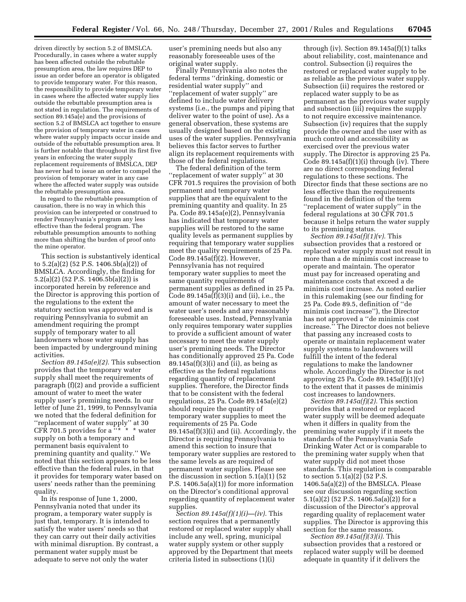driven directly by section 5.2 of BMSLCA. Procedurally, in cases where a water supply has been affected outside the rebuttable presumption area, the law requires DEP to issue an order before an operator is obligated to provide temporary water. For this reason, the responsibility to provide temporary water in cases where the affected water supply lies outside the rebuttable presumption area is not stated in regulation. The requirements of section 89.145a(e) and the provisions of section 5.2 of BMSLCA act together to ensure the provision of temporary water in cases where water supply impacts occur inside and outside of the rebuttable presumption area. It is further notable that throughout its first five years in enforcing the water supply replacement requirements of BMSLCA, DEP has never had to issue an order to compel the provision of temporary water in any case where the affected water supply was outside the rebuttable presumption area.

In regard to the rebuttable presumption of causation, there is no way in which this provision can be interpreted or construed to render Pennsylvania's program any less effective than the federal program. The rebuttable presumption amounts to nothing more than shifting the burden of proof onto the mine operator.

This section is substantively identical to 5.2(a)(2) (52 P.S. 1406.5b(a)(2)) of BMSLCA. Accordingly, the finding for 5.2(a)(2) (52 P.S. 1406.5b(a)(2)) is incorporated herein by reference and the Director is approving this portion of the regulations to the extent the statutory section was approved and is requiring Pennsylvania to submit an amendment requiring the prompt supply of temporary water to all landowners whose water supply has been impacted by underground mining activities.

*Section 89.145a(e)(2).* This subsection provides that the temporary water supply shall meet the requirements of paragraph (f)(2) and provide a sufficient amount of water to meet the water supply user's premining needs. In our letter of June 21, 1999, to Pennsylvania we noted that the federal definition for ''replacement of water supply'' at 30 CFR 701.5 provides for a ''\* \* \* water supply on both a temporary and permanent basis equivalent to premining quantity and quality.'' We noted that this section appears to be less effective than the federal rules, in that it provides for temporary water based on users' needs rather than the premining quality.

In its response of June 1, 2000, Pennsylvania noted that under its program, a temporary water supply is just that, temporary. It is intended to satisfy the water users' needs so that they can carry out their daily activities with minimal disruption. By contrast, a permanent water supply must be adequate to serve not only the water

user's premining needs but also any reasonably foreseeable uses of the original water supply.

Finally Pennsylvania also notes the federal terms ''drinking, domestic or residential water supply'' and ''replacement of water supply'' are defined to include water delivery systems (i.e., the pumps and piping that deliver water to the point of use). As a general observation, these systems are usually designed based on the existing uses of the water supplies. Pennsylvania believes this factor serves to further align its replacement requirements with those of the federal regulations.

The federal definition of the term ''replacement of water supply'' at 30 CFR 701.5 requires the provision of both permanent and temporary water supplies that are the equivalent to the premining quantity and quality. In 25 Pa. Code 89.145a(e)(2), Pennsylvania has indicated that temporary water supplies will be restored to the same quality levels as permanent supplies by requiring that temporary water supplies meet the quality requirements of 25 Pa. Code 89.145a(f)(2). However, Pennsylvania has not required temporary water supplies to meet the same quantity requirements of permanent supplies as defined in 25 Pa. Code 89.145a(f)(3)(i) and (ii), i.e., the amount of water necessary to meet the water user's needs and any reasonably foreseeable uses. Instead, Pennsylvania only requires temporary water supplies to provide a sufficient amount of water necessary to meet the water supply user's premining needs. The Director has conditionally approved 25 Pa. Code  $89.145a(f)(3)(i)$  and (ii), as being as effective as the federal regulations regarding quantity of replacement supplies. Therefore, the Director finds that to be consistent with the federal regulations, 25 Pa. Code 89.145a(e)(2) should require the quantity of temporary water supplies to meet the requirements of 25 Pa. Code  $89.145a(f)(3)(i)$  and (ii). Accordingly, the Director is requiring Pennsylvania to amend this section to insure that temporary water supplies are restored to the same levels as are required of permanent water supplies. Please see the discussion in section 5.1(a)(1) (52 P.S. 1406.5a(a)(1)) for more information on the Director's conditional approval regarding quantity of replacement water supplies.

*Section 89.145a(f)(1)(i)—(iv).* This section requires that a permanently restored or replaced water supply shall include any well, spring, municipal water supply system or other supply approved by the Department that meets criteria listed in subsections (1)(i)

through (iv). Section 89.145a(f)(1) talks about reliability, cost, maintenance and control. Subsection (i) requires the restored or replaced water supply to be as reliable as the previous water supply. Subsection (ii) requires the restored or replaced water supply to be as permanent as the previous water supply and subsection (iii) requires the supply to not require excessive maintenance. Subsection (iv) requires that the supply provide the owner and the user with as much control and accessibility as exercised over the previous water supply. The Director is approving 25 Pa. Code  $89.145a(f)(1)(i)$  through (iv). There are no direct corresponding federal regulations to these sections. The Director finds that these sections are no less effective than the requirements found in the definition of the term ''replacement of water supply'' in the federal regulations at 30 CFR 701.5 because it helps return the water supply to its premining status.

*Section 89.145a(f)(1)(v).* This subsection provides that a restored or replaced water supply must not result in more than a de minimis cost increase to operate and maintain. The operator must pay for increased operating and maintenance costs that exceed a de minimis cost increase. As noted earlier in this rulemaking (see our finding for 25 Pa. Code 89.5, definition of ''de minimis cost increase''), the Director has not approved a ''de minimis cost increase.'' The Director does not believe that passing any increased costs to operate or maintain replacement water supply systems to landowners will fulfill the intent of the federal regulations to make the landowner whole. Accordingly the Director is not approving 25 Pa. Code  $89.145a(f)(1)(v)$ to the extent that it passes de minimis cost increases to landowners.

*Section 89.145a(f)(2).* This section provides that a restored or replaced water supply will be deemed adequate when it differs in quality from the premining water supply if it meets the standards of the Pennsylvania Safe Drinking Water Act or is comparable to the premining water supply when that water supply did not meet those standards. This regulation is comparable to section 5.1(a)(2) (52 P.S. 1406.5a(a)(2)) of the BMSLCA. Please see our discussion regarding section 5.1(a)(2) (52 P.S. 1406.5a(a)(2)) for a discussion of the Director's approval regarding quality of replacement water supplies. The Director is approving this section for the same reasons.

*Section 89.145a(f)(3)(i).* This subsection provides that a restored or replaced water supply will be deemed adequate in quantity if it delivers the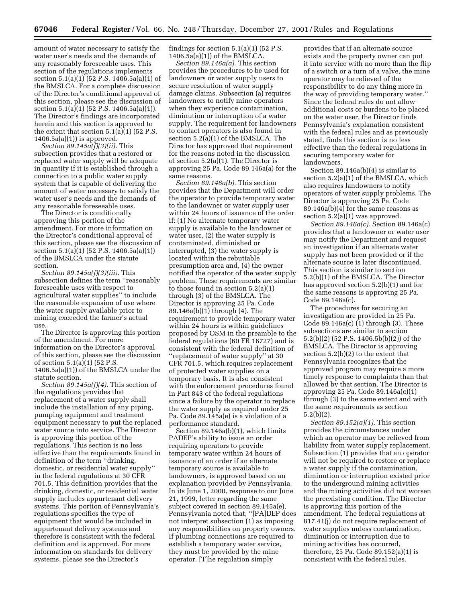amount of water necessary to satisfy the water user's needs and the demands of any reasonably foreseeable uses. This section of the regulations implements section  $5.1(a)(1)(52 P.S. 1406.5a(a)(1)$  of the BMSLCA. For a complete discussion of the Director's conditional approval of this section, please see the discussion of section  $5.1(a)(1)(52 P.S. 1406.5a(a)(1)).$ The Director's findings are incorporated herein and this section is approved to the extent that section 5.1(a)(1) (52 P.S. 1406.5a(a)(1)) is approved.

*Section 89.145a(f)(3)(ii).* This subsection provides that a restored or replaced water supply will be adequate in quantity if it is established through a connection to a public water supply system that is capable of delivering the amount of water necessary to satisfy the water user's needs and the demands of any reasonable foreseeable uses.

The Director is conditionally approving this portion of the amendment. For more information on the Director's conditional approval of this section, please see the discussion of section 5.1(a)(1) (52 P.S. 1406.5a(a)(1)) of the BMSLCA under the statute section.

*Section 89.145a(f)(3)(iii).* This subsection defines the term ''reasonably foreseeable uses with respect to agricultural water supplies'' to include the reasonable expansion of use where the water supply available prior to mining exceeded the farmer's actual use.

The Director is approving this portion of the amendment. For more information on the Director's approval of this section, please see the discussion of section 5.1(a)(1) (52 P.S. 1406.5a(a)(1)) of the BMSLCA under the statute section.

*Section 89.145a(f)(4).* This section of the regulations provides that replacement of a water supply shall include the installation of any piping, pumping equipment and treatment equipment necessary to put the replaced water source into service. The Director is approving this portion of the regulations. This section is no less effective than the requirements found in definition of the term ''drinking, domestic, or residential water supply'' in the federal regulations at 30 CFR 701.5. This definition provides that the drinking, domestic, or residential water supply includes appurtenant delivery systems. This portion of Pennsylvania's regulations specifies the type of equipment that would be included in appurtenant delivery systems and therefore is consistent with the federal definition and is approved. For more information on standards for delivery systems, please see the Director's

findings for section  $5.1(a)(1)$  (52 P.S.) 1406.5a(a)(1)) of the BMSLCA.

*Section 89.146a(a).* This section provides the procedures to be used for landowners or water supply users to secure resolution of water supply damage claims. Subsection (a) requires landowners to notify mine operators when they experience contamination, diminution or interruption of a water supply. The requirement for landowners to contact operators is also found in section 5.2(a)(1) of the BMSLCA. The Director has approved that requirement for the reasons noted in the discussion of section 5.2(a)(1). The Director is approving 25 Pa. Code 89.146a(a) for the same reasons.

*Section 89.146a(b).* This section provides that the Department will order the operator to provide temporary water to the landowner or water supply user within 24 hours of issuance of the order if: (1) No alternate temporary water supply is available to the landowner or water user, (2) the water supply is contaminated, diminished or interrupted, (3) the water supply is located within the rebuttable presumption area and, (4) the owner notified the operator of the water supply problem. These requirements are similar to those found in section 5.2(a)(1) through (3) of the BMSLCA. The Director is approving 25 Pa. Code 89.146a(b)(1) through (4). The requirement to provide temporary water within 24 hours is within guidelines proposed by OSM in the preamble to the federal regulations (60 FR 16727) and is consistent with the federal definition of ''replacement of water supply'' at 30 CFR 701.5, which requires replacement of protected water supplies on a temporary basis. It is also consistent with the enforcement procedures found in Part 843 of the federal regulations since a failure by the operator to replace the water supply as required under 25 Pa. Code 89.145a(e) is a violation of a performance standard.

Section 89.146a(b)(1), which limits PADEP's ability to issue an order requiring operators to provide temporary water within 24 hours of issuance of an order if an alternate temporary source is available to landowners, is approved based on an explanation provided by Pennsylvania. In its June 1, 2000, response to our June 21, 1999, letter regarding the same subject covered in section 89.145a(e), Pennsylvania noted that, ''[PA]DEP does not interpret subsection (1) as imposing any responsibilities on property owners. If plumbing connections are required to establish a temporary water service, they must be provided by the mine operator. [T]he regulation simply

provides that if an alternate source exists and the property owner can put it into service with no more than the flip of a switch or a turn of a valve, the mine operator may be relieved of the responsibility to do any thing more in the way of providing temporary water.'' Since the federal rules do not allow additional costs or burdens to be placed on the water user, the Director finds Pennsylvania's explanation consistent with the federal rules and as previously stated, finds this section is no less effective than the federal regulations in securing temporary water for landowners.

Section 89.146a(b)(4) is similar to section 5.2(a)(1) of the BMSLCA, which also requires landowners to notify operators of water supply problems. The Director is approving 25 Pa. Code 89.146a(b)(4) for the same reasons as section 5.2(a)(1) was approved.

*Section 89.146a(c).* Section 89.146a(c) provides that a landowner or water user may notify the Department and request an investigation if an alternate water supply has not been provided or if the alternate source is later discontinued. This section is similar to section 5.2(b)(1) of the BMSLCA. The Director has approved section 5.2(b)(1) and for the same reasons is approving 25 Pa. Code 89.146a(c).

The procedures for securing an investigation are provided in 25 Pa. Code  $89.146a(c)$  (1) through (3). These subsections are similar to section 5.2(b)(2) (52 P.S. 1406.5b(b)(2)) of the BMSLCA. The Director is approving section 5.2(b)(2) to the extent that Pennsylvania recognizes that the approved program may require a more timely response to complaints than that allowed by that section. The Director is approving 25 Pa. Code 89.146a(c)(1) through (3) to the same extent and with the same requirements as section 5.2(b)(2).

*Section 89.152(a)(1).* This section provides the circumstances under which an operator may be relieved from liability from water supply replacement. Subsection (1) provides that an operator will not be required to restore or replace a water supply if the contamination, diminution or interruption existed prior to the underground mining activities and the mining activities did not worsen the preexisting condition. The Director is approving this portion of the amendment. The federal regulations at 817.41(j) do not require replacement of water supplies unless contamination, diminution or interruption due to mining activities has occurred, therefore, 25 Pa. Code 89.152(a)(1) is consistent with the federal rules.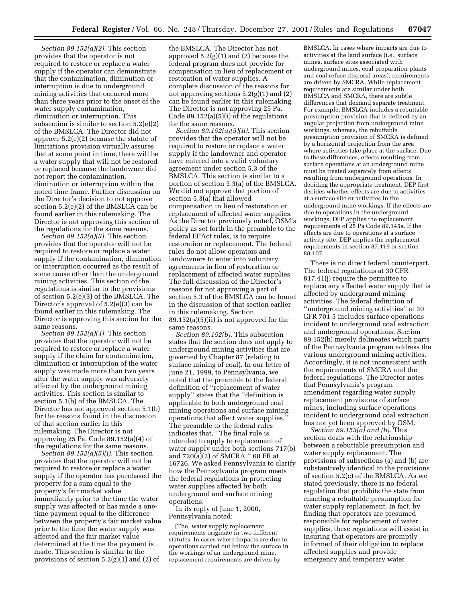*Section 89.152(a)(2).* This section provides that the operator is not required to restore or replace a water supply if the operator can demonstrate that the contamination, diminution or interruption is due to underground mining activities that occurred more than three years prior to the onset of the water supply contamination, diminution or interruption. This subsection is similar to section 5.2(e)(2) of the BMSLCA. The Director did not approve 5.2(e)(2) because the statute of limitations provision virtually assures that at some point in time, there will be a water supply that will not be restored or replaced because the landowner did not report the contamination, diminution or interruption within the noted time frame. Further discussion on the Director's decision to not approve section 5.2(e)(2) of the BMSLCA can be found earlier in this rulemaking. The Director is not approving this section of the regulations for the same reasons.

*Section 89.152(a)(3).* This section provides that the operator will not be required to restore or replace a water supply if the contamination, diminution or interruption occurred as the result of some cause other than the underground mining activities. This section of the regulations is similar to the provisions of section 5.2(e)(3) of the BMSLCA. The Director's approval of 5.2(e)(3) can be found earlier in this rulemaking. The Director is approving this section for the same reasons.

*Section 89.152(a)(4).* This section provides that the operator will not be required to restore or replace a water supply if the claim for contamination, diminution or interruption of the water supply was made more than two years after the water supply was adversely affected by the underground mining activities. This section is similar to section 5.1(b) of the BMSLCA. The Director has not approved section 5.1(b) for the reasons found in the discussion of that section earlier in this rulemaking. The Director is not approving 25 Pa. Code 89.152(a)(4) of the regulations for the same reasons.

*Section 89.152(a)(5)(i).* This section provides that the operator will not be required to restore or replace a water supply if the operator has purchased the property for a sum equal to the property's fair market value immediately prior to the time the water supply was affected or has made a onetime payment equal to the difference between the property's fair market value prior to the time the water supply was affected and the fair market value determined at the time the payment is made. This section is similar to the provisions of section 5.2(g)(1) and (2) of

the BMSLCA. The Director has not approved  $5.2(g)(1)$  and  $(2)$  because the federal program does not provide for compensation in lieu of replacement or restoration of water supplies. A complete discussion of the reasons for not approving sections  $5.2(g)(1)$  and  $(2)$ can be found earlier in this rulemaking. The Director is not approving 25 Pa. Code 89.152(a)(5)(i) of the regulations for the same reasons.

*Section 89.152(a)(5)(ii).* This section provides that the operator will not be required to restore or replace a water supply if the landowner and operator have entered into a valid voluntary agreement under section 5.3 of the BMSLCA. This section is similar to a portion of section 5.3(a) of the BMSLCA. We did not approve that portion of section 5.3(a) that allowed compensation in lieu of restoration or replacement of affected water supplies. As the Director previously noted, OSM's policy as set forth in the preamble to the federal EPAct rules, is to require restoration or replacement. The federal rules do not allow operators and landowners to enter into voluntary agreements in lieu of restoration or replacement of affected water supplies. The full discussion of the Director's reasons for not approving a part of section 5.3 of the BMSLCA can be found in the discussion of that section earlier in this rulemaking. Section 89.152(a)(5)(ii) is not approved for the same reasons.

*Section 89.152(b).* This subsection states that the section does not apply to underground mining activities that are governed by Chapter 87 (relating to surface mining of coal). In our letter of June 21, 1999, to Pennsylvania, we noted that the preamble to the federal definition of ''replacement of water supply'' states that the ''definition is applicable to both underground coal mining operations and surface mining operations that affect water supplies.'' The preamble to the federal rules indicates that, ''The final rule is intended to apply to replacement of water supply under both sections 717(b) and 720(a)(2) of SMCRA.'' 60 FR at 16726. We asked Pennsylvania to clarify how the Pennsylvania program meets the federal regulations in protecting water supplies affected by both underground and surface mining operations.

In its reply of June 1, 2000, Pennsylvania noted:

[The] water supply replacement requirements originate in two different statutes. In cases where impacts are due to operations carried out below the surface in the workings of an underground mine, replacement requirements are driven by

BMSLCA. In cases where impacts are due to activities at the land surface (i.e., surface mines, surface sites associated with underground mines, coal preparation plants and coal refuse disposal areas), requirements are driven by SMCRA. While replacement requirements are similar under both BMSLCA and SMCRA, there are subtle differences that demand separate treatment. For example, BMSLCA includes a rebuttable presumption provision that is defined by an angular projection from underground mine workings, whereas, the rebuttable presumption provision of SMCRA is defined by a horizontal projection from the area where activities take place at the surface. Due to these differences, effects resulting from surface operations at an underground mine must be treated separately from effects resulting from underground operations. In deciding the appropriate treatment, DEP first decides whether effects are due to activities at a surface site or activities in the underground mine workings. If the effects are due to operations in the underground workings, DEP applies the replacement requirements of 25 Pa Code 89.145a. If the effects are due to operations at a surface activity site, DEP applies the replacement requirements in section 87.119 or section 88.107.

There is no direct federal counterpart. The federal regulations at 30 CFR 817.41(j) require the permittee to replace any affected water supply that is affected by underground mining activities. The federal definition of ''underground mining activities'' at 30 CFR 701.5 includes surface operations incident to underground coal extraction and underground operations. Section 89.152(b) merely delineates which parts of the Pennsylvania program address the various underground mining activities. Accordingly, it is not inconsistent with the requirements of SMCRA and the federal regulations. The Director notes that Pennsylvania's program amendment regarding water supply replacement provisions of surface mines, including surface operations incident to underground coal extraction, has not yet been approved by OSM.

*Section 89.153(a) and (b).* This section deals with the relationship between a rebuttable presumption and water supply replacement. The provisions of subsections (a) and (b) are substantively identical to the provisions of section 5.2(c) of the BMSLCA. As we stated previously, there is no federal regulation that prohibits the state from enacting a rebuttable presumption for water supply replacement. In fact, by finding that operators are presumed responsible for replacement of water supplies, these regulations will assist in insuring that operators are promptly informed of their obligation to replace affected supplies and provide emergency and temporary water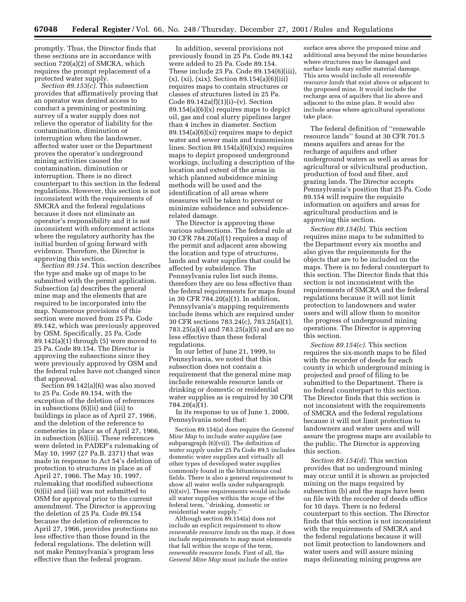promptly. Thus, the Director finds that these sections are in accordance with section 720(a)(2) of SMCRA, which requires the prompt replacement of a protected water supply.

*Section 89.153(c).* This subsection provides that affirmatively proving that an operator was denied access to conduct a premining or postmining survey of a water supply does not relieve the operator of liability for the contamination, diminution or interruption when the landowner, affected water user or the Department proves the operator's underground mining activities caused the contamination, diminution or interruption. There is no direct counterpart to this section in the federal regulations. However, this section is not inconsistent with the requirements of SMCRA and the federal regulations because it does not eliminate an operator's responsibility and it is not inconsistent with enforcement actions where the regulatory authority has the initial burden of going forward with evidence. Therefore, the Director is approving this section.

*Section 89.154.* This section describes the type and make up of maps to be submitted with the permit application. Subsection (a) describes the general mine map and the elements that are required to be incorporated into the map. Numerous provisions of this section were moved from 25 Pa. Code 89.142, which was previously approved by OSM. Specifically, 25 Pa. Code 89.142(a)(1) through (5) were moved to 25 Pa. Code 89.154. The Director is approving the subsections since they were previously approved by OSM and the federal rules have not changed since that approval.

Section 89.142(a)(6) was also moved to 25 Pa. Code 89.154, with the exception of the deletion of references in subsections (6)(ii) and (iii) to buildings in place as of April 27, 1966, and the deletion of the reference to cemeteries in place as of April 27, 1966, in subsection (6)(iii). These references were deleted in PADEP's rulemaking of May 10, 1997 (27 Pa.B. 2371) that was made in response to Act 54's deletion of protection to structures in place as of April 27, 1966. The May 10, 1997, rulemaking that modified subsections (6)(ii) and (iii) was not submitted to OSM for approval prior to the current amendment. The Director is approving the deletion of 25 Pa. Code 89.154 because the deletion of references to April 27, 1966, provides protections no less effective than those found in the federal regulations. The deletion will not make Pennsylvania's program less effective than the federal program.

In addition, several provisions not previously found in 25 Pa. Code 89.142 were added to 25 Pa. Code 89.154. These include 25 Pa. Code 89.154(6)(iii), (x), (xi), (xix). Section 89.154(a)(6)(iii) requires maps to contain structures or classes of structures listed in 25 Pa. Code  $89.142a(f)(1)(i)$ –(v). Section 89.154(a)(6)(x) requires maps to depict oil, gas and coal slurry pipelines larger than 4 inches in diameter. Section  $89.154(a)(6)(xi)$  requires maps to depict water and sewer main and transmission lines. Section 89.154(a)(6)(xix) requires maps to depict proposed underground workings, including a description of the location and extent of the areas in which planned subsidence mining methods will be used and the identification of all areas where measures will be taken to prevent or minimize subsidence and subsidencerelated damage.

The Director is approving these various subsections. The federal rule at 30 CFR 784.20(a)(1) requires a map of the permit and adjacent area showing the location and type of structures, lands and water supplies that could be affected by subsidence. The Pennsylvania rules list such items, therefore they are no less effective than the federal requirements for maps found in 30 CFR 784.20(a)(1). In addition, Pennsylvania's mapping requirements include items which are required under 30 CFR sections 783.24(c), 783.25(a)(1), 783.25(a)(4) and 783.25(a)(5) and are no less effective than these federal regulations.

In our letter of June 21, 1999, to Pennsylvania, we noted that this subsection does not contain a requirement that the general mine map include renewable resource lands or drinking or domestic or residential water supplies as is required by 30 CFR 784.20(a)(1).

In its response to us of June 1, 2000, Pennsylvania noted that:

Section 89.154(a) does require the *General Mine Map* to include *water supplies* (see subparagraph (6)(vii)). The definition of *water supply* under 25 Pa Code 89.5 includes domestic water supplies and virtually all other types of developed water supplies commonly found in the bituminous coal fields. There is also a general requirement to show all water wells under subparagraph (6)(xiv). These requirements would include all water supplies within the scope of the federal term, ''drinking, domestic or residential water supply.''

Although section 89.154(a) does not include an explicit requirement to show *renewable resource lands* on the map, it does include requirements to map most elements that fall within the scope of the term, *renewable resource lands.* First of all, the *General Mine Map* must include the entire

surface area above the proposed mine and additional area beyond the mine boundaries where structures may be damaged and surface lands may suffer material damage. This area would include all *renewable resource lands* that exist above or adjacent to the proposed mine. It would include the recharge area of aquifers that lie above and adjacent to the mine plan. It would also include areas where agricultural operations take place.

The federal definition of ''renewable resource lands'' found at 30 CFR 701.5 means aquifers and areas for the recharge of aquifers and other underground waters as well as areas for agricultural or silvicultural production, production of food and fiber, and grazing lands. The Director accepts Pennsylvania's position that 25 Pa. Code 89.154 will require the requisite information on aquifers and areas for agricultural production and is approving this section.

*Section 89.154(b).* This section requires mine maps to be submitted to the Department every six months and also gives the requirements for the objects that are to be included on the maps. There is no federal counterpart to this section. The Director finds that this section is not inconsistent with the requirements of SMCRA and the federal regulations because it will not limit protection to landowners and water users and will allow them to monitor the progress of underground mining operations. The Director is approving this section.

*Section 89.154(c).* This section requires the six-month maps to be filed with the recorder of deeds for each county in which underground mining is projected and proof of filing to be submitted to the Department. There is no federal counterpart to this section. The Director finds that this section is not inconsistent with the requirements of SMCRA and the federal regulations because it will not limit protection to landowners and water users and will assure the progress maps are available to the public. The Director is approving this section.

*Section 89.154(d).* This section provides that no underground mining may occur until it is shown as projected mining on the maps required by subsection (b) and the maps have been on file with the recorder of deeds office for 10 days. There is no federal counterpart to this section. The Director finds that this section is not inconsistent with the requirements of SMCRA and the federal regulations because it will not limit protection to landowners and water users and will assure mining maps delineating mining progress are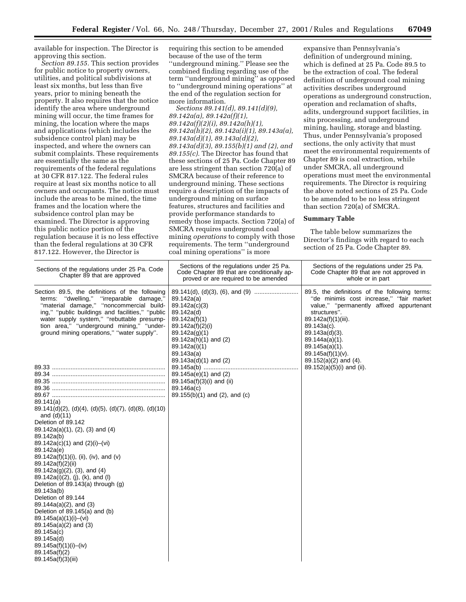available for inspection. The Director is approving this section.

*Section 89.155.* This section provides for public notice to property owners, utilities, and political subdivisions at least six months, but less than five years, prior to mining beneath the property. It also requires that the notice identify the area where underground mining will occur, the time frames for mining, the location where the maps and applications (which includes the subsidence control plan) may be inspected, and where the owners can submit complaints. These requirements are essentially the same as the requirements of the federal regulations at 30 CFR 817.122. The federal rules require at least six months notice to all owners and occupants. The notice must include the areas to be mined, the time frames and the location where the subsidence control plan may be examined. The Director is approving this public notice portion of the regulation because it is no less effective than the federal regulations at 30 CFR 817.122. However, the Director is

requiring this section to be amended because of the use of the term ''underground mining.'' Please see the combined finding regarding use of the term ''underground mining'' as opposed to ''underground mining operations'' at the end of the regulation section for more information.

*Sections 89.141(d), 89.141(d)(9), 89.142a(a), 89.142a(f)(1), 89.142a(f)(2)(i), 89.142a(h)(1), 89.142a(h)(2), 89.142a(i)(1), 89.143a(a), 89.143a(d)(1), 89.143a(d)(2), 89.143a(d)(3), 89.155(b)(1) and (2), and 89.155(c).* The Director has found that these sections of 25 Pa. Code Chapter 89 are less stringent than section 720(a) of SMCRA because of their reference to underground mining. These sections require a description of the impacts of underground mining on surface features, structures and facilities and provide performance standards to remedy those impacts. Section 720(a) of SMCRA requires underground coal mining *operations* to comply with those requirements. The term ''underground coal mining operations'' is more

expansive than Pennsylvania's definition of underground mining, which is defined at 25 Pa. Code 89.5 to be the extraction of coal. The federal definition of underground coal mining activities describes underground operations as underground construction, operation and reclamation of shafts, adits, underground support facilities, in situ processing, and underground mining, hauling, storage and blasting. Thus, under Pennsylvania's proposed sections, the only activity that must meet the environmental requirements of Chapter 89 is coal extraction, while under SMCRA, all underground operations must meet the environmental requirements. The Director is requiring the above noted sections of 25 Pa. Code to be amended to be no less stringent than section 720(a) of SMCRA.

#### **Summary Table**

The table below summarizes the Director's findings with regard to each section of 25 Pa. Code Chapter 89.

| Sections of the regulations under 25 Pa. Code<br>Chapter 89 that are approved                                                                                                                                                                                                                                                       | Sections of the regulations under 25 Pa.<br>Code Chapter 89 that are conditionally ap-<br>proved or are required to be amended                                                     | Sections of the regulations under 25 Pa.<br>Code Chapter 89 that are not approved in<br>whole or in part                                                                                                                                                                                                      |  |  |  |
|-------------------------------------------------------------------------------------------------------------------------------------------------------------------------------------------------------------------------------------------------------------------------------------------------------------------------------------|------------------------------------------------------------------------------------------------------------------------------------------------------------------------------------|---------------------------------------------------------------------------------------------------------------------------------------------------------------------------------------------------------------------------------------------------------------------------------------------------------------|--|--|--|
| Section 89.5, the definitions of the following<br>terms: "dwelling," "irreparable damage,"<br>"material damage," "noncommercial build-<br>ing," "public buildings and facilities," "public<br>water supply system," "rebuttable presump-<br>tion area," "underground mining," "under-<br>ground mining operations," "water supply". | 89.142a(a)<br>89.142a(c)(3)<br>89.142a(d)<br>89.142a(f)(1)<br>89.142a(f)(2)(i)<br>89.142a(g)(1)<br>89.142a(h)(1) and (2)<br>89.142a(i)(1)<br>89.143a(a)<br>$89.143a(d)(1)$ and (2) | 89.5, the definitions of the following terms:<br>"de minimis cost increase," "fair market<br>value," "permanently affixed appurtenant<br>structures".<br>89.142a(f)(1)(iii).<br>89.143a(c).<br>$89.143a(d)(3)$ .<br>89.144a(a)(1).<br>$89.145a(a)(1)$ .<br>$89.145a(f)(1)(v)$ .<br>$89.152(a)(2)$ and $(4)$ . |  |  |  |
|                                                                                                                                                                                                                                                                                                                                     | 89.145a(e)(1) and (2)                                                                                                                                                              | 89.152(a)(5)(i) and (ii).                                                                                                                                                                                                                                                                                     |  |  |  |
|                                                                                                                                                                                                                                                                                                                                     | 89.145a(f)(3)(i) and (ii)                                                                                                                                                          |                                                                                                                                                                                                                                                                                                               |  |  |  |
|                                                                                                                                                                                                                                                                                                                                     | 89.146a(c)                                                                                                                                                                         |                                                                                                                                                                                                                                                                                                               |  |  |  |
|                                                                                                                                                                                                                                                                                                                                     | 89.155(b)(1) and (2), and (c)                                                                                                                                                      |                                                                                                                                                                                                                                                                                                               |  |  |  |
| 89.141(a)<br>$89.141(d)(2)$ , (d)(4), (d)(5), (d)(7), (d)(8), (d)(10)<br>and $(d)(11)$                                                                                                                                                                                                                                              |                                                                                                                                                                                    |                                                                                                                                                                                                                                                                                                               |  |  |  |
| Deletion of 89.142                                                                                                                                                                                                                                                                                                                  |                                                                                                                                                                                    |                                                                                                                                                                                                                                                                                                               |  |  |  |
| $89.142a(a)(1), (2), (3)$ and $(4)$                                                                                                                                                                                                                                                                                                 |                                                                                                                                                                                    |                                                                                                                                                                                                                                                                                                               |  |  |  |
| 89.142a(b)<br>$89.142a(c)(1)$ and $(2)(i)-(vi)$                                                                                                                                                                                                                                                                                     |                                                                                                                                                                                    |                                                                                                                                                                                                                                                                                                               |  |  |  |
| 89.142a(e)                                                                                                                                                                                                                                                                                                                          |                                                                                                                                                                                    |                                                                                                                                                                                                                                                                                                               |  |  |  |
| 89.142a(f)(1)(i), (ii), (iv), and (v)                                                                                                                                                                                                                                                                                               |                                                                                                                                                                                    |                                                                                                                                                                                                                                                                                                               |  |  |  |
| 89.142a(f)(2)(ii)<br>$89.142a(g)(2)$ , (3), and (4)                                                                                                                                                                                                                                                                                 |                                                                                                                                                                                    |                                                                                                                                                                                                                                                                                                               |  |  |  |
| 89.142a(i)(2), (j), (k), and (l)                                                                                                                                                                                                                                                                                                    |                                                                                                                                                                                    |                                                                                                                                                                                                                                                                                                               |  |  |  |
| Deletion of 89.143(a) through $(g)$                                                                                                                                                                                                                                                                                                 |                                                                                                                                                                                    |                                                                                                                                                                                                                                                                                                               |  |  |  |
| 89.143a(b)<br>Deletion of 89.144                                                                                                                                                                                                                                                                                                    |                                                                                                                                                                                    |                                                                                                                                                                                                                                                                                                               |  |  |  |
| $89.144a(a)(2)$ , and (3)                                                                                                                                                                                                                                                                                                           |                                                                                                                                                                                    |                                                                                                                                                                                                                                                                                                               |  |  |  |
| Deletion of 89.145(a) and (b)                                                                                                                                                                                                                                                                                                       |                                                                                                                                                                                    |                                                                                                                                                                                                                                                                                                               |  |  |  |
| $89.145a(a)(1)(i)$ –(vi)<br>$89.145a(a)(2)$ and (3)                                                                                                                                                                                                                                                                                 |                                                                                                                                                                                    |                                                                                                                                                                                                                                                                                                               |  |  |  |
| 89.145a(c)                                                                                                                                                                                                                                                                                                                          |                                                                                                                                                                                    |                                                                                                                                                                                                                                                                                                               |  |  |  |
| 89.145a(d)                                                                                                                                                                                                                                                                                                                          |                                                                                                                                                                                    |                                                                                                                                                                                                                                                                                                               |  |  |  |
| $89.145a(f)(1)(i)$ –(iv)                                                                                                                                                                                                                                                                                                            |                                                                                                                                                                                    |                                                                                                                                                                                                                                                                                                               |  |  |  |
| 89.145a(f)(2)<br>89.145a(f)(3)(iii)                                                                                                                                                                                                                                                                                                 |                                                                                                                                                                                    |                                                                                                                                                                                                                                                                                                               |  |  |  |
|                                                                                                                                                                                                                                                                                                                                     |                                                                                                                                                                                    |                                                                                                                                                                                                                                                                                                               |  |  |  |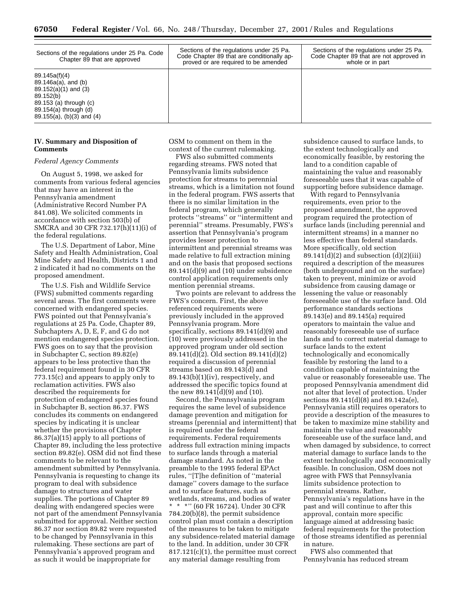| Sections of the regulations under 25 Pa. Code<br>Chapter 89 that are approved                                                                                  | Sections of the regulations under 25 Pa.<br>Code Chapter 89 that are conditionally ap-<br>proved or are required to be amended | Sections of the regulations under 25 Pa.<br>Code Chapter 89 that are not approved in<br>whole or in part |  |  |
|----------------------------------------------------------------------------------------------------------------------------------------------------------------|--------------------------------------------------------------------------------------------------------------------------------|----------------------------------------------------------------------------------------------------------|--|--|
| 89.145a(f)(4)<br>89.146a(a), and (b)<br>$89.152(a)(1)$ and (3)<br>89.152(b)<br>89.153 (a) through (c)<br>89.154(a) through (d)<br>$89.155(a)$ , (b)(3) and (4) |                                                                                                                                |                                                                                                          |  |  |

# **IV. Summary and Disposition of Comments**

# *Federal Agency Comments*

On August 5, 1998, we asked for comments from various federal agencies that may have an interest in the Pennsylvania amendment (Administrative Record Number PA 841.08). We solicited comments in accordance with section 503(b) of SMCRA and 30 CFR 732.17(h)(11)(i) of the federal regulations.

The U.S. Department of Labor, Mine Safety and Health Administration, Coal Mine Safety and Health, Districts 1 and 2 indicated it had no comments on the proposed amendment.

The U.S. Fish and Wildlife Service (FWS) submitted comments regarding several areas. The first comments were concerned with endangered species. FWS pointed out that Pennsylvania's regulations at 25 Pa. Code, Chapter 89, Subchapters A, D, E, F, and G do not mention endangered species protection. FWS goes on to say that the provision in Subchapter C, section 89.82(e) appears to be less protective than the federal requirement found in 30 CFR 773.15(c) and appears to apply only to reclamation activities. FWS also described the requirements for protection of endangered species found in Subchapter B, section 86.37. FWS concludes its comments on endangered species by indicating it is unclear whether the provisions of Chapter 86.37(a)(15) apply to all portions of Chapter 89, including the less protective section 89.82(e). OSM did not find these comments to be relevant to the amendment submitted by Pennsylvania. Pennsylvania is requesting to change its program to deal with subsidence damage to structures and water supplies. The portions of Chapter 89 dealing with endangered species were not part of the amendment Pennsylvania submitted for approval. Neither section 86.37 nor section 89.82 were requested to be changed by Pennsylvania in this rulemaking. These sections are part of Pennsylvania's approved program and as such it would be inappropriate for

OSM to comment on them in the context of the current rulemaking.

FWS also submitted comments regarding streams. FWS noted that Pennsylvania limits subsidence protection for streams to perennial streams, which is a limitation not found in the federal program. FWS asserts that there is no similar limitation in the federal program, which generally protects ''streams'' or ''intermittent and perennial'' streams. Presumably, FWS's assertion that Pennsylvania's program provides lesser protection to intermittent and perennial streams was made relative to full extraction mining and on the basis that proposed sections  $89.141(d)(9)$  and  $(10)$  under subsidence control application requirements only mention perennial streams.

Two points are relevant to address the FWS's concern. First, the above referenced requirements were previously included in the approved Pennsylvania program. More specifically, sections 89.141(d)(9) and (10) were previously addressed in the approved program under old section 89.141(d)(2). Old section 89.141(d)(2) required a discussion of perennial streams based on 89.143(d) and  $89.143(b)(1)(iv)$ , respectively, and addressed the specific topics found at the new 89.141(d)(9) and (10).

Second, the Pennsylvania program requires the same level of subsidence damage prevention and mitigation for streams (perennial and intermittent) that is required under the federal requirements. Federal requirements address full extraction mining impacts to surface lands through a material damage standard. As noted in the preamble to the 1995 federal EPAct rules, ''[T]he definition of ''material damage'' covers damage to the surface and to surface features, such as wetlands, streams, and bodies of water \*\*\*'' (60 FR 16724). Under 30 CFR 784.20(b)(8), the permit subsidence control plan must contain a description of the measures to be taken to mitigate any subsidence-related material damage to the land. In addition, under 30 CFR 817.121(c)(1), the permittee must correct any material damage resulting from

subsidence caused to surface lands, to the extent technologically and economically feasible, by restoring the land to a condition capable of maintaining the value and reasonably foreseeable uses that it was capable of supporting before subsidence damage.

With regard to Pennsylvania requirements, even prior to the proposed amendment, the approved program required the protection of surface lands (including perennial and intermittent streams) in a manner no less effective than federal standards. More specifically, old section  $89.141\text{ (d)}(2)$  and subsection (d)(2)(iii) required a description of the measures (both underground and on the surface) taken to prevent, minimize or avoid subsidence from causing damage or lessening the value or reasonably foreseeable use of the surface land. Old performance standards sections 89.143(e) and 89.145(a) required operators to maintain the value and reasonably foreseeable use of surface lands and to correct material damage to surface lands to the extent technologically and economically feasible by restoring the land to a condition capable of maintaining the value or reasonably foreseeable use. The proposed Pennsylvania amendment did not alter that level of protection. Under sections 89.141(d)(8) and 89.142a(e), Pennsylvania still requires operators to provide a description of the measures to be taken to maximize mine stability and maintain the value and reasonably foreseeable use of the surface land, and when damaged by subsidence, to correct material damage to surface lands to the extent technologically and economically feasible. In conclusion, OSM does not agree with FWS that Pennsylvania limits subsidence protection to perennial streams. Rather, Pennsylvania's regulations have in the past and will continue to after this approval, contain more specific language aimed at addressing basic federal requirements for the protection of those streams identified as perennial in nature.

FWS also commented that Pennsylvania has reduced stream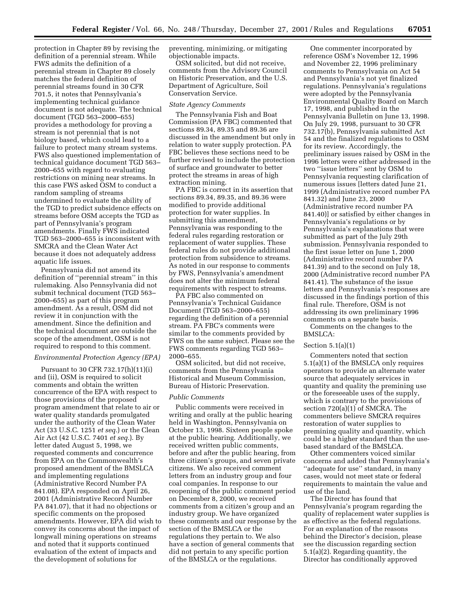protection in Chapter 89 by revising the definition of a perennial stream. While FWS admits the definition of a perennial stream in Chapter 89 closely matches the federal definition of perennial streams found in 30 CFR 701.5, it notes that Pennsylvania's implementing technical guidance document is not adequate. The technical document (TGD 563–2000–655) provides a methodology for proving a stream is not perennial that is not biology based, which could lead to a failure to protect many stream systems. FWS also questioned implementation of technical guidance document TGD 563– 2000–655 with regard to evaluating restrictions on mining near streams. In this case FWS asked OSM to conduct a random sampling of streams undermined to evaluate the ability of the TGD to predict subsidence effects on streams before OSM accepts the TGD as part of Pennsylvania's program amendments. Finally FWS indicated TGD 563–2000–655 is inconsistent with SMCRA and the Clean Water Act because it does not adequately address aquatic life issues.

Pennsylvania did not amend its definition of ''perennial stream'' in this rulemaking. Also Pennsylvania did not submit technical document (TGD 563– 2000–655) as part of this program amendment. As a result, OSM did not review it in conjunction with the amendment. Since the definition and the technical document are outside the scope of the amendment, OSM is not required to respond to this comment.

# *Environmental Protection Agency (EPA)*

Pursuant to 30 CFR 732.17(h)(11)(i) and (ii), OSM is required to solicit comments and obtain the written concurrence of the EPA with respect to those provisions of the proposed program amendment that relate to air or water quality standards promulgated under the authority of the Clean Water Act (33 U.S.C. 1251 *et seq.*) or the Clean Air Act (42 U.S.C. 7401 *et seq.*). By letter dated August 5, 1998, we requested comments and concurrence from EPA on the Commonwealth's proposed amendment of the BMSLCA and implementing regulations (Administrative Record Number PA 841.08). EPA responded on April 26, 2001 (Administrative Record Number PA 841.07), that it had no objections or specific comments on the proposed amendments. However, EPA did wish to convey its concerns about the impact of longwall mining operations on streams and noted that it supports continued evaluation of the extent of impacts and the development of solutions for

preventing, minimizing, or mitigating objectionable impacts.

OSM solicited, but did not receive, comments from the Advisory Council on Historic Preservation, and the U.S. Department of Agriculture, Soil Conservation Service.

# *State Agency Comments*

The Pennsylvania Fish and Boat Commission (PA FBC) commented that sections 89.34, 89.35 and 89.36 are discussed in the amendment but only in relation to water supply protection. PA FBC believes these sections need to be further revised to include the protection of surface and groundwater to better protect the streams in areas of high extraction mining.

PA FBC is correct in its assertion that sections 89.34, 89.35, and 89.36 were modified to provide additional protection for water supplies. In submitting this amendment, Pennsylvania was responding to the federal rules regarding restoration or replacement of water supplies. These federal rules do not provide additional protection from subsidence to streams. As noted in our response to comments by FWS, Pennsylvania's amendment does not alter the minimum federal requirements with respect to streams.

PA FBC also commented on Pennsylvania's Technical Guidance Document (TGD 563–2000–655) regarding the definition of a perennial stream. PA FBC's comments were similar to the comments provided by FWS on the same subject. Please see the FWS comments regarding TGD 563– 2000–655.

OSM solicited, but did not receive, comments from the Pennsylvania Historical and Museum Commission, Bureau of Historic Preservation.

# *Public Comments*

Public comments were received in writing and orally at the public hearing held in Washington, Pennsylvania on October 13, 1998. Sixteen people spoke at the public hearing. Additionally, we received written public comments, before and after the public hearing, from three citizen's groups, and seven private citizens. We also received comment letters from an industry group and four coal companies. In response to our reopening of the public comment period on December 8, 2000, we received comments from a citizen's group and an industry group. We have organized these comments and our response by the section of the BMSLCA or the regulations they pertain to. We also have a section of general comments that did not pertain to any specific portion of the BMSLCA or the regulations.

One commenter incorporated by reference OSM's November 12, 1996 and November 22, 1996 preliminary comments to Pennsylvania on Act 54 and Pennsylvania's not yet finalized regulations. Pennsylvania's regulations were adopted by the Pennsylvania Environmental Quality Board on March 17, 1998, and published in the Pennsylvania Bulletin on June 13, 1998. On July 29, 1998, pursuant to 30 CFR 732.17(b), Pennsylvania submitted Act 54 and the finalized regulations to OSM for its review. Accordingly, the preliminary issues raised by OSM in the 1996 letters were either addressed in the two ''issue letters'' sent by OSM to Pennsylvania requesting clarification of numerous issues [letters dated June 21, 1999 (Administrative record number PA 841.32) and June 23, 2000 (Administrative record number PA 841.40)] or satisfied by either changes in Pennsylvania's regulations or by Pennsylvania's explanations that were submitted as part of the July 29th submission. Pennsylvania responded to the first issue letter on June 1, 2000 (Administrative record number PA 841.39) and to the second on July 18, 2000 (Administrative record number PA 841.41). The substance of the issue letters and Pennsylvania's responses are discussed in the findings portion of this final rule. Therefore, OSM is not addressing its own preliminary 1996 comments on a separate basis. Comments on the changes to the BMSLCA:

#### Section 5.1(a)(1)

Commenters noted that section 5.1(a)(1) of the BMSLCA only requires operators to provide an alternate water source that adequately services in quantity and quality the premining use or the foreseeable uses of the supply, which is contrary to the provisions of section 720(a)(1) of SMCRA. The commenters believe SMCRA requires restoration of water supplies to premining quality and quantity, which could be a higher standard than the usebased standard of the BMSLCA.

Other commenters voiced similar concerns and added that Pennsylvania's ''adequate for use'' standard, in many cases, would not meet state or federal requirements to maintain the value and use of the land.

The Director has found that Pennsylvania's program regarding the quality of replacement water supplies is as effective as the federal regulations. For an explanation of the reasons behind the Director's decision, please see the discussion regarding section 5.1(a)(2). Regarding quantity, the Director has conditionally approved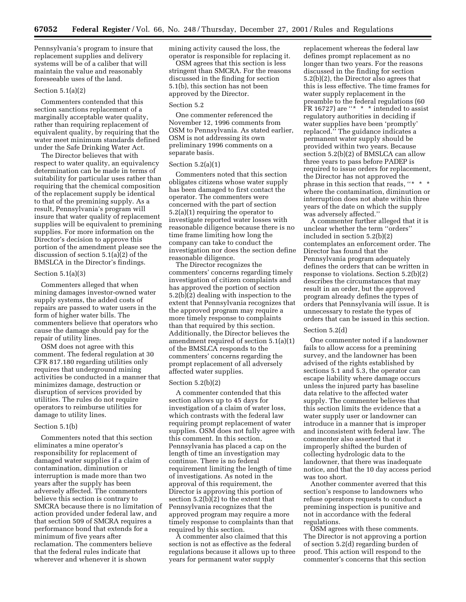Pennsylvania's program to insure that replacement supplies and delivery systems will be of a caliber that will maintain the value and reasonably foreseeable uses of the land.

# Section 5.1(a)(2)

Commenters contended that this section sanctions replacement of a marginally acceptable water quality, rather than requiring replacement of equivalent quality, by requiring that the water meet minimum standards defined under the Safe Drinking Water Act.

The Director believes that with respect to water quality, an equivalency determination can be made in terms of suitability for particular uses rather than requiring that the chemical composition of the replacement supply be identical to that of the premining supply. As a result, Pennsylvania's program will insure that water quality of replacement supplies will be equivalent to premining supplies. For more information on the Director's decision to approve this portion of the amendment please see the discussion of section 5.1(a)(2) of the BMSLCA in the Director's findings.

#### Section 5.1(a)(3)

Commenters alleged that when mining damages investor-owned water supply systems, the added costs of repairs are passed to water users in the form of higher water bills. The commenters believe that operators who cause the damage should pay for the repair of utility lines.

OSM does not agree with this comment. The federal regulation at 30 CFR 817.180 regarding utilities only requires that underground mining activities be conducted in a manner that minimizes damage, destruction or disruption of services provided by utilities. The rules do not require operators to reimburse utilities for damage to utility lines.

# Section 5.1(b)

Commenters noted that this section eliminates a mine operator's responsibility for replacement of damaged water supplies if a claim of contamination, diminution or interruption is made more than two years after the supply has been adversely affected. The commenters believe this section is contrary to SMCRA because there is no limitation of action provided under federal law, and that section 509 of SMCRA requires a performance bond that extends for a minimum of five years after reclamation. The commenters believe that the federal rules indicate that wherever and whenever it is shown

mining activity caused the loss, the operator is responsible for replacing it.

OSM agrees that this section is less stringent than SMCRA. For the reasons discussed in the finding for section 5.1(b), this section has not been approved by the Director.

# Section 5.2

One commenter referenced the November 12, 1996 comments from OSM to Pennsylvania. As stated earlier, OSM is not addressing its own preliminary 1996 comments on a separate basis.

#### Section 5.2(a)(1)

Commenters noted that this section obligates citizens whose water supply has been damaged to first contact the operator. The commenters were concerned with the part of section 5.2(a)(1) requiring the operator to investigate reported water losses with reasonable diligence because there is no time frame limiting how long the company can take to conduct the investigation nor does the section define reasonable diligence.

The Director recognizes the commenters' concerns regarding timely investigation of citizen complaints and has approved the portion of section 5.2(b)(2) dealing with inspection to the extent that Pennsylvania recognizes that the approved program may require a more timely response to complaints than that required by this section. Additionally, the Director believes the amendment required of section 5.1(a)(1) of the BMSLCA responds to the commenters' concerns regarding the prompt replacement of all adversely affected water supplies.

#### Section 5.2(b)(2)

A commenter contended that this section allows up to 45 days for investigation of a claim of water loss, which contrasts with the federal law requiring prompt replacement of water supplies. OSM does not fully agree with this comment. In this section, Pennsylvania has placed a cap on the length of time an investigation may continue. There is no federal requirement limiting the length of time of investigations. As noted in the approval of this requirement, the Director is approving this portion of section 5.2(b)(2) to the extent that Pennsylvania recognizes that the approved program may require a more timely response to complaints than that required by this section.

A commenter also claimed that this section is not as effective as the federal regulations because it allows up to three years for permanent water supply

replacement whereas the federal law defines prompt replacement as no longer than two years. For the reasons discussed in the finding for section 5.2(b)(2), the Director also agrees that this is less effective. The time frames for water supply replacement in the preamble to the federal regulations (60  $FR 16727$ ) are "\* \* \* intended to assist regulatory authorities in deciding if water supplies have been 'promptly' replaced.'' The guidance indicates a permanent water supply should be provided within two years. Because section 5.2(b)(2) of BMSLCA can allow three years to pass before PADEP is required to issue orders for replacement, the Director has not approved the phrase in this section that reads, ''\*  $\,$  \* where the contamination, diminution or interruption does not abate within three years of the date on which the supply was adversely affected.''

A commenter further alleged that it is unclear whether the term ''orders'' included in section 5.2(b)(2) contemplates an enforcement order. The Director has found that the Pennsylvania program adequately defines the orders that can be written in response to violations. Section 5.2(b)(2) describes the circumstances that may result in an order, but the approved program already defines the types of orders that Pennsylvania will issue. It is unnecessary to restate the types of orders that can be issued in this section.

#### Section 5.2(d)

One commenter noted if a landowner fails to allow access for a premining survey, and the landowner has been advised of the rights established by sections 5.1 and 5.3, the operator can escape liability where damage occurs unless the injured party has baseline data relative to the affected water supply. The commenter believes that this section limits the evidence that a water supply user or landowner can introduce in a manner that is improper and inconsistent with federal law. The commenter also asserted that it improperly shifted the burden of collecting hydrologic data to the landowner, that there was inadequate notice, and that the 10 day access period was too short.

Another commenter averred that this section's response to landowners who refuse operators requests to conduct a premining inspection is punitive and not in accordance with the federal regulations.

OSM agrees with these comments. The Director is not approving a portion of section 5.2(d) regarding burden of proof. This action will respond to the commenter's concerns that this section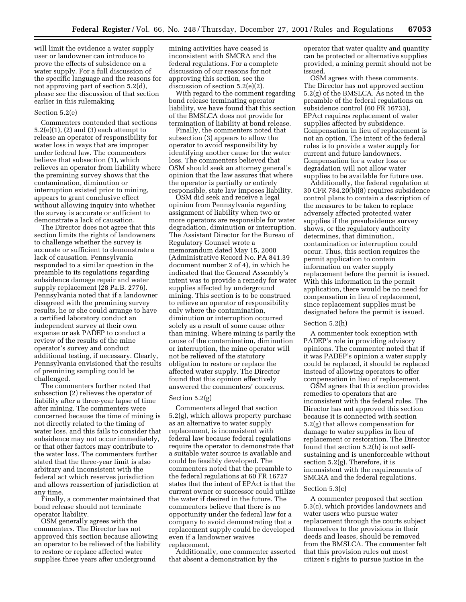will limit the evidence a water supply user or landowner can introduce to prove the effects of subsidence on a water supply. For a full discussion of the specific language and the reasons for not approving part of section 5.2(d), please see the discussion of that section earlier in this rulemaking.

# Section 5.2(e)

Commenters contended that sections  $5.2(e)(1)$ ,  $(2)$  and  $(3)$  each attempt to release an operator of responsibility for water loss in ways that are improper under federal law. The commenters believe that subsection (1), which relieves an operator from liability where the premining survey shows that the contamination, diminution or interruption existed prior to mining, appears to grant conclusive effect without allowing inquiry into whether the survey is accurate or sufficient to demonstrate a lack of causation.

The Director does not agree that this section limits the rights of landowners to challenge whether the survey is accurate or sufficient to demonstrate a lack of causation. Pennsylvania responded to a similar question in the preamble to its regulations regarding subsidence damage repair and water supply replacement (28 Pa.B. 2776). Pennsylvania noted that if a landowner disagreed with the premining survey results, he or she could arrange to have a certified laboratory conduct an independent survey at their own expense or ask PADEP to conduct a review of the results of the mine operator's survey and conduct additional testing, if necessary. Clearly, Pennsylvania envisioned that the results of premining sampling could be challenged.

The commenters further noted that subsection (2) relieves the operator of liability after a three-year lapse of time after mining. The commenters were concerned because the time of mining is not directly related to the timing of water loss, and this fails to consider that subsidence may not occur immediately, or that other factors may contribute to the water loss. The commenters further stated that the three-year limit is also arbitrary and inconsistent with the federal act which reserves jurisdiction and allows reassertion of jurisdiction at any time.

Finally, a commenter maintained that bond release should not terminate operator liability.

OSM generally agrees with the commenters. The Director has not approved this section because allowing an operator to be relieved of the liability to restore or replace affected water supplies three years after underground

mining activities have ceased is inconsistent with SMCRA and the federal regulations. For a complete discussion of our reasons for not approving this section, see the discussion of section 5.2(e)(2).

With regard to the comment regarding bond release terminating operator liability, we have found that this section of the BMSLCA does not provide for termination of liability at bond release.

Finally, the commenters noted that subsection (3) appears to allow the operator to avoid responsibility by identifying another cause for the water loss. The commenters believed that OSM should seek an attorney general's opinion that the law assures that where the operator is partially or entirely responsible, state law imposes liability.

OSM did seek and receive a legal opinion from Pennsylvania regarding assignment of liability when two or more operators are responsible for water degradation, diminution or interruption. The Assistant Director for the Bureau of Regulatory Counsel wrote a memorandum dated May 15, 2000 (Administrative Record No. PA 841.39 document number 2 of 4), in which he indicated that the General Assembly's intent was to provide a remedy for water supplies affected by underground mining. This section is to be construed to relieve an operator of responsibility only where the contamination, diminution or interruption occurred solely as a result of some cause other than mining. Where mining is partly the cause of the contamination, diminution or interruption, the mine operator will not be relieved of the statutory obligation to restore or replace the affected water supply. The Director found that this opinion effectively answered the commenters' concerns.

#### Section 5.2(g)

Commenters alleged that section 5.2(g), which allows property purchase as an alternative to water supply replacement, is inconsistent with federal law because federal regulations require the operator to demonstrate that a suitable water source is available and could be feasibly developed. The commenters noted that the preamble to the federal regulations at 60 FR 16727 states that the intent of EPAct is that the current owner or successor could utilize the water if desired in the future. The commenters believe that there is no opportunity under the federal law for a company to avoid demonstrating that a replacement supply could be developed even if a landowner waives replacement.

Additionally, one commenter asserted that absent a demonstration by the

operator that water quality and quantity can be protected or alternative supplies provided, a mining permit should not be issued.

OSM agrees with these comments. The Director has not approved section 5.2(g) of the BMSLCA. As noted in the preamble of the federal regulations on subsidence control (60 FR 16733), EPAct requires replacement of water supplies affected by subsidence. Compensation in lieu of replacement is not an option. The intent of the federal rules is to provide a water supply for current and future landowners. Compensation for a water loss or degradation will not allow water supplies to be available for future use.

Additionally, the federal regulation at 30 CFR 784.20(b)(8) requires subsidence control plans to contain a description of the measures to be taken to replace adversely affected protected water supplies if the presubsidence survey shows, or the regulatory authority determines, that diminution, contamination or interruption could occur. Thus, this section requires the permit application to contain information on water supply replacement before the permit is issued. With this information in the permit application, there would be no need for compensation in lieu of replacement, since replacement supplies must be designated before the permit is issued.

## Section 5.2(h)

A commenter took exception with PADEP's role in providing advisory opinions. The commenter noted that if it was PADEP's opinion a water supply could be replaced, it should be replaced instead of allowing operators to offer compensation in lieu of replacement.

OSM agrees that this section provides remedies to operators that are inconsistent with the federal rules. The Director has not approved this section because it is connected with section 5.2(g) that allows compensation for damage to water supplies in lieu of replacement or restoration. The Director found that section 5.2(h) is not selfsustaining and is unenforceable without section 5.2(g). Therefore, it is inconsistent with the requirements of SMCRA and the federal regulations.

#### Section 5.3(c)

A commenter proposed that section 5.3(c), which provides landowners and water users who pursue water replacement through the courts subject themselves to the provisions in their deeds and leases, should be removed from the BMSLCA. The commenter felt that this provision rules out most citizen's rights to pursue justice in the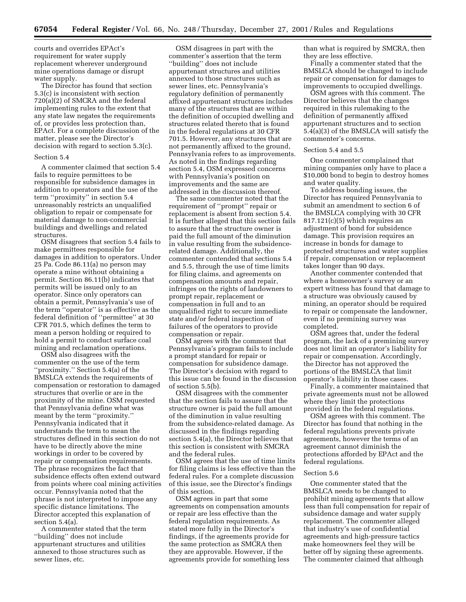courts and overrides EPAct's requirement for water supply replacement wherever underground mine operations damage or disrupt water supply.

The Director has found that section 5.3(c) is inconsistent with section 720(a)(2) of SMCRA and the federal implementing rules to the extent that any state law negates the requirements of, or provides less protection than, EPAct. For a complete discussion of the matter, please see the Director's decision with regard to section 5.3(c).

#### Section 5.4

A commenter claimed that section 5.4 fails to require permittees to be responsible for subsidence damages in addition to operators and the use of the term ''proximity'' in section 5.4 unreasonably restricts an unqualified obligation to repair or compensate for material damage to non-commercial buildings and dwellings and related structures.

OSM disagrees that section 5.4 fails to make permittees responsible for damages in addition to operators. Under 25 Pa. Code 86.11(a) no person may operate a mine without obtaining a permit. Section 86.11(b) indicates that permits will be issued only to an operator. Since only operators can obtain a permit, Pennsylvania's use of the term ''operator'' is as effective as the federal definition of ''permittee'' at 30 CFR 701.5, which defines the term to mean a person holding or required to hold a permit to conduct surface coal mining and reclamation operations.

OSM also disagrees with the commenter on the use of the term ''proximity.'' Section 5.4(a) of the BMSLCA extends the requirements of compensation or restoration to damaged structures that overlie or are in the proximity of the mine. OSM requested that Pennsylvania define what was meant by the term ''proximity.'' Pennsylvania indicated that it understands the term to mean the structures defined in this section do not have to be directly above the mine workings in order to be covered by repair or compensation requirements. The phrase recognizes the fact that subsidence effects often extend outward from points where coal mining activities occur. Pennsylvania noted that the phrase is not interpreted to impose any specific distance limitations. The Director accepted this explanation of section 5.4(a).

A commenter stated that the term ''building'' does not include appurtenant structures and utilities annexed to those structures such as sewer lines, etc.

OSM disagrees in part with the commenter's assertion that the term ''building'' does not include appurtenant structures and utilities annexed to those structures such as sewer lines, etc. Pennsylvania's regulatory definition of permanently affixed appurtenant structures includes many of the structures that are within the definition of occupied dwelling and structures related thereto that is found in the federal regulations at 30 CFR 701.5. However, any structures that are not permanently affixed to the ground, Pennsylvania refers to as improvements. As noted in the findings regarding section 5.4, OSM expressed concerns with Pennsylvania's position on improvements and the same are addressed in the discussion thereof.

The same commenter noted that the requirement of ''prompt'' repair or replacement is absent from section 5.4. It is further alleged that this section fails to assure that the structure owner is paid the full amount of the diminution in value resulting from the subsidencerelated damage. Additionally, the commenter contended that sections 5.4 and 5.5, through the use of time limits for filing claims, and agreements on compensation amounts and repair, infringes on the rights of landowners to prompt repair, replacement or compensation in full and to an unqualified right to secure immediate state and/or federal inspection of failures of the operators to provide compensation or repair.

OSM agrees with the comment that Pennsylvania's program fails to include a prompt standard for repair or compensation for subsidence damage. The Director's decision with regard to this issue can be found in the discussion of section 5.5(b).

OSM disagrees with the commenter that the section fails to assure that the structure owner is paid the full amount of the diminution in value resulting from the subsidence-related damage. As discussed in the findings regarding section 5.4(a), the Director believes that this section is consistent with SMCRA and the federal rules.

OSM agrees that the use of time limits for filing claims is less effective than the federal rules. For a complete discussion of this issue, see the Director's findings of this section.

OSM agrees in part that some agreements on compensation amounts or repair are less effective than the federal regulation requirements. As stated more fully in the Director's findings, if the agreements provide for the same protection as SMCRA then they are approvable. However, if the agreements provide for something less than what is required by SMCRA, then they are less effective.

Finally a commenter stated that the BMSLCA should be changed to include repair or compensation for damages to improvements to occupied dwellings.

OSM agrees with this comment. The Director believes that the changes required in this rulemaking to the definition of permanently affixed appurtenant structures and to section 5.4(a)(3) of the BMSLCA will satisfy the commenter's concerns.

# Section 5.4 and 5.5

One commenter complained that mining companies only have to place a \$10,000 bond to begin to destroy homes and water quality.

To address bonding issues, the Director has required Pennsylvania to submit an amendment to section 6 of the BMSLCA complying with 30 CFR  $817.121(c)(5)$  which requires an adjustment of bond for subsidence damage. This provision requires an increase in bonds for damage to protected structures and water supplies if repair, compensation or replacement takes longer than 90 days.

Another commenter contended that where a homeowner's survey or an expert witness has found that damage to a structure was obviously caused by mining, an operator should be required to repair or compensate the landowner, even if no premining survey was completed.

OSM agrees that, under the federal program, the lack of a premining survey does not limit an operator's liability for repair or compensation. Accordingly, the Director has not approved the portions of the BMSLCA that limit operator's liability in those cases.

Finally, a commenter maintained that private agreements must not be allowed where they limit the protections provided in the federal regulations.

OSM agrees with this comment. The Director has found that nothing in the federal regulations prevents private agreements, however the terms of an agreement cannot diminish the protections afforded by EPAct and the federal regulations.

#### Section 5.6

One commenter stated that the BMSLCA needs to be changed to prohibit mining agreements that allow less than full compensation for repair of subsidence damage and water supply replacement. The commenter alleged that industry's use of confidential agreements and high-pressure tactics make homeowners feel they will be better off by signing these agreements. The commenter claimed that although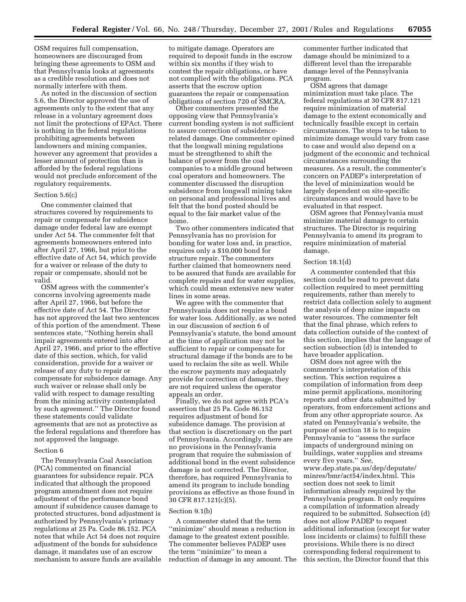OSM requires full compensation, homeowners are discouraged from bringing these agreements to OSM and that Pennsylvania looks at agreements as a credible resolution and does not normally interfere with them.

As noted in the discussion of section 5.6, the Director approved the use of agreements only to the extent that any release in a voluntary agreement does not limit the protections of EPAct. There is nothing in the federal regulations prohibiting agreements between landowners and mining companies, however any agreement that provides a lesser amount of protection than is afforded by the federal regulations would not preclude enforcement of the regulatory requirements.

# Section 5.6(c)

One commenter claimed that structures covered by requirements to repair or compensate for subsidence damage under federal law are exempt under Act 54. The commenter felt that agreements homeowners entered into after April 27, 1966, but prior to the effective date of Act 54, which provide for a waiver or release of the duty to repair or compensate, should not be valid.

OSM agrees with the commenter's concerns involving agreements made after April 27, 1966, but before the effective date of Act 54. The Director has not approved the last two sentences of this portion of the amendment. These sentences state, ''Nothing herein shall impair agreements entered into after April 27, 1966, and prior to the effective date of this section, which, for valid consideration, provide for a waiver or release of any duty to repair or compensate for subsidence damage. Any such waiver or release shall only be valid with respect to damage resulting from the mining activity contemplated by such agreement.'' The Director found these statements could validate agreements that are not as protective as the federal regulations and therefore has not approved the language.

#### Section 6

The Pennsylvania Coal Association (PCA) commented on financial guarantees for subsidence repair. PCA indicated that although the proposed program amendment does not require adjustment of the performance bond amount if subsidence causes damage to protected structures, bond adjustment is authorized by Pennsylvania's primacy regulations at 25 Pa. Code 86.152. PCA notes that while Act 54 does not require adjustment of the bonds for subsidence damage, it mandates use of an escrow mechanism to assure funds are available to mitigate damage. Operators are required to deposit funds in the escrow within six months if they wish to contest the repair obligations, or have not complied with the obligations. PCA asserts that the escrow option guarantees the repair or compensation obligations of section 720 of SMCRA.

Other commenters presented the opposing view that Pennsylvania's current bonding system is not sufficient to assure correction of subsidencerelated damage. One commenter opined that the longwall mining regulations must be strengthened to shift the balance of power from the coal companies to a middle ground between coal operators and homeowners. The commenter discussed the disruption subsidence from longwall mining takes on personal and professional lives and felt that the bond posted should be equal to the fair market value of the home.

Two other commenters indicated that Pennsylvania has no provision for bonding for water loss and, in practice, requires only a \$10,000 bond for structure repair. The commenters further claimed that homeowners need to be assured that funds are available for complete repairs and for water supplies, which could mean extensive new water lines in some areas.

We agree with the commenter that Pennsylvania does not require a bond for water loss. Additionally, as we noted in our discussion of section 6 of Pennsylvania's statute, the bond amount at the time of application may not be sufficient to repair or compensate for structural damage if the bonds are to be used to reclaim the site as well. While the escrow payments may adequately provide for correction of damage, they are not required unless the operator appeals an order.

Finally, we do not agree with PCA's assertion that 25 Pa. Code 86.152 requires adjustment of bond for subsidence damage. The provision at that section is discretionary on the part of Pennsylvania. Accordingly, there are no provisions in the Pennsylvania program that require the submission of additional bond in the event subsidence damage is not corrected. The Director, therefore, has required Pennsylvania to amend its program to include bonding provisions as effective as those found in 30 CFR 817.121(c)(5).

#### Section 9.1(b)

A commenter stated that the term ''minimize'' should mean a reduction in damage to the greatest extent possible. The commenter believes PADEP uses the term ''minimize'' to mean a reduction of damage in any amount. The commenter further indicated that damage should be minimized to a different level than the irreparable damage level of the Pennsylvania program.

OSM agrees that damage minimization must take place. The federal regulations at 30 CFR 817.121 require minimization of material damage to the extent economically and technically feasible except in certain circumstances. The steps to be taken to minimize damage would vary from case to case and would also depend on a judgment of the economic and technical circumstances surrounding the measures. As a result, the commenter's concern on PADEP's interpretation of the level of minimization would be largely dependent on site-specific circumstances and would have to be evaluated in that respect.

OSM agrees that Pennsylvania must minimize material damage to certain structures. The Director is requiring Pennsylvania to amend its program to require minimization of material damage.

#### Section 18.1(d)

A commenter contended that this section could be read to prevent data collection required to meet permitting requirements, rather than merely to restrict data collection solely to augment the analysis of deep mine impacts on water resources. The commenter felt that the final phrase, which refers to data collection outside of the context of this section, implies that the language of section subsection (d) is intended to have broader application.

OSM does not agree with the commenter's interpretation of this section. This section requires a compilation of information from deep mine permit applications, monitoring reports and other data submitted by operators, from enforcement actions and from any other appropriate source. As stated on Pennsylvania's website, the purpose of section 18 is to require Pennsylvania to ''assess the surface impacts of underground mining on buildings, water supplies and streams every five years.'' *See,* www.dep.state.pa.us/dep/deputate/ minres/bmr/act54/index.html. This section does not seek to limit information already required by the Pennsylvania program. It only requires a compilation of information already required to be submitted. Subsection (d) does not allow PADEP to request additional information (except for water loss incidents or claims) to fulfill these provisions. While there is no direct corresponding federal requirement to this section, the Director found that this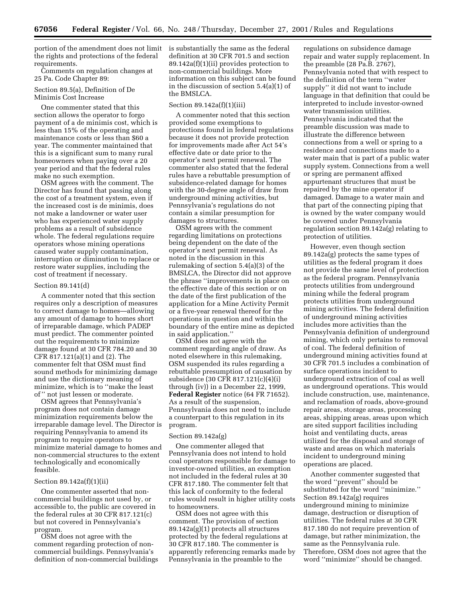portion of the amendment does not limit is substantially the same as the federal the rights and protections of the federal requirements.

Comments on regulation changes at 25 Pa. Code Chapter 89:

#### Section 89.5(a), Definition of De Minimis Cost Increase

One commenter stated that this section allows the operator to forgo payment of a de minimis cost, which is less than 15% of the operating and maintenance costs or less than \$60 a year. The commenter maintained that this is a significant sum to many rural homeowners when paying over a 20 year period and that the federal rules make no such exemption.

OSM agrees with the comment. The Director has found that passing along the cost of a treatment system, even if the increased cost is de minimis, does not make a landowner or water user who has experienced water supply problems as a result of subsidence whole. The federal regulations require operators whose mining operations caused water supply contamination, interruption or diminution to replace or restore water supplies, including the cost of treatment if necessary.

#### Section 89.141(d)

A commenter noted that this section requires only a description of measures to correct damage to homes—allowing any amount of damage to homes short of irreparable damage, which PADEP must predict. The commenter pointed out the requirements to minimize damage found at 30 CFR 784.20 and 30 CFR 817.121(a)(1) and (2). The commenter felt that OSM must find sound methods for minimizing damage and use the dictionary meaning of minimize, which is to ''make the least of '' not just lessen or moderate.

OSM agrees that Pennsylvania's program does not contain damage minimization requirements below the irreparable damage level. The Director is requiring Pennsylvania to amend its program to require operators to minimize material damage to homes and non-commercial structures to the extent technologically and economically feasible.

#### Section 89.142a(f)(1)(ii)

One commenter asserted that noncommercial buildings not used by, or accessible to, the public are covered in the federal rules at 30 CFR 817.121(c) but not covered in Pennsylvania's program.

OSM does not agree with the comment regarding protection of noncommercial buildings. Pennsylvania's definition of non-commercial buildings definition at 30 CFR 701.5 and section 89.142a(f)(1)(ii) provides protection to non-commercial buildings. More information on this subject can be found in the discussion of section 5.4(a)(1) of the BMSLCA.

#### Section 89.142a(f)(1)(iii)

A commenter noted that this section provided some exemptions to protections found in federal regulations because it does not provide protection for improvements made after Act 54's effective date or date prior to the operator's next permit renewal. The commenter also stated that the federal rules have a rebuttable presumption of subsidence-related damage for homes with the 30-degree angle of draw from underground mining activities, but Pennsylvania's regulations do not contain a similar presumption for damages to structures.

OSM agrees with the comment regarding limitations on protections being dependent on the date of the operator's next permit renewal. As noted in the discussion in this rulemaking of section 5.4(a)(3) of the BMSLCA, the Director did not approve the phrase ''improvements in place on the effective date of this section or on the date of the first publication of the application for a Mine Activity Permit or a five-year renewal thereof for the operations in question and within the boundary of the entire mine as depicted in said application.''

OSM does not agree with the comment regarding angle of draw. As noted elsewhere in this rulemaking, OSM suspended its rules regarding a rebuttable presumption of causation by subsidence (30 CFR 817.121(c)(4)(i) through (iv)) in a December 22, 1999, **Federal Register** notice (64 FR 71652). As a result of the suspension, Pennsylvania does not need to include a counterpart to this regulation in its program.

#### Section 89.142a(g)

One commenter alleged that Pennsylvania does not intend to hold coal operators responsible for damage to investor-owned utilities, an exemption not included in the federal rules at 30 CFR 817.180. The commenter felt that this lack of conformity to the federal rules would result in higher utility costs to homeowners.

OSM does not agree with this comment. The provision of section 89.142a(g)(1) protects all structures protected by the federal regulations at 30 CFR 817.180. The commenter is apparently referencing remarks made by Pennsylvania in the preamble to the

regulations on subsidence damage repair and water supply replacement. In the preamble (28 Pa.B. 2767), Pennsylvania noted that with respect to the definition of the term ''water supply'' it did not want to include language in that definition that could be interpreted to include investor-owned water transmission utilities. Pennsylvania indicated that the preamble discussion was made to illustrate the difference between connections from a well or spring to a residence and connections made to a water main that is part of a public water supply system. Connections from a well or spring are permanent affixed appurtenant structures that must be repaired by the mine operator if damaged. Damage to a water main and that part of the connecting piping that is owned by the water company would be covered under Pennsylvania regulation section 89.142a(g) relating to protection of utilities.

However, even though section 89.142a(g) protects the same types of utilities as the federal program it does not provide the same level of protection as the federal program. Pennsylvania protects utilities from underground mining while the federal program protects utilities from underground mining activities. The federal definition of underground mining activities includes more activities than the Pennsylvania definition of underground mining, which only pertains to removal of coal. The federal definition of underground mining activities found at 30 CFR 701.5 includes a combination of surface operations incident to underground extraction of coal as well as underground operations. This would include construction, use, maintenance, and reclamation of roads, above-ground repair areas, storage areas, processing areas, shipping areas, areas upon which are sited support facilities including hoist and ventilating ducts, areas utilized for the disposal and storage of waste and areas on which materials incident to underground mining operations are placed.

Another commenter suggested that the word ''prevent'' should be substituted for the word ''minimize.'' Section 89.142a(g) requires underground mining to minimize damage, destruction or disruption of utilities. The federal rules at 30 CFR 817.180 do not require prevention of damage, but rather minimization, the same as the Pennsylvania rule. Therefore, OSM does not agree that the word ''minimize'' should be changed.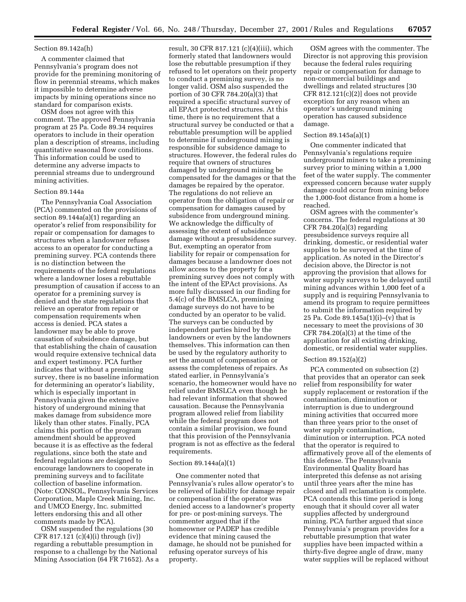# Section 89.142a(h)

A commenter claimed that Pennsylvania's program does not provide for the premining monitoring of flow in perennial streams, which makes it impossible to determine adverse impacts by mining operations since no standard for comparison exists.

OSM does not agree with this comment. The approved Pennsylvania program at 25 Pa. Code 89.34 requires operators to include in their operation plan a description of streams, including quantitative seasonal flow conditions. This information could be used to determine any adverse impacts to perennial streams due to underground mining activities.

#### Section 89.144a

The Pennsylvania Coal Association (PCA) commented on the provisions of section 89.144a(a)(1) regarding an operator's relief from responsibility for repair or compensation for damages to structures when a landowner refuses access to an operator for conducting a premining survey. PCA contends there is no distinction between the requirements of the federal regulations where a landowner loses a rebuttable presumption of causation if access to an operator for a premining survey is denied and the state regulations that relieve an operator from repair or compensation requirements when access is denied. PCA states a landowner may be able to prove causation of subsidence damage, but that establishing the chain of causation would require extensive technical data and expert testimony. PCA further indicates that without a premining survey, there is no baseline information for determining an operator's liability, which is especially important in Pennsylvania given the extensive history of underground mining that makes damage from subsidence more likely than other states. Finally, PCA claims this portion of the program amendment should be approved because it is as effective as the federal regulations, since both the state and federal regulations are designed to encourage landowners to cooperate in premining surveys and to facilitate collection of baseline information. (Note: CONSOL, Pennsylvania Services Corporation, Maple Creek Mining, Inc. and UMCO Energy, Inc. submitted letters endorsing this and all other comments made by PCA).

OSM suspended the regulations (30 CFR 817.121 (c)(4)(i) through (iv)) regarding a rebuttable presumption in response to a challenge by the National Mining Association (64 FR 71652). As a

result, 30 CFR 817.121 (c)(4)(iii), which formerly stated that landowners would lose the rebuttable presumption if they refused to let operators on their property to conduct a premining survey, is no longer valid. OSM also suspended the portion of 30 CFR 784.20(a)(3) that required a specific structural survey of all EPAct protected structures. At this time, there is no requirement that a structural survey be conducted or that a rebuttable presumption will be applied to determine if underground mining is responsible for subsidence damage to structures. However, the federal rules do require that owners of structures damaged by underground mining be compensated for the damages or that the damages be repaired by the operator. The regulations do not relieve an operator from the obligation of repair or compensation for damages caused by subsidence from underground mining. We acknowledge the difficulty of assessing the extent of subsidence damage without a presubsidence survey. But, exempting an operator from liability for repair or compensation for damages because a landowner does not allow access to the property for a premining survey does not comply with the intent of the EPAct provisions. As more fully discussed in our finding for 5.4(c) of the BMSLCA, premining damage surveys do not have to be conducted by an operator to be valid. The surveys can be conducted by independent parties hired by the landowners or even by the landowners themselves. This information can then be used by the regulatory authority to set the amount of compensation or assess the completeness of repairs. As stated earlier, in Pennsylvania's scenario, the homeowner would have no relief under BMSLCA even though he had relevant information that showed causation. Because the Pennsylvania program allowed relief from liability while the federal program does not contain a similar provision, we found that this provision of the Pennsylvania program is not as effective as the federal requirements.

#### Section 89.144a(a)(1)

One commenter noted that Pennsylvania's rules allow operator's to be relieved of liability for damage repair or compensation if the operator was denied access to a landowner's property for pre- or post-mining surveys. The commenter argued that if the homeowner or PADEP has credible evidence that mining caused the damage, he should not be punished for refusing operator surveys of his property.

OSM agrees with the commenter. The Director is not approving this provision because the federal rules requiring repair or compensation for damage to non-commercial buildings and dwellings and related structures [30 CFR 812.121(c)(2)] does not provide exception for any reason when an operator's underground mining operation has caused subsidence damage.

# Section 89.145a(a)(1)

One commenter indicated that Pennsylvania's regulations require underground miners to take a premining survey prior to mining within a 1,000 feet of the water supply. The commenter expressed concern because water supply damage could occur from mining before the 1,000-foot distance from a home is reached.

OSM agrees with the commenter's concerns. The federal regulations at 30 CFR 784.20(a)(3) regarding presubsidence surveys require all drinking, domestic, or residential water supplies to be surveyed at the time of application. As noted in the Director's decision above, the Director is not approving the provision that allows for water supply surveys to be delayed until mining advances within 1,000 feet of a supply and is requiring Pennsylvania to amend its program to require permittees to submit the information required by 25 Pa. Code 89.145a(1)(i)–(v) that is necessary to meet the provisions of 30 CFR  $784.20(a)(3)$  at the time of the application for all existing drinking, domestic, or residential water supplies.

#### Section 89.152(a)(2)

PCA commented on subsection (2) that provides that an operator can seek relief from responsibility for water supply replacement or restoration if the contamination, diminution or interruption is due to underground mining activities that occurred more than three years prior to the onset of water supply contamination, diminution or interruption. PCA noted that the operator is required to affirmatively prove all of the elements of this defense. The Pennsylvania Environmental Quality Board has interpreted this defense as not arising until three years after the mine has closed and all reclamation is complete. PCA contends this time period is long enough that it should cover all water supplies affected by underground mining. PCA further argued that since Pennsylvania's program provides for a rebuttable presumption that water supplies have been impacted within a thirty-five degree angle of draw, many water supplies will be replaced without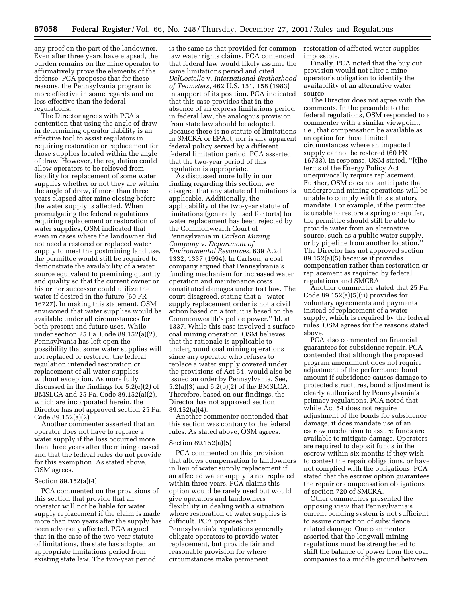any proof on the part of the landowner. Even after three years have elapsed, the burden remains on the mine operator to affirmatively prove the elements of the defense. PCA proposes that for these reasons, the Pennsylvania program is more effective in some regards and no less effective than the federal regulations.

The Director agrees with PCA's contention that using the angle of draw in determining operator liability is an effective tool to assist regulators in requiring restoration or replacement for those supplies located within the angle of draw. However, the regulation could allow operators to be relieved from liability for replacement of some water supplies whether or not they are within the angle of draw, if more than three years elapsed after mine closing before the water supply is affected. When promulgating the federal regulations requiring replacement or restoration of water supplies, OSM indicated that even in cases where the landowner did not need a restored or replaced water supply to meet the postmining land use, the permittee would still be required to demonstrate the availability of a water source equivalent to premining quantity and quality so that the current owner or his or her successor could utilize the water if desired in the future (60 FR 16727). In making this statement, OSM envisioned that water supplies would be available under all circumstances for both present and future uses. While under section 25 Pa. Code 89.152(a)(2), Pennsylvania has left open the possibility that some water supplies will not replaced or restored, the federal regulation intended restoration or replacement of all water supplies without exception. As more fully discussed in the findings for 5.2(e)(2) of BMSLCA and 25 Pa. Code 89.152(a)(2), which are incorporated herein, the Director has not approved section 25 Pa. Code 89.152(a)(2).

Another commenter asserted that an operator does not have to replace a water supply if the loss occurred more than three years after the mining ceased and that the federal rules do not provide for this exemption. As stated above, OSM agrees.

#### Section 89.152(a)(4)

PCA commented on the provisions of this section that provide that an operator will not be liable for water supply replacement if the claim is made more than two years after the supply has been adversely affected. PCA argued that in the case of the two-year statute of limitations, the state has adopted an appropriate limitations period from existing state law. The two-year period

is the same as that provided for common law water rights claims. PCA contended that federal law would likely assume the same limitations period and cited *DelCostello* v. *International Brotherhood of Teamsters,* 462 U.S. 151, 158 (1983) in support of its position. PCA indicated that this case provides that in the absence of an express limitations period in federal law, the analogous provision from state law should be adopted. Because there is no statute of limitations in SMCRA or EPAct, nor is any apparent federal policy served by a different federal limitation period, PCA asserted that the two-year period of this regulation is appropriate.

As discussed more fully in our finding regarding this section, we disagree that any statute of limitations is applicable. Additionally, the applicability of the two-year statute of limitations (generally used for torts) for water replacement has been rejected by the Commonwealth Court of Pennsylvania in *Carlson Mining Company* v. *Department of Environmental Resources,* 639 A.2d 1332, 1337 (1994). In Carlson, a coal company argued that Pennsylvania's funding mechanism for increased water operation and maintenance costs constituted damages under tort law. The court disagreed, stating that a ''water supply replacement order is not a civil action based on a tort; it is based on the Commonwealth's police power.'' Id. at 1337. While this case involved a surface coal mining operation, OSM believes that the rationale is applicable to underground coal mining operations since any operator who refuses to replace a water supply covered under the provisions of Act 54, would also be issued an order by Pennsylvania. See, 5.2(a)(3) and 5.2(b)(2) of the BMSLCA. Therefore, based on our findings, the Director has not approved section 89.152(a)(4).

Another commenter contended that this section was contrary to the federal rules. As stated above, OSM agrees.

#### Section 89.152(a)(5)

PCA commented on this provision that allows compensation to landowners in lieu of water supply replacement if an affected water supply is not replaced within three years. PCA claims this option would be rarely used but would give operators and landowners flexibility in dealing with a situation where restoration of water supplies is difficult. PCA proposes that Pennsylvania's regulations generally obligate operators to provide water replacement, but provide fair and reasonable provision for where circumstances make permanent

restoration of affected water supplies impossible.

Finally, PCA noted that the buy out provision would not alter a mine operator's obligation to identify the availability of an alternative water source.

The Director does not agree with the comments. In the preamble to the federal regulations, OSM responded to a commenter with a similar viewpoint, i.e., that compensation be available as an option for those limited circumstances where an impacted supply cannot be restored (60 FR 16733). In response, OSM stated, ''[t]he terms of the Energy Policy Act unequivocally require replacement. Further, OSM does not anticipate that underground mining operations will be unable to comply with this statutory mandate. For example, if the permittee is unable to restore a spring or aquifer, the permittee should still be able to provide water from an alternative source, such as a public water supply, or by pipeline from another location.'' The Director has not approved section 89.152(a)(5) because it provides compensation rather than restoration or replacement as required by federal regulations and SMCRA.

Another commenter stated that 25 Pa. Code 89.152(a)(5)(ii) provides for voluntary agreements and payments instead of replacement of a water supply, which is required by the federal rules. OSM agrees for the reasons stated above.

PCA also commented on financial guarantees for subsidence repair. PCA contended that although the proposed program amendment does not require adjustment of the performance bond amount if subsidence causes damage to protected structures, bond adjustment is clearly authorized by Pennsylvania's primacy regulations. PCA noted that while Act 54 does not require adjustment of the bonds for subsidence damage, it does mandate use of an escrow mechanism to assure funds are available to mitigate damage. Operators are required to deposit funds in the escrow within six months if they wish to contest the repair obligations, or have not complied with the obligations. PCA stated that the escrow option guarantees the repair or compensation obligations of section 720 of SMCRA.

Other commenters presented the opposing view that Pennsylvania's current bonding system is not sufficient to assure correction of subsidence related damage. One commenter asserted that the longwall mining regulations must be strengthened to shift the balance of power from the coal companies to a middle ground between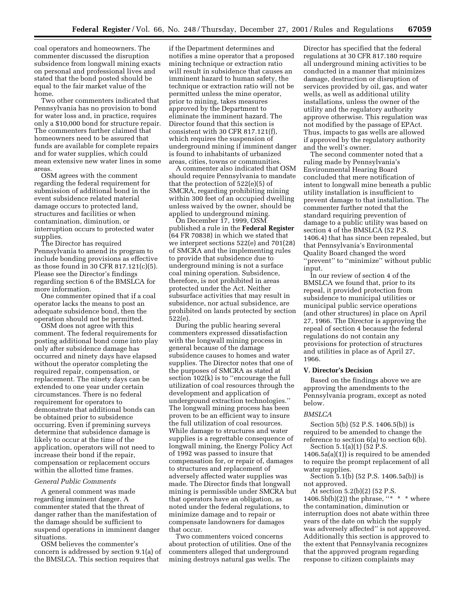coal operators and homeowners. The commenter discussed the disruption subsidence from longwall mining exacts on personal and professional lives and stated that the bond posted should be equal to the fair market value of the home.

Two other commenters indicated that Pennsylvania has no provision to bond for water loss and, in practice, requires only a \$10,000 bond for structure repair. The commenters further claimed that homeowners need to be assured that funds are available for complete repairs and for water supplies, which could mean extensive new water lines in some areas.

OSM agrees with the comment regarding the federal requirement for submission of additional bond in the event subsidence related material damage occurs to protected land, structures and facilities or when contamination, diminution, or interruption occurs to protected water supplies.

The Director has required Pennsylvania to amend its program to include bonding provisions as effective as those found in 30 CFR 817.121(c)(5). Please see the Director's findings regarding section 6 of the BMSLCA for more information.

One commenter opined that if a coal operator lacks the means to post an adequate subsidence bond, then the operation should not be permitted.

OSM does not agree with this comment. The federal requirements for posting additional bond come into play only after subsidence damage has occurred and ninety days have elapsed without the operator completing the required repair, compensation, or replacement. The ninety days can be extended to one year under certain circumstances. There is no federal requirement for operators to demonstrate that additional bonds can be obtained prior to subsidence occurring. Even if premining surveys determine that subsidence damage is likely to occur at the time of the application, operators will not need to increase their bond if the repair, compensation or replacement occurs within the allotted time frames.

#### *General Public Comments*

A general comment was made regarding imminent danger. A commenter stated that the threat of danger rather than the manifestation of the damage should be sufficient to suspend operations in imminent danger situations.

OSM believes the commenter's concern is addressed by section 9.1(a) of the BMSLCA. This section requires that

if the Department determines and notifies a mine operator that a proposed mining technique or extraction ratio will result in subsidence that causes an imminent hazard to human safety, the technique or extraction ratio will not be permitted unless the mine operator, prior to mining, takes measures approved by the Department to eliminate the imminent hazard. The Director found that this section is consistent with 30 CFR 817.121(f), which requires the suspension of underground mining if imminent danger is found to inhabitants of urbanized areas, cities, towns or communities.

A commenter also indicated that OSM should require Pennsylvania to mandate that the protection of 522(e)(5) of SMCRA, regarding prohibiting mining within 300 feet of an occupied dwelling unless waived by the owner, should be applied to underground mining.

On December 17, 1999, OSM published a rule in the **Federal Register** (64 FR 70838) in which we stated that we interpret sections 522(e) and 701(28) of SMCRA and the implementing rules to provide that subsidence due to underground mining is not a surface coal mining operation. Subsidence, therefore, is not prohibited in areas protected under the Act. Neither subsurface activities that may result in subsidence, nor actual subsidence, are prohibited on lands protected by section 522(e).

During the public hearing several commenters expressed dissatisfaction with the longwall mining process in general because of the damage subsidence causes to homes and water supplies. The Director notes that one of the purposes of SMCRA as stated at section 102(k) is to ''encourage the full utilization of coal resources through the development and application of underground extraction technologies.'' The longwall mining process has been proven to be an efficient way to insure the full utilization of coal resources. While damage to structures and water supplies is a regrettable consequence of longwall mining, the Energy Policy Act of 1992 was passed to insure that compensation for, or repair of, damages to structures and replacement of adversely affected water supplies was made. The Director finds that longwall mining is permissible under SMCRA but that operators have an obligation, as noted under the federal regulations, to minimize damage and to repair or compensate landowners for damages that occur.

Two commenters voiced concerns about protection of utilities. One of the commenters alleged that underground mining destroys natural gas wells. The

Director has specified that the federal regulations at 30 CFR 817.180 require all underground mining activities to be conducted in a manner that minimizes damage, destruction or disruption of services provided by oil, gas, and water wells, as well as additional utility installations, unless the owner of the utility and the regulatory authority approve otherwise. This regulation was not modified by the passage of EPAct. Thus, impacts to gas wells are allowed if approved by the regulatory authority and the well's owner.

The second commenter noted that a ruling made by Pennsylvania's Environmental Hearing Board concluded that mere notification of intent to longwall mine beneath a public utility installation is insufficient to prevent damage to that installation. The commenter further noted that the standard requiring prevention of damage to a public utility was based on section 4 of the BMSLCA (52 P.S. 1406.4) that has since been repealed, but that Pennsylvania's Environmental Quality Board changed the word ''prevent'' to ''minimize'' without public input.

In our review of section 4 of the BMSLCA we found that, prior to its repeal, it provided protection from subsidence to municipal utilities or municipal public service operations (and other structures) in place on April 27, 1966. The Director is approving the repeal of section 4 because the federal regulations do not contain any provisions for protection of structures and utilities in place as of April 27, 1966.

#### **V. Director's Decision**

Based on the findings above we are approving the amendments to the Pennsylvania program, except as noted below.

#### *BMSLCA*

Section 5(b) (52 P.S. 1406.5(b)) is required to be amended to change the reference to section 6(a) to section 6(b).

Section 5.1(a)(1) (52 P.S.  $1406.5a(a)(1)$ ) is required to be amended to require the prompt replacement of all water supplies.

Section 5.1(b) (52 P.S. 1406.5a(b)) is not approved.

At section 5.2(b)(2) (52 P.S. 1406.5b(b)(2)) the phrase,  $"$  \* \* where the contamination, diminution or interruption does not abate within three years of the date on which the supply was adversely affected'' is not approved. Additionally this section is approved to the extent that Pennsylvania recognizes that the approved program regarding response to citizen complaints may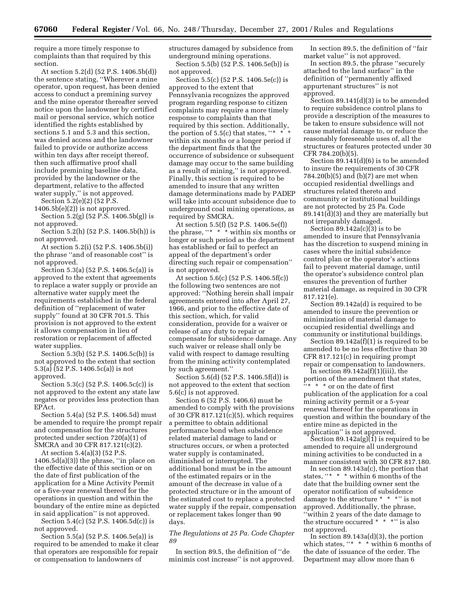require a more timely response to complaints than that required by this section.

At section 5.2(d) (52 P.S. 1406.5b(d)) the sentence stating, ''Wherever a mine operator, upon request, has been denied access to conduct a premining survey and the mine operator thereafter served notice upon the landowner by certified mail or personal service, which notice identified the rights established by sections 5.1 and 5.3 and this section, was denied access and the landowner failed to provide or authorize access within ten days after receipt thereof, then such affirmative proof shall include premining baseline data, provided by the landowner or the department, relative to the affected water supply," is not approved. Section 5.2(e)(2) (52 P.S.

 $1406.5b(e)(2)$ ) is not approved.

Section 5.2(g) (52 P.S. 1406.5b(g)) is not approved.

Section 5.2(h) (52 P.S. 1406.5b(h)) is not approved.

At section 5.2(i) (52 P.S. 1406.5b(i)) the phrase ''and of reasonable cost'' is not approved.

Section 5.3(a) (52 P.S. 1406.5c(a)) is approved to the extent that agreements to replace a water supply or provide an alternative water supply meet the requirements established in the federal definition of ''replacement of water supply'' found at 30 CFR 701.5. This provision is not approved to the extent it allows compensation in lieu of restoration or replacement of affected water supplies.

Section 5.3(b) (52 P.S. 1406.5c(b)) is not approved to the extent that section 5.3(a) (52 P.S. 1406.5c(a)) is not approved.

Section 5.3(c) (52 P.S. 1406.5c(c)) is not approved to the extent any state law negates or provides less protection than EPAct.

Section 5.4(a) (52 P.S. 1406.5d) must be amended to require the prompt repair and compensation for the structures protected under section 720(a)(1) of SMCRA and 30 CFR 817.121(c)(2).

At section 5.4(a)(3) (52 P.S.  $1406.5d(a)(3)$  the phrase, "in place on the effective date of this section or on the date of first publication of the application for a Mine Activity Permit or a five-year renewal thereof for the operations in question and within the boundary of the entire mine as depicted in said application'' is not approved.

Section 5.4(c) (52 P.S. 1406.5d(c)) is not approved.

Section 5.5(a) (52 P.S. 1406.5e(a)) is required to be amended to make it clear that operators are responsible for repair or compensation to landowners of

structures damaged by subsidence from underground mining operations. Section 5.5(b) (52 P.S. 1406.5e(b)) is

not approved.

Section 5.5(c) (52 P.S. 1406.5e(c)) is approved to the extent that Pennsylvania recognizes the approved program regarding response to citizen complaints may require a more timely response to complaints than that required by this section. Additionally, the portion of  $5.5(c)$  that states, "\* \* within six months or a longer period if the department finds that the occurrence of subsidence or subsequent damage may occur to the same building as a result of mining,'' is not approved. Finally, this section is required to be amended to insure that any written damage determinations made by PADEP will take into account subsidence due to underground coal mining operations, as required by SMCRA.

At section 5.5(f) (52 P.S. 1406.5e(f)) the phrase, ''\* \* \* within six months or longer or such period as the department has established or fail to perfect an appeal of the department's order directing such repair or compensation'' is not approved.

At section 5.6(c) (52 P.S. 1406.5f(c)) the following two sentences are not approved: ''Nothing herein shall impair agreements entered into after April 27, 1966, and prior to the effective date of this section, which, for valid consideration, provide for a waiver or release of any duty to repair or compensate for subsidence damage. Any such waiver or release shall only be valid with respect to damage resulting from the mining activity contemplated by such agreement.''

Section 5.6(d) (52 P.S. 1406.5f(d)) is not approved to the extent that section 5.6(c) is not approved.

Section 6 (52 P.S. 1406.6) must be amended to comply with the provisions of 30 CFR 817.121(c)(5), which requires a permittee to obtain additional performance bond when subsidence related material damage to land or structures occurs, or when a protected water supply is contaminated, diminished or interrupted. The additional bond must be in the amount of the estimated repairs or in the amount of the decrease in value of a protected structure or in the amount of the estimated cost to replace a protected water supply if the repair, compensation or replacement takes longer than 90 days.

*The Regulations at 25 Pa. Code Chapter 89*

In section 89.5, the definition of ''de minimis cost increase'' is not approved.

In section 89.5, the definition of ''fair market value'' is not approved.

In section 89.5, the phrase ''securely attached to the land surface'' in the definition of ''permanently affixed appurtenant structures'' is not approved.

Section 89.141(d)(3) is to be amended to require subsidence control plans to provide a description of the measures to be taken to ensure subsidence will not cause material damage to, or reduce the reasonably foreseeable uses of, all the structures or features protected under 30 CFR 784.20(b)(5).

Section 89.141(d)(6) is to be amended to insure the requirements of 30 CFR 784.20(b)(5) and (b)(7) are met when occupied residential dwellings and structures related thereto and community or institutional buildings are not protected by 25 Pa. Code 89.141(d)(3) and they are materially but not irreparably damaged.

Section  $89.142a(c)(3)$  is to be amended to insure that Pennsylvania has the discretion to suspend mining in cases where the initial subsidence control plan or the operator's actions fail to prevent material damage, until the operator's subsidence control plan ensures the prevention of further material damage, as required in 30 CFR 817.121(e).

Section 89.142a(d) is required to be amended to insure the prevention or minimization of material damage to occupied residential dwellings and community or institutional buildings.

Section 89.142a(f)(1) is required to be amended to be no less effective than 30 CFR 817.121(c) in requiring prompt repair or compensation to landowners.

In section  $\frac{89.142a(f)}{1}$ iii), the portion of the amendment that states,  $\frac{1}{2}$  \* \* or on the date of first publication of the application for a coal mining activity permit or a 5-year renewal thereof for the operations in question and within the boundary of the entire mine as depicted in the application'' is not approved.

Section  $89.142a(g)(1)$  is required to be amended to require all underground mining activities to be conducted in a manner consistent with 30 CFR 817.180.

In section 89.143a(c), the portion that states, ''\* \* \* within 6 months of the date that the building owner sent the operator notification of subsidence damage to the structure \* \* \*'' is not approved. Additionally, the phrase, ''within 2 years of the date damage to the structure occurred \* \* \*'' is also not approved.

In section  $89.143a(d)(3)$ , the portion which states, "\* \* \* within 6 months of the date of issuance of the order. The Department may allow more than 6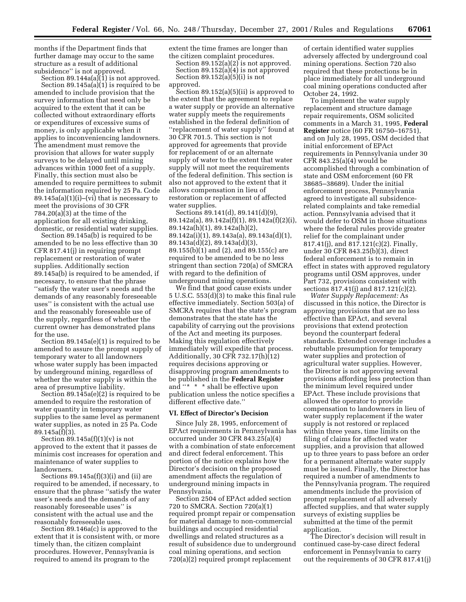months if the Department finds that further damage may occur to the same structure as a result of additional subsidence'' is not approved.

Section  $89.144a(a)(1)$  is not approved. Section 89.145a(a)(1) is required to be amended to include provision that the survey information that need only be acquired to the extent that it can be collected without extraordinary efforts or expenditures of excessive sums of money, is only applicable when it applies to inconveniencing landowners. The amendment must remove the provision that allows for water supply surveys to be delayed until mining advances within 1000 feet of a supply. Finally, this section must also be amended to require permittees to submit the information required by 25 Pa. Code  $89.145a(a)(1)(i)$ –(vi) that is necessary to meet the provisions of 30 CFR 784.20(a)(3) at the time of the application for all existing drinking, domestic, or residential water supplies.

Section 89.145a(b) is required to be amended to be no less effective than 30 CFR 817.41(j) in requiring prompt replacement or restoration of water supplies. Additionally section 89.145a(b) is required to be amended, if necessary, to ensure that the phrase ''satisfy the water user's needs and the demands of any reasonably foreseeable uses'' is consistent with the actual use and the reasonably foreseeable use of the supply, regardless of whether the current owner has demonstrated plans for the use.

Section 89.145a(e)(1) is required to be amended to assure the prompt supply of temporary water to all landowners whose water supply has been impacted by underground mining, regardless of whether the water supply is within the area of presumptive liability.

Section 89.145a(e)(2) is required to be amended to require the restoration of water quantity in temporary water supplies to the same level as permanent water supplies, as noted in 25 Pa. Code 89.145a(f)(3).

Section  $89.145a(f)(1)(v)$  is not approved to the extent that it passes de minimis cost increases for operation and maintenance of water supplies to landowners.

Sections  $89.145a(f)(3)(i)$  and (ii) are required to be amended, if necessary, to ensure that the phrase ''satisfy the water user's needs and the demands of any reasonably foreseeable uses'' is consistent with the actual use and the reasonably foreseeable uses.

Section 89.146a(c) is approved to the extent that it is consistent with, or more timely than, the citizen complaint procedures. However, Pennsylvania is required to amend its program to the

extent the time frames are longer than the citizen complaint procedures. Section 89.152(a)(2) is not approved. Section  $89.152(a)(4)$  is not approved Section  $89.152(a)(5)(i)$  is not

approved.

Section 89.152(a)(5)(ii) is approved to the extent that the agreement to replace a water supply or provide an alternative water supply meets the requirements established in the federal definition of ''replacement of water supply'' found at 30 CFR 701.5. This section is not approved for agreements that provide for replacement of or an alternate supply of water to the extent that water supply will not meet the requirements of the federal definition. This section is also not approved to the extent that it allows compensation in lieu of restoration or replacement of affected water supplies.

Sections 89.141(d), 89.141(d)(9), 89.142a(a), 89.142a(f)(1), 89.142a(f)(2)(i), 89.142a(h)(1), 89.142a(h)(2), 89.142a(i)(1), 89.143a(a), 89.143a(d)(1), 89.143a(d)(2), 89.143a(d)(3), 89.155(b)(1) and (2), and 89.155(c) are required to be amended to be no less stringent than section 720(a) of SMCRA with regard to the definition of underground mining operations.

We find that good cause exists under 5 U.S.C. 553(d)(3) to make this final rule effective immediately. Section 503(a) of SMCRA requires that the state's program demonstrates that the state has the capability of carrying out the provisions of the Act and meeting its purposes. Making this regulation effectively immediately will expedite that process. Additionally, 30 CFR 732.17(h)(12) requires decisions approving or disapproving program amendments to be published in the **Federal Register** and ''\* \* \* shall be effective upon publication unless the notice specifies a different effective date.''

#### **VI. Effect of Director's Decision**

Since July 28, 1995, enforcement of EPAct requirements in Pennsylvania has occurred under 30 CFR 843.25(a)(4) with a combination of state enforcement and direct federal enforcement. This portion of the notice explains how the Director's decision on the proposed amendment affects the regulation of underground mining impacts in Pennsylvania.

Section 2504 of EPAct added section 720 to SMCRA. Section 720(a)(1) required prompt repair or compensation for material damage to non-commercial buildings and occupied residential dwellings and related structures as a result of subsidence due to underground coal mining operations, and section 720(a)(2) required prompt replacement

of certain identified water supplies adversely affected by underground coal mining operations. Section 720 also required that these protections be in place immediately for all underground coal mining operations conducted after October 24, 1992.

To implement the water supply replacement and structure damage repair requirements, OSM solicited comments in a March 31, 1995, **Federal Register** notice (60 FR 16750–16751), and on July 28, 1995, OSM decided that initial enforcement of EPAct requirements in Pennsylvania under 30 CFR 843.25(a)(4) would be accomplished through a combination of state and OSM enforcement (60 FR 38685–38689). Under the initial enforcement process, Pennsylvania agreed to investigate all subsidencerelated complaints and take remedial action. Pennsylvania advised that it would defer to OSM in those situations where the federal rules provide greater relief for the complainant under 817.41(j), and 817.121(c)(2). Finally, under 30 CFR 843.25(b)(3), direct federal enforcement is to remain in effect in states with approved regulatory programs until OSM approves, under Part 732, provisions consistent with sections 817.41(j) and 817.121(c)(2).

*Water Supply Replacement:* As discussed in this notice, the Director is approving provisions that are no less effective than EPAct, and several provisions that extend protection beyond the counterpart federal standards. Extended coverage includes a rebuttable presumption for temporary water supplies and protection of agricultural water supplies. However, the Director is not approving several provisions affording less protection than the minimum level required under EPAct. These include provisions that allowed the operator to provide compensation to landowners in lieu of water supply replacement if the water supply is not restored or replaced within three years, time limits on the filing of claims for affected water supplies, and a provision that allowed up to three years to pass before an order for a permanent alternate water supply must be issued. Finally, the Director has required a number of amendments to the Pennsylvania program. The required amendments include the provision of prompt replacement of all adversely affected supplies, and that water supply surveys of existing supplies be submitted at the time of the permit application.

The Director's decision will result in continued case-by-case direct federal enforcement in Pennsylvania to carry out the requirements of 30 CFR 817.41(j)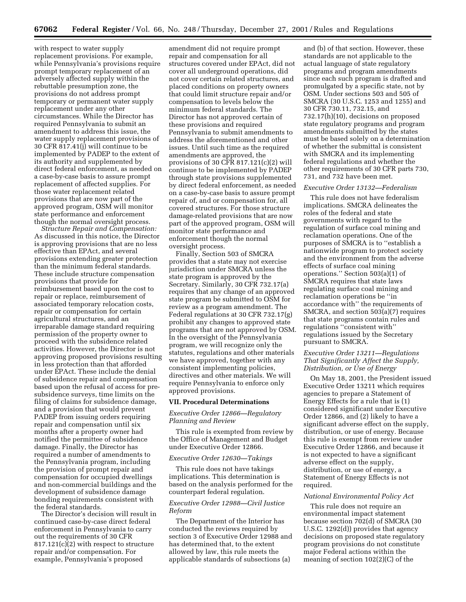with respect to water supply replacement provisions. For example, while Pennsylvania's provisions require prompt temporary replacement of an adversely affected supply within the rebuttable presumption zone, the provisions do not address prompt temporary or permanent water supply replacement under any other circumstances. While the Director has required Pennsylvania to submit an amendment to address this issue, the water supply replacement provisions of 30 CFR 817.41(j) will continue to be implemented by PADEP to the extent of its authority and supplemented by direct federal enforcement, as needed on a case-by-case basis to assure prompt replacement of affected supplies. For those water replacement related provisions that are now part of the approved program, OSM will monitor state performance and enforcement though the normal oversight process.

*Structure Repair and Compensation:* As discussed in this notice, the Director is approving provisions that are no less effective than EPAct, and several provisions extending greater protection than the minimum federal standards. These include structure compensation provisions that provide for reimbursement based upon the cost to repair or replace, reimbursement of associated temporary relocation costs, repair or compensation for certain agricultural structures, and an irreparable damage standard requiring permission of the property owner to proceed with the subsidence related activities. However, the Director is not approving proposed provisions resulting in less protection than that afforded under EPAct. These include the denial of subsidence repair and compensation based upon the refusal of access for presubsidence surveys, time limits on the filing of claims for subsidence damage, and a provision that would prevent PADEP from issuing orders requiring repair and compensation until six months after a property owner had notified the permittee of subsidence damage. Finally, the Director has required a number of amendments to the Pennsylvania program, including the provision of prompt repair and compensation for occupied dwellings and non-commercial buildings and the development of subsidence damage bonding requirements consistent with the federal standards.

The Director's decision will result in continued case-by-case direct federal enforcement in Pennsylvania to carry out the requirements of 30 CFR 817.121(c)(2) with respect to structure repair and/or compensation. For example, Pennsylvania's proposed

amendment did not require prompt repair and compensation for all structures covered under EPAct, did not cover all underground operations, did not cover certain related structures, and placed conditions on property owners that could limit structure repair and/or compensation to levels below the minimum federal standards. The Director has not approved certain of these provisions and required Pennsylvania to submit amendments to address the aforementioned and other issues. Until such time as the required amendments are approved, the provisions of 30 CFR 817.121(c)(2) will continue to be implemented by PADEP through state provisions supplemented by direct federal enforcement, as needed on a case-by-case basis to assure prompt repair of, and or compensation for, all covered structures. For those structure damage-related provisions that are now part of the approved program, OSM will monitor state performance and enforcement though the normal oversight process.

Finally, Section 503 of SMCRA provides that a state may not exercise jurisdiction under SMCRA unless the state program is approved by the Secretary. Similarly, 30 CFR 732.17(a) requires that any change of an approved state program be submitted to OSM for review as a program amendment. The Federal regulations at 30 CFR 732.17(g) prohibit any changes to approved state programs that are not approved by OSM. In the oversight of the Pennsylvania program, we will recognize only the statutes, regulations and other materials we have approved, together with any consistent implementing policies, directives and other materials. We will require Pennsylvania to enforce only approved provisions.

#### **VII. Procedural Determinations**

# *Executive Order 12866—Regulatory Planning and Review*

This rule is exempted from review by the Office of Management and Budget under Executive Order 12866.

#### *Executive Order 12630—Takings*

This rule does not have takings implications. This determination is based on the analysis performed for the counterpart federal regulation.

# *Executive Order 12988—Civil Justice Reform*

The Department of the Interior has conducted the reviews required by section 3 of Executive Order 12988 and has determined that, to the extent allowed by law, this rule meets the applicable standards of subsections (a)

and (b) of that section. However, these standards are not applicable to the actual language of state regulatory programs and program amendments since each such program is drafted and promulgated by a specific state, not by OSM. Under sections 503 and 505 of SMCRA (30 U.S.C. 1253 and 1255) and 30 CFR 730.11, 732.15, and 732.17(h)(10), decisions on proposed state regulatory programs and program amendments submitted by the states must be based solely on a determination of whether the submittal is consistent with SMCRA and its implementing federal regulations and whether the other requirements of 30 CFR parts 730, 731, and 732 have been met.

#### *Executive Order 13132—Federalism*

This rule does not have federalism implications. SMCRA delineates the roles of the federal and state governments with regard to the regulation of surface coal mining and reclamation operations. One of the purposes of SMCRA is to ''establish a nationwide program to protect society and the environment from the adverse effects of surface coal mining operations.'' Section 503(a)(1) of SMCRA requires that state laws regulating surface coal mining and reclamation operations be ''in accordance with'' the requirements of SMCRA, and section 503(a)(7) requires that state programs contain rules and regulations ''consistent with'' regulations issued by the Secretary pursuant to SMCRA.

# *Executive Order 13211—Regulations That Significantly Affect the Supply, Distribution, or Use of Energy*

On May 18, 2001, the President issued Executive Order 13211 which requires agencies to prepare a Statement of Energy Effects for a rule that is (1) considered significant under Executive Order 12866, and (2) likely to have a significant adverse effect on the supply, distribution, or use of energy. Because this rule is exempt from review under Executive Order 12866, and because it is not expected to have a significant adverse effect on the supply, distribution, or use of energy, a Statement of Energy Effects is not required.

#### *National Environmental Policy Act*

This rule does not require an environmental impact statement because section 702(d) of SMCRA (30 U.S.C. 1292(d)) provides that agency decisions on proposed state regulatory program provisions do not constitute major Federal actions within the meaning of section 102(2)(C) of the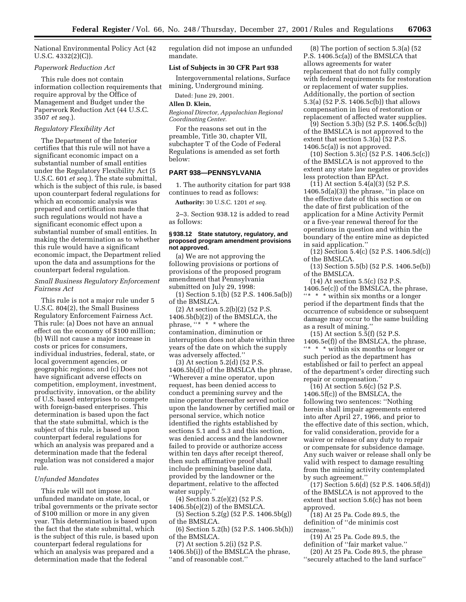National Environmental Policy Act (42 U.S.C. 4332(2)(C)).

# *Paperwork Reduction Act*

This rule does not contain information collection requirements that require approval by the Office of Management and Budget under the Paperwork Reduction Act (44 U.S.C. 3507 *et seq.*).

# *Regulatory Flexibility Act*

The Department of the Interior certifies that this rule will not have a significant economic impact on a substantial number of small entities under the Regulatory Flexibility Act (5 U.S.C. 601 *et seq.*). The state submittal, which is the subject of this rule, is based upon counterpart federal regulations for which an economic analysis was prepared and certification made that such regulations would not have a significant economic effect upon a substantial number of small entities. In making the determination as to whether this rule would have a significant economic impact, the Department relied upon the data and assumptions for the counterpart federal regulation.

# *Small Business Regulatory Enforcement Fairness Act*

This rule is not a major rule under 5 U.S.C. 804(2), the Small Business Regulatory Enforcement Fairness Act. This rule: (a) Does not have an annual effect on the economy of \$100 million; (b) Will not cause a major increase in costs or prices for consumers, individual industries, federal, state, or local government agencies, or geographic regions; and (c) Does not have significant adverse effects on competition, employment, investment, productivity, innovation, or the ability of U.S. based enterprises to compete with foreign-based enterprises. This determination is based upon the fact that the state submittal, which is the subject of this rule, is based upon counterpart federal regulations for which an analysis was prepared and a determination made that the federal regulation was not considered a major rule.

#### *Unfunded Mandates*

This rule will not impose an unfunded mandate on state, local, or tribal governments or the private sector of \$100 million or more in any given year. This determination is based upon the fact that the state submittal, which is the subject of this rule, is based upon counterpart federal regulations for which an analysis was prepared and a determination made that the federal

regulation did not impose an unfunded mandate.

# **List of Subjects in 30 CFR Part 938**

Intergovernmental relations, Surface mining, Underground mining.

Dated: June 29, 2001.

# **Allen D. Klein,**

*Regional Director, Appalachian Regional Coordinating Center.*

For the reasons set out in the preamble, Title 30, chapter VII, subchapter T of the Code of Federal Regulations is amended as set forth below:

# **PART 938—PENNSYLVANIA**

1. The authority citation for part 938 continues to read as follows:

**Authority:** 30 U.S.C. 1201 *et seq.*

2–3. Section 938.12 is added to read as follows:

#### **§ 938.12 State statutory, regulatory, and proposed program amendment provisions not approved.**

(a) We are not approving the following provisions or portions of provisions of the proposed program amendment that Pennsylvania submitted on July 29, 1998:

(1) Section 5.1(b) (52 P.S. 1406.5a(b)) of the BMSLCA.

(2) At section 5.2(b)(2) (52 P.S. 1406.5b(b)(2)) of the BMSLCA, the phrase, ''\* \* \* where the contamination, diminution or interruption does not abate within three years of the date on which the supply was adversely affected.''

(3) At section 5.2(d) (52 P.S. 1406.5b(d)) of the BMSLCA the phrase, ''Wherever a mine operator, upon request, has been denied access to conduct a premining survey and the mine operator thereafter served notice upon the landowner by certified mail or personal service, which notice identified the rights established by sections 5.1 and 5.3 and this section, was denied access and the landowner failed to provide or authorize access within ten days after receipt thereof, then such affirmative proof shall include premining baseline data, provided by the landowner or the department, relative to the affected water supply.''

(4) Section 5.2(e)(2) (52 P.S.

1406.5b(e)(2)) of the BMSLCA. (5) Section 5.2(g) (52 P.S. 1406.5b(g)) of the BMSLCA.

(6) Section 5.2(h) (52 P.S. 1406.5b(h)) of the BMSLCA.

(7) At section 5.2(i) (52 P.S. 1406.5b(i)) of the BMSLCA the phrase, ''and of reasonable cost.''

(8) The portion of section 5.3(a) (52 P.S. 1406.5c(a)) of the BMSLCA that allows agreements for water replacement that do not fully comply with federal requirements for restoration or replacement of water supplies. Additionally, the portion of section 5.3(a) (52 P.S. 1406.5c(b)) that allows compensation in lieu of restoration or replacement of affected water supplies.

(9) Section 5.3(b) (52 P.S. 1406.5c(b)) of the BMSLCA is not approved to the extent that section 5.3(a) (52 P.S. 1406.5c(a)) is not approved.

 $(10)$  Section 5.3(c)  $(52$  P.S. 1406.5c(c)) of the BMSLCA is not approved to the extent any state law negates or provides less protection than EPAct.

(11) At section 5.4(a)(3) (52 P.S.  $1406.5d(a)(3)$ ) the phrase, "in place on the effective date of this section or on the date of first publication of the application for a Mine Activity Permit or a five-year renewal thereof for the operations in question and within the boundary of the entire mine as depicted in said application.''

(12) Section 5.4(c) (52 P.S. 1406.5d(c)) of the BMSLCA.

(13) Section 5.5(b) (52 P.S. 1406.5e(b)) of the BMSLCA.

(14) At section 5.5(c) (52 P.S. 1406.5e(c)) of the BMSLCA, the phrase,  $\lq{**}$   $\ast$   $\lq$  within six months or a longer period if the department finds that the occurrence of subsidence or subsequent damage may occur to the same building as a result of mining.''

(15) At section  $5.\overline{5}(f)$  (52 P.S. 1406.5e(f)) of the BMSLCA, the phrase, ''\* \* \* within six months or longer or such period as the department has established or fail to perfect an appeal of the department's order directing such repair or compensation.''

(16) At section 5.6(c) (52 P.S. 1406.5f(c)) of the BMSLCA, the following two sentences: ''Nothing herein shall impair agreements entered into after April 27, 1966, and prior to the effective date of this section, which, for valid consideration, provide for a waiver or release of any duty to repair or compensate for subsidence damage. Any such waiver or release shall only be valid with respect to damage resulting from the mining activity contemplated by such agreement.''

(17) Section 5.6(d) (52 P.S. 1406.5f(d)) of the BMSLCA is not approved to the extent that section 5.6(c) has not been approved.

(18) At 25 Pa. Code 89.5, the definition of ''de minimis cost increase.''

(19) At 25 Pa. Code 89.5, the definition of ''fair market value.''

(20) At 25 Pa. Code 89.5, the phrase ''securely attached to the land surface''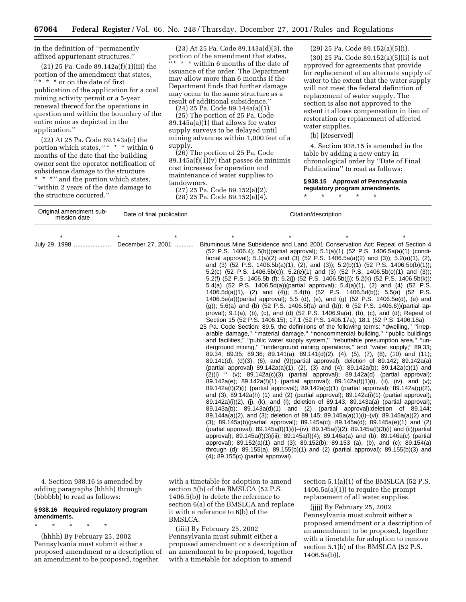in the definition of ''permanently affixed appurtenant structures.''

(21) 25 Pa. Code 89.142a(f)(1)(iii) the portion of the amendment that states, ''\* \* \* or on the date of first publication of the application for a coal mining activity permit or a 5-year renewal thereof for the operations in question and within the boundary of the entire mine as depicted in the application.''

(22) At 25 Pa. Code 89.143a(c) the portion which states, ''\* \* \* within 6 months of the date that the building owner sent the operator notification of subsidence damage to the structure  $^{\star}$   $\hspace{0.1mm}^{\star}$   $\hspace{0.1mm}^{\star}$   $\hspace{0.1mm}^{\star}$   $\hspace{0.1mm}^{\star}$   $\hspace{0.1mm}^{\star}$  and the portion which states, ''within 2 years of the date damage to the structure occurred.''

Original amendment sub-

(23) At 25 Pa. Code 89.143a(d)(3), the portion of the amendment that states, ''\* \* \* within 6 months of the date of issuance of the order. The Department may allow more than 6 months if the Department finds that further damage may occur to the same structure as a result of additional subsidence.''

(24) 25 Pa. Code 89.144a(a)(1). (25) The portion of 25 Pa. Code

89.145a(a)(1) that allows for water supply surveys to be delayed until mining advances within 1,000 feet of a supply.

(26) The portion of 25 Pa. Code  $89.145a(f)(1)(v)$  that passes de minimis cost increases for operation and maintenance of water supplies to landowners.

(27) 25 Pa. Code 89.152(a)(2). (28) 25 Pa. Code 89.152(a)(4). (29) 25 Pa. Code 89.152(a)(5)(i).

(30) 25 Pa. Code 89.152(a)(5)(ii) is not approved for agreements that provide for replacement of an alternate supply of water to the extent that the water supply will not meet the federal definition of replacement of water supply. The section is also not approved to the extent it allows compensation in lieu of restoration or replacement of affected water supplies.

(b) [Reserved]

4. Section 938.15 is amended in the table by adding a new entry in chronological order by ''Date of Final Publication'' to read as follows:

#### **§ 938.15 Approval of Pennsylvania regulatory program amendments.**

\* \* \* \* \*

| Unginal dinenument sub-<br>mission date | Date of final publication |  | Citation/description                     |                                                                                |  |                                                                                                                                                                                                                                                                                                                                                                                                                                                                                                                                                                                                                                                                                                                                                                                                                                                                                                                                                                                                                                                                                                                                                                                                                                                                                                                                                                                                                                                                                                                                                                                                                                                                                                                                                                                                                                                                                                                                                                                                                                                                                                                                                                                                                                                                                                                                                                                                                                                                                                                                                                                                                                                                                                                                                           |
|-----------------------------------------|---------------------------|--|------------------------------------------|--------------------------------------------------------------------------------|--|-----------------------------------------------------------------------------------------------------------------------------------------------------------------------------------------------------------------------------------------------------------------------------------------------------------------------------------------------------------------------------------------------------------------------------------------------------------------------------------------------------------------------------------------------------------------------------------------------------------------------------------------------------------------------------------------------------------------------------------------------------------------------------------------------------------------------------------------------------------------------------------------------------------------------------------------------------------------------------------------------------------------------------------------------------------------------------------------------------------------------------------------------------------------------------------------------------------------------------------------------------------------------------------------------------------------------------------------------------------------------------------------------------------------------------------------------------------------------------------------------------------------------------------------------------------------------------------------------------------------------------------------------------------------------------------------------------------------------------------------------------------------------------------------------------------------------------------------------------------------------------------------------------------------------------------------------------------------------------------------------------------------------------------------------------------------------------------------------------------------------------------------------------------------------------------------------------------------------------------------------------------------------------------------------------------------------------------------------------------------------------------------------------------------------------------------------------------------------------------------------------------------------------------------------------------------------------------------------------------------------------------------------------------------------------------------------------------------------------------------------------------|
|                                         |                           |  |                                          |                                                                                |  |                                                                                                                                                                                                                                                                                                                                                                                                                                                                                                                                                                                                                                                                                                                                                                                                                                                                                                                                                                                                                                                                                                                                                                                                                                                                                                                                                                                                                                                                                                                                                                                                                                                                                                                                                                                                                                                                                                                                                                                                                                                                                                                                                                                                                                                                                                                                                                                                                                                                                                                                                                                                                                                                                                                                                           |
| July 29, 1998                           | December 27, 2001         |  | $(4)$ ; 89.155 $(c)$ (partial approval). | Section 15 (52 P.S. 1406.15); 17.1 (52 P.S. 1406.17a); 18.1 (52 P.S. 1406.18a) |  | Bituminous Mine Subsidence and Land 2001 Conservation Act: Repeal of Section 4<br>(52 P.S. 1406.4); 5(b)(partial approval); 5.1(a)(1) (52 P.S. 1406.5a(a)(1) (condi-<br>tional approval); 5.1(a)(2) and (3) (52 P.S. 1406.5a(a)(2) and (3)); 5.2(a)(1), (2),<br>and (3) (52 P.S. 1406.5b(a)(1), (2), and (3)); 5.2(b)(1) (52 P.S. 1406.5b(b)(1));<br>5.2(c) (52 P.S. 1406.5b(c)); 5.2(e)(1) and (3) (52 P.S. 1406.5b(e)(1) and (3));<br>5.2(f) (52 P.S. 1406.5b (f); 5.2(j) (52 P.S. 1406.5b(j)); 5.2(k) (52 P.S. 1406.5b(k));<br>5.4(a) (52 P.S. 1406.5d(a))(partial approval); 5.4(a)(1), (2) and (4) (52 P.S.<br>1406.5d(a)(1), (2) and (4)); 5.4(b) (52 P.S. 1406.5d(b)); 5.5(a) (52 P.S.<br>1406.5e(a))(partial approval); 5.5 (d), (e), and (g) (52 P.S. 1406.5e(d), (e) and<br>(g)); 5.6(a) and (b) (52 P.S. 1406.5f(a) and (b)); 6 (52 P.S. 1406.6))(partial ap-<br>proval); 9.1(a), (b), (c), and (d) (52 P.S. 1406.9a(a), (b), (c), and (d); Repeal of<br>25 Pa. Code Section: 89.5, the definitions of the following terms: "dwelling," "irrep-<br>arable damage," "material damage," "noncommercial building," "public buildings<br>and facilities," "public water supply system," "rebuttable presumption area," "un-<br>derground mining," "underground mining operations," and "water supply;" 89.33;<br>89.34; 89.35; 89.36; 89.141(a); 89.141(d)(2), (4), (5), (7), (8), (10) and (11);<br>$89.141(d)$ , $(d)(3)$ , $(6)$ , and $(9)(partial)$ approval); deletion of $89.142$ ; $89.142a(a)$<br>(partial approval) 89.142a(a)(1), (2), (3) and (4); 89.142a(b); 89.142a(c)(1) and<br>$(2)(i)$ " $(v)$ ; 89.142a $(c)(3)$ (partial approval); 89.142a $(d)$ (partial approval);<br>89.142a(e); 89.142a(f)(1) (partial approval); 89.142a(f)(1)(i), (ii), (iv), and (v);<br>$89.142a(f)(2)(i)$ (partial approval); $89.142a(g)(1)$ (partial approval); $89.142a(g)(2)$ ,<br>and $(3)$ ; 89.142a(h) $(1)$ and $(2)$ (partial approval); 89.142a(i) $(1)$ (partial approval);<br>$89.142a)(i)(2)$ , (i), (k), and (l); deletion of $89.143$ ; $89.143a(a)$ (partial approval);<br>$89.143a(b)$ ; $89.143a(d)(1)$ and (2) (partial approval); deletion of 89.144;<br>$89.144a(a)(2)$ , and (3); deletion of 89.145; $89.145a(a)(1)(i)$ –(vi); $89.145a(a)(2)$ and<br>$(3)$ ; 89.145a(b)(partial approval); 89.145a(c); 89.145a(d); 89.145a(e)(1) and (2)<br>(partial approval); $89.145a(f)(1)(i) - (iv)$ ; $89.145a(f)(2)$ ; $89.145a(f)(3)(i)$ and (ii)(partial<br>approval); $89.145a(f)(3)(iii)$ ; $89.145a(f)(4)$ ; $89.146a(a)$ and (b); $89.146a(c)$ (partial<br>approval); 89.152(a)(1) and (3); 89.152(b); 89.153 (a), (b), and (c); 89.154(a)<br>through (d); 89.155(a), 89.155(b)(1) and (2) (partial approval); 89.155(b)(3) and |

4. Section 938.16 is amended by adding paragraphs (hhhh) through (bbbbbb) to read as follows:

# **§ 938.16 Required regulatory program amendments.**

\* \* \* \* \*

(hhhh) By February 25, 2002 Pennsylvania must submit either a proposed amendment or a description of an amendment to be proposed, together

with a timetable for adoption to amend section 5(b) of the BMSLCA (52 P.S. 1406.5(b)) to delete the reference to section 6(a) of the BMSLCA and replace it with a reference to 6(b) of the BMSLCA.

(iiii) By February 25, 2002 Pennsylvania must submit either a proposed amendment or a description of an amendment to be proposed, together with a timetable for adoption to amend

section 5.1(a)(1) of the BMSLCA (52 P.S. 1406.5a(a)(1)) to require the prompt replacement of all water supplies.

(jjjj) By February 25, 2002 Pennsylvania must submit either a proposed amendment or a description of an amendment to be proposed, together with a timetable for adoption to remove section 5.1(b) of the BMSLCA (52 P.S. 1406.5a(b)).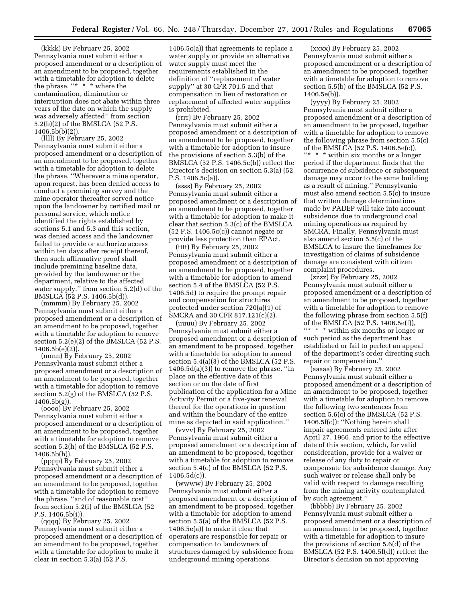(kkkk) By February 25, 2002 Pennsylvania must submit either a proposed amendment or a description of an amendment to be proposed, together with a timetable for adoption to delete the phrase, ''\* \* \* where the contamination, diminution or interruption does not abate within three years of the date on which the supply was adversely affected'' from section 5.2(b)(2) of the BMSLCA (52 P.S. 1406.5b(b)(2)).

(llll) By February 25, 2002 Pennsylvania must submit either a proposed amendment or a description of an amendment to be proposed, together with a timetable for adoption to delete the phrase, ''Wherever a mine operator, upon request, has been denied access to conduct a premining survey and the mine operator thereafter served notice upon the landowner by certified mail or personal service, which notice identified the rights established by sections 5.1 and 5.3 and this section, was denied access and the landowner failed to provide or authorize access within ten days after receipt thereof, then such affirmative proof shall include premining baseline data, provided by the landowner or the department, relative to the affected water supply.'' from section 5.2(d) of the BMSLCA (52 P.S. 1406.5b(d)).

(mmmm) By February 25, 2002 Pennsylvania must submit either a proposed amendment or a description of an amendment to be proposed, together with a timetable for adoption to remove section 5.2(e)(2) of the BMSLCA (52 P.S. 1406.5b(e)(2)).

(nnnn) By February 25, 2002 Pennsylvania must submit either a proposed amendment or a description of an amendment to be proposed, together with a timetable for adoption to remove section 5.2(g) of the BMSLCA (52 P.S. 1406.5b(g)).

(oooo) By February 25, 2002 Pennsylvania must submit either a proposed amendment or a description of an amendment to be proposed, together with a timetable for adoption to remove section 5.2(h) of the BMSLCA (52 P.S. 1406.5b(h)).

(pppp) By February 25, 2002 Pennsylvania must submit either a proposed amendment or a description of an amendment to be proposed, together with a timetable for adoption to remove the phrase, ''and of reasonable cost'' from section 5.2(i) of the BMSLCA (52 P.S. 1406.5b(i)).

(qqqq) By February 25, 2002 Pennsylvania must submit either a proposed amendment or a description of an amendment to be proposed, together with a timetable for adoption to make it clear in section 5.3(a) (52 P.S.

1406.5c(a)) that agreements to replace a water supply or provide an alternative water supply must meet the requirements established in the definition of ''replacement of water supply'' at 30 CFR 701.5 and that compensation in lieu of restoration or replacement of affected water supplies is prohibited.

(rrrr) By February 25, 2002 Pennsylvania must submit either a proposed amendment or a description of an amendment to be proposed, together with a timetable for adoption to insure the provisions of section 5.3(b) of the BMSLCA (52 P.S. 1406.5c(b)) reflect the Director's decision on section 5.3(a) (52 P.S. 1406.5c(a)).

(ssss) By February 25, 2002 Pennsylvania must submit either a proposed amendment or a description of an amendment to be proposed, together with a timetable for adoption to make it clear that section 5.3(c) of the BMSLCA (52 P.S. 1406.5c(c)) cannot negate or provide less protection than EPAct.

(tttt) By February 25, 2002 Pennsylvania must submit either a proposed amendment or a description of an amendment to be proposed, together with a timetable for adoption to amend section 5.4 of the BMSLCA (52 P.S. 1406.5d) to require the prompt repair and compensation for structures protected under section 720(a)(1) of SMCRA and 30 CFR 817.121(c)(2).

(uuuu) By February 25, 2002 Pennsylvania must submit either a proposed amendment or a description of an amendment to be proposed, together with a timetable for adoption to amend section 5.4(a)(3) of the BMSLCA (52 P.S.  $1406.5d(a)(3)$  to remove the phrase, "in place on the effective date of this section or on the date of first publication of the application for a Mine Activity Permit or a five-year renewal thereof for the operations in question and within the boundary of the entire mine as depicted in said application.''

(vvvv) By February 25, 2002 Pennsylvania must submit either a proposed amendment or a description of an amendment to be proposed, together with a timetable for adoption to remove section 5.4(c) of the BMSLCA (52 P.S.  $1406.5d(c)$ 

(wwww) By February 25, 2002 Pennsylvania must submit either a proposed amendment or a description of an amendment to be proposed, together with a timetable for adoption to amend section 5.5(a) of the BMSLCA (52 P.S. 1406.5e(a)) to make it clear that operators are responsible for repair or compensation to landowners of structures damaged by subsidence from underground mining operations.

(xxxx) By February 25, 2002 Pennsylvania must submit either a proposed amendment or a description of an amendment to be proposed, together with a timetable for adoption to remove section 5.5(b) of the BMSLCA (52 P.S. 1406.5e(b)).

(yyyy) By February 25, 2002 Pennsylvania must submit either a proposed amendment or a description of an amendment to be proposed, together with a timetable for adoption to remove the following phrase from section 5.5(c) of the BMSLCA (52 P.S. 1406.5e(c)),  $\lq{**}$   $\ast$  within six months or a longer period if the department finds that the occurrence of subsidence or subsequent damage may occur to the same building as a result of mining.'' Pennsylvania must also amend section 5.5(c) to insure that written damage determinations made by PADEP will take into account subsidence due to underground coal mining operations as required by SMCRA. Finally, Pennsylvania must also amend section 5.5(c) of the BMSLCA to insure the timeframes for investigation of claims of subsidence damage are consistent with citizen complaint procedures.

(zzzz) By February 25, 2002 Pennsylvania must submit either a proposed amendment or a description of an amendment to be proposed, together with a timetable for adoption to remove the following phrase from section 5.5(f) of the BMSLCA (52 P.S. 1406.5e(f)), ''\* \* \* within six months or longer or such period as the department has established or fail to perfect an appeal of the department's order directing such repair or compensation.''

(aaaaa) By February 25, 2002 Pennsylvania must submit either a proposed amendment or a description of an amendment to be proposed, together with a timetable for adoption to remove the following two sentences from section 5.6(c) of the BMSLCA (52 P.S. 1406.5f(c)): ''Nothing herein shall impair agreements entered into after April 27, 1966, and prior to the effective date of this section, which, for valid consideration, provide for a waiver or release of any duty to repair or compensate for subsidence damage. Any such waiver or release shall only be valid with respect to damage resulting from the mining activity contemplated by such agreement.''

(bbbbb) By February 25, 2002 Pennsylvania must submit either a proposed amendment or a description of an amendment to be proposed, together with a timetable for adoption to insure the provisions of section 5.6(d) of the BMSLCA (52 P.S. 1406.5f(d)) reflect the Director's decision on not approving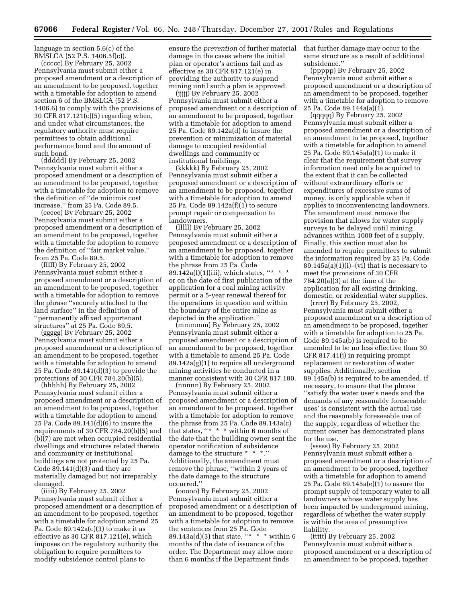language in section 5.6(c) of the BMSLCA (52 P.S. 1406.5f(c)).

(ccccc) By February 25, 2002 Pennsylvania must submit either a proposed amendment or a description of an amendment to be proposed, together with a timetable for adoption to amend section 6 of the BMSLCA (52 P.S. 1406.6) to comply with the provisions of 30 CFR 817.121(c)(5) regarding when, and under what circumstances, the regulatory authority must require permittees to obtain additional performance bond and the amount of such bond.

(ddddd) By February 25, 2002 Pennsylvania must submit either a proposed amendment or a description of an amendment to be proposed, together with a timetable for adoption to remove the definition of ''de minimis cost increase,'' from 25 Pa. Code 89.5.

(eeeee) By February 25, 2002 Pennsylvania must submit either a proposed amendment or a description of an amendment to be proposed, together with a timetable for adoption to remove the definition of ''fair market value,'' from 25 Pa. Code 89.5.

(fffff) By February 25, 2002 Pennsylvania must submit either a proposed amendment or a description of an amendment to be proposed, together with a timetable for adoption to remove the phrase ''securely attached to the land surface'' in the definition of ''permanently affixed appurtenant structures'' at 25 Pa. Code 89.5.

(ggggg) By February 25, 2002 Pennsylvania must submit either a proposed amendment or a description of an amendment to be proposed, together with a timetable for adoption to amend 25 Pa. Code 89.141(d)(3) to provide the protections of 30 CFR 784.20(b)(5).

(hhhhh) By February 25, 2002 Pennsylvania must submit either a proposed amendment or a description of an amendment to be proposed, together with a timetable for adoption to amend 25 Pa. Code 89.141(d)(6) to insure the requirements of 30 CFR 784.20(b)(5) and (b)(7) are met when occupied residential dwellings and structures related thereto and community or institutional buildings are not protected by 25 Pa. Code  $89.141(d)(3)$  and they are materially damaged but not irreparably damaged.

(iiiii) By February 25, 2002 Pennsylvania must submit either a proposed amendment or a description of an amendment to be proposed, together with a timetable for adoption amend 25 Pa. Code 89.142a(c)(3) to make it as effective as 30 CFR 817.121(e), which imposes on the regulatory authority the obligation to require permittees to modify subsidence control plans to

ensure the *prevention* of further material damage in the cases where the initial plan or operator's actions fail and as effective as 30 CFR 817.121(e) in providing the authority to suspend mining until such a plan is approved.

(jjjjj) By February 25, 2002 Pennsylvania must submit either a proposed amendment or a description of an amendment to be proposed, together with a timetable for adoption to amend 25 Pa. Code 89.142a(d) to insure the prevention or minimization of material damage to occupied residential dwellings and community or institutional buildings.

(kkkkk) By February 25, 2002 Pennsylvania must submit either a proposed amendment or a description of an amendment to be proposed, together with a timetable for adoption to amend 25 Pa. Code 89.142a(f)(1) to secure prompt repair or compensation to landowners.

(lllll) By February 25, 2002 Pennsylvania must submit either a proposed amendment or a description of an amendment to be proposed, together with a timetable for adoption to remove the phrase from 25 Pa. Code 89.142a(f)(1)(iii), which states, "\* \* \* or on the date of first publication of the application for a coal mining activity permit or a 5-year renewal thereof for the operations in question and within the boundary of the entire mine as depicted in the application.''

(mmmmm) By February 25, 2002 Pennsylvania must submit either a proposed amendment or a description of an amendment to be proposed, together with a timetable to amend 25 Pa. Code 89.142a(g)(1) to require all underground mining activities be conducted in a manner consistent with 30 CFR 817.180.

(nnnnn) By February 25, 2002 Pennsylvania must submit either a proposed amendment or a description of an amendment to be proposed, together with a timetable for adoption to remove the phrase from 25 Pa. Code 89.143a(c) that states, "\* \* \* within 6 months of the date that the building owner sent the operator notification of subsidence damage to the structure \* \* \*.'' Additionally, the amendment must remove the phrase, ''within 2 years of the date damage to the structure occurred.''

(ooooo) By February 25, 2002 Pennsylvania must submit either a proposed amendment or a description of an amendment to be proposed, together with a timetable for adoption to remove the sentences from 25 Pa. Code 89.143a(d)(3) that state, "\* \* \* within 6 months of the date of issuance of the order. The Department may allow more than 6 months if the Department finds

that further damage may occur to the same structure as a result of additional subsidence.''

(ppppp) By February 25, 2002 Pennsylvania must submit either a proposed amendment or a description of an amendment to be proposed, together with a timetable for adoption to remove 25 Pa. Code 89.144a(a)(1).

(qqqqq) By February 25, 2002 Pennsylvania must submit either a proposed amendment or a description of an amendment to be proposed, together with a timetable for adoption to amend 25 Pa. Code 89.145a(a)(1) to make it clear that the requirement that survey information need only be acquired to the extent that it can be collected without extraordinary efforts or expenditures of excessive sums of money, is only applicable when it applies to inconveniencing landowners. The amendment must remove the provision that allows for water supply surveys to be delayed until mining advances within 1000 feet of a supply. Finally, this section must also be amended to require permittees to submit the information required by 25 Pa. Code  $89.145a(a)(1)(i)$ –(vi) that is necessary to meet the provisions of 30 CFR 784.20(a)(3) at the time of the application for all existing drinking, domestic, or residential water supplies.

(rrrrr) By February 25, 2002, Pennsylvania must submit either a proposed amendment or a description of an amendment to be proposed, together with a timetable for adoption to 25 Pa. Code 89.145a(b) is required to be amended to be no less effective than 30 CFR 817.41(j) in requiring prompt replacement or restoration of water supplies. Additionally, section 89.145a(b) is required to be amended, if necessary, to ensure that the phrase ''satisfy the water user's needs and the demands of any reasonably foreseeable uses' is consistent with the actual use and the reasonably foreseeable use of the supply, regardless of whether the current owner has demonstrated plans for the use.

(sssss) By February 25, 2002 Pennsylvania must submit either a proposed amendment or a description of an amendment to be proposed, together with a timetable for adoption to amend 25 Pa. Code 89.145a(e)(1) to assure the prompt supply of temporary water to all landowners whose water supply has been impacted by underground mining, regardless of whether the water supply is within the area of presumptive liability.

(ttttt) By February 25, 2002 Pennsylvania must submit either a proposed amendment or a description of an amendment to be proposed, together